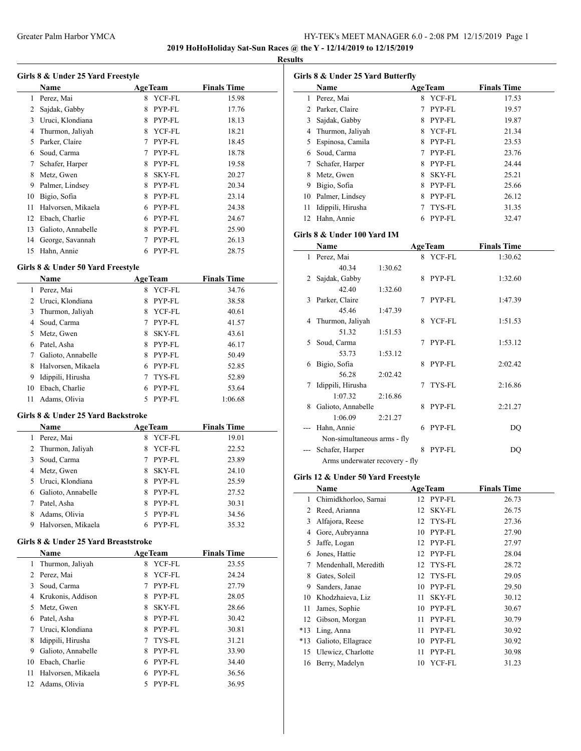**2019 HoHoHoliday Sat-Sun Races @ the Y - 12/14/2019 to 12/15/2019**

#### **Results**

|    | Girls 8 & Under 25 Yard Freestyle |   |                |                    |  |  |  |
|----|-----------------------------------|---|----------------|--------------------|--|--|--|
|    | Name                              |   | <b>AgeTeam</b> | <b>Finals Time</b> |  |  |  |
| 1  | Perez, Mai                        | 8 | YCF-FL         | 15.98              |  |  |  |
| 2  | Sajdak, Gabby                     | 8 | PYP-FL         | 17.76              |  |  |  |
| 3  | Uruci, Klondiana                  | 8 | PYP-FL         | 18.13              |  |  |  |
| 4  | Thurmon, Jaliyah                  | 8 | YCF-FL         | 18.21              |  |  |  |
| 5  | Parker, Claire                    |   | PYP-FL         | 18.45              |  |  |  |
| 6  | Soud, Carma                       | 7 | PYP-FL         | 18.78              |  |  |  |
| 7  | Schafer, Harper                   | 8 | PYP-FL         | 19.58              |  |  |  |
| 8  | Metz, Gwen                        | 8 | <b>SKY-FL</b>  | 20.27              |  |  |  |
| 9  | Palmer, Lindsey                   | 8 | PYP-FL         | 20.34              |  |  |  |
| 10 | Bigio, Sofia                      | 8 | PYP-FL         | 23.14              |  |  |  |
| 11 | Halvorsen, Mikaela                | 6 | PYP-FL         | 24.38              |  |  |  |
| 12 | Ebach, Charlie                    | 6 | PYP-FL         | 24.67              |  |  |  |
| 13 | Galioto, Annabelle                | 8 | PYP-FL         | 25.90              |  |  |  |
| 14 | George, Savannah                  |   | PYP-FL         | 26.13              |  |  |  |
| 15 | Hahn, Annie                       | 6 | PYP-FL         | 28.75              |  |  |  |

#### **Girls 8 & Under 50 Yard Freestyle**

|    | <b>Name</b>        | <b>AgeTeam</b> |        | <b>Finals Time</b> |  |
|----|--------------------|----------------|--------|--------------------|--|
| 1  | Perez, Mai         | 8.             | YCF-FL | 34.76              |  |
|    | 2 Uruci, Klondiana | 8.             | PYP-FL | 38.58              |  |
| 3  | Thurmon, Jaliyah   | 8              | YCF-FL | 40.61              |  |
| 4  | Soud, Carma        |                | PYP-FL | 41.57              |  |
| 5  | Metz, Gwen         | 8              | SKY-FL | 43.61              |  |
| 6  | Patel, Asha        | 8.             | PYP-FL | 46.17              |  |
|    | Galioto, Annabelle | 8              | PYP-FL | 50.49              |  |
| 8  | Halvorsen, Mikaela | 6.             | PYP-FL | 52.85              |  |
| 9  | Idippili, Hirusha  |                | TYS-FL | 52.89              |  |
| 10 | Ebach, Charlie     | 6              | PYP-FL | 53.64              |  |
|    | Adams, Olivia      |                | PYP-FL | 1:06.68            |  |

#### **Girls 8 & Under 25 Yard Backstroke**

|   | <b>Name</b>        | <b>AgeTeam</b> | <b>Finals Time</b> |
|---|--------------------|----------------|--------------------|
|   | Perez, Mai         | YCF-FL<br>8    | 19.01              |
|   | 2 Thurmon, Jaliyah | YCF-FL<br>8    | 22.52              |
| 3 | Soud, Carma        | PYP-FL<br>7    | 23.89              |
| 4 | Metz, Gwen         | SKY-FL<br>8    | 24.10              |
|   | 5 Uruci, Klondiana | PYP-FL<br>8.   | 25.59              |
| 6 | Galioto, Annabelle | PYP-FL<br>8    | 27.52              |
|   | Patel, Asha        | PYP-FL<br>8    | 30.31              |
| 8 | Adams, Olivia      | PYP-FL         | 34.56              |
| 9 | Halvorsen, Mikaela | PYP-FL         | 35.32              |

#### **Girls 8 & Under 25 Yard Breaststroke**

|    | <b>Name</b>        |   | <b>AgeTeam</b> | <b>Finals Time</b> |  |
|----|--------------------|---|----------------|--------------------|--|
| 1  | Thurmon, Jaliyah   | 8 | YCF-FL         | 23.55              |  |
|    | 2 Perez, Mai       | 8 | YCF-FL         | 24.24              |  |
| 3  | Soud, Carma        | 7 | PYP-FL         | 27.79              |  |
| 4  | Krukonis, Addison  | 8 | PYP-FL         | 28.05              |  |
| 5. | Metz, Gwen         | 8 | SKY-FL         | 28.66              |  |
| 6  | Patel, Asha        | 8 | PYP-FL         | 30.42              |  |
| 7  | Uruci, Klondiana   | 8 | PYP-FL         | 30.81              |  |
| 8  | Idippili, Hirusha  | 7 | TYS-FL         | 31.21              |  |
| 9  | Galioto, Annabelle | 8 | PYP-FL         | 33.90              |  |
| 10 | Ebach, Charlie     | 6 | PYP-FL         | 34.40              |  |
| 11 | Halvorsen, Mikaela | 6 | PYP-FL         | 36.56              |  |
|    | 12 Adams, Olivia   | 5 | PYP-FL         | 36.95              |  |

|   | Girls 8 & Under 25 Yard Butterfly<br>Name |         | <b>AgeTeam</b> | <b>Finals Time</b> |
|---|-------------------------------------------|---------|----------------|--------------------|
|   | 1 Perez, Mai                              |         | 8 YCF-FL       | 17.53              |
|   | 2 Parker, Claire                          |         | 7 PYP-FL       | 19.57              |
|   | 3 Sajdak, Gabby                           |         | 8 PYP-FL       | 19.87              |
|   | 4 Thurmon, Jaliyah                        |         | 8 YCF-FL       | 21.34              |
|   | 5 Espinosa, Camila                        |         | 8 PYP-FL       | 23.53              |
|   | 6 Soud, Carma                             |         | 7 PYP-FL       | 23.76              |
|   | 7 Schafer, Harper                         |         | 8 PYP-FL       | 24.44              |
|   | 8 Metz, Gwen                              |         | 8 SKY-FL       | 25.21              |
|   | 9 Bigio, Sofia                            |         | 8 PYP-FL       | 25.66              |
|   | 10 Palmer, Lindsey                        |         | 8 PYP-FL       | 26.12              |
|   | 11 Idippili, Hirusha                      |         | 7 TYS-FL       | 31.35              |
|   | 12 Hahn, Annie                            |         | 6 PYP-FL       | 32.47              |
|   |                                           |         |                |                    |
|   | Girls 8 & Under 100 Yard IM               |         |                |                    |
|   | Name                                      |         | <b>AgeTeam</b> | <b>Finals Time</b> |
| 1 | Perez, Mai                                |         | 8 YCF-FL       | 1:30.62            |
|   | 40.34                                     | 1:30.62 |                |                    |
| 2 | Sajdak, Gabby                             |         | 8 PYP-FL       | 1:32.60            |
|   | 42.40                                     | 1:32.60 |                |                    |
| 3 | Parker, Claire                            |         | 7 PYP-FL       | 1:47.39            |
|   | 45.46                                     | 1:47.39 |                |                    |
| 4 | Thurmon, Jaliyah                          | 8       | YCF-FL         | 1:51.53            |
|   | 51.32                                     | 1:51.53 |                |                    |
|   | 5 Soud, Carma<br>53.73                    | 1:53.12 | 7 PYP-FL       | 1:53.12            |
|   | 6 Bigio, Sofia                            | 8       | PYP-FL         | 2:02.42            |
|   | 56.28                                     | 2:02.42 |                |                    |
| 7 | Idippili, Hirusha                         | 7       | TYS-FL         | 2:16.86            |
|   | 1:07.32                                   | 2:16.86 |                |                    |
| 8 | Galioto, Annabelle                        | 8       | PYP-FL         | 2:21.27            |
|   | 1:06.09                                   | 2:21.27 |                |                    |
|   | Hahn, Annie                               |         | 6 PYP-FL       | DQ                 |
|   | Non-simultaneous arms - fly               |         |                |                    |
|   | --- Schafer, Harper                       | 8.      | PYP-FL         | DQ                 |
|   | Arms underwater recovery - fly            |         |                |                    |
|   |                                           |         |                |                    |
|   | Girls 12 & Under 50 Yard Freestyle        |         |                |                    |
|   | Name                                      |         | <b>AgeTeam</b> | <b>Finals Time</b> |
| 1 | Chimidkhorloo, Sarnai                     |         | 12 PYP-FL      | 26.73              |
| 2 | Reed, Arianna                             | 12      | SKY-FL         | 26.75              |
| 3 | Alfajora, Reese                           | 12      | TYS-FL         | 27.36              |
| 4 | Gore, Aubryanna                           |         | 10 PYP-FL      | 27.90              |
| 5 | Jaffe, Logan                              | 12      | PYP-FL         | 27.97              |
| 6 | Jones, Hattie                             |         | 12 PYP-FL      | 28.04              |
| 7 | Mendenhall, Meredith                      | 12      | TYS-FL         | 28.72              |
|   | 8 Gates, Soleil                           |         | 12 TYS-FL      | 29.05              |

 Sanders, Janae 10 PYP-FL 29.50 Khodzhaieva, Liz 11 SKY-FL 30.12 James, Sophie 10 PYP-FL 30.67 Gibson, Morgan 11 PYP-FL 30.79 \*13 Ling, Anna 11 PYP-FL 30.92 \*13 Galioto, Ellagrace 10 PYP-FL 30.92 15 Ulewicz, Charlotte 11 PYP-FL 30.98 16 Berry, Madelyn 10 YCF-FL 31.23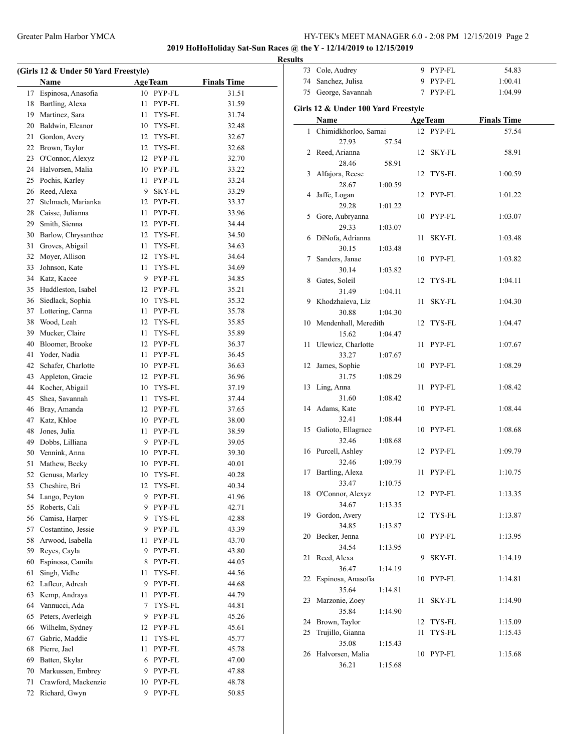# **2019 HoHoHoliday Sat-Sun Races @ the Y - 12/14/2019 to 12/15/2019**

## **Results**

| (Girls 12 & Under 50 Yard Freestyle) |                     |    |                       |                    |  |  |
|--------------------------------------|---------------------|----|-----------------------|--------------------|--|--|
|                                      | Name                |    | <b>AgeTeam</b>        | <b>Finals Time</b> |  |  |
| 17                                   | Espinosa, Anasofia  |    | 10 PYP-FL             | 31.51              |  |  |
| 18                                   | Bartling, Alexa     | 11 | PYP-FL                | 31.59              |  |  |
| 19                                   | Martinez, Sara      | 11 | TYS-FL                | 31.74              |  |  |
| 20                                   | Baldwin, Eleanor    | 10 | TYS-FL                | 32.48              |  |  |
| 21                                   | Gordon, Avery       |    | 12 TYS-FL             | 32.67              |  |  |
| 22                                   | Brown, Taylor       |    | 12 TYS-FL             | 32.68              |  |  |
| 23                                   | O'Connor, Alexyz    |    | 12 PYP-FL             | 32.70              |  |  |
| 24                                   | Halvorsen, Malia    |    | 10 PYP-FL             | 33.22              |  |  |
| 25                                   | Pochis, Karley      |    | 11 PYP-FL             | 33.24              |  |  |
| 26                                   | Reed, Alexa         |    | 9 SKY-FL              | 33.29              |  |  |
| 27                                   | Stelmach, Marianka  |    | 12 PYP-FL             | 33.37              |  |  |
| 28                                   | Caisse, Julianna    |    | 11 PYP-FL             | 33.96              |  |  |
| 29                                   | Smith, Sienna       |    | 12 PYP-FL             | 34.44              |  |  |
| 30                                   | Barlow, Chrysanthee | 12 | TYS-FL                | 34.50              |  |  |
| 31                                   | Groves, Abigail     | 11 | TYS-FL                | 34.63              |  |  |
| 32                                   | Moyer, Allison      | 12 | TYS-FL                | 34.64              |  |  |
| 33                                   | Johnson, Kate       | 11 | TYS-FL                | 34.69              |  |  |
| 34                                   | Katz, Kacee         |    | 9 PYP-FL              | 34.85              |  |  |
| 35                                   | Huddleston, Isabel  |    | 12 PYP-FL             | 35.21              |  |  |
| 36                                   | Siedlack, Sophia    |    | 10 TYS-FL             | 35.32              |  |  |
| 37                                   | Lottering, Carma    | 11 | PYP-FL                | 35.78              |  |  |
| 38                                   | Wood, Leah          |    | 12 TYS-FL             | 35.85              |  |  |
| 39                                   | Mucker, Claire      | 11 | TYS-FL                |                    |  |  |
| 40                                   |                     |    | 12 PYP-FL             | 35.89              |  |  |
| 41                                   | Bloomer, Brooke     |    |                       | 36.37              |  |  |
|                                      | Yoder, Nadia        |    | 11 PYP-FL             | 36.45              |  |  |
| 42                                   | Schafer, Charlotte  |    | 10 PYP-FL             | 36.63              |  |  |
| 43                                   | Appleton, Gracie    |    | 12 PYP-FL             | 36.96              |  |  |
| 44                                   | Kocher, Abigail     | 10 | TYS-FL                | 37.19              |  |  |
| 45                                   | Shea, Savannah      | 11 | TYS-FL                | 37.44              |  |  |
| 46                                   | Bray, Amanda        |    | 12 PYP-FL             | 37.65              |  |  |
| 47                                   | Katz, Khloe         |    | 10 PYP-FL             | 38.00              |  |  |
| 48                                   | Jones, Julia        |    | 11 PYP-FL             | 38.59              |  |  |
| 49                                   | Dobbs, Lilliana     |    | 9 PYP-FL              | 39.05              |  |  |
|                                      | 50 Vennink, Anna    |    | 10 PYP-FL             | 39.30              |  |  |
| 51                                   | Mathew, Becky       |    | 10 PYP-FL             | 40.01              |  |  |
| 52                                   | Genusa, Marley      | 10 | TYS-FL                | 40.28              |  |  |
| 53                                   | Cheshire, Bri       | 12 | TYS-FL                | 40.34              |  |  |
| 54                                   | Lango, Peyton       | 9  | PYP-FL                | 41.96              |  |  |
| 55                                   | Roberts, Cali       | 9. | PYP-FL                | 42.71              |  |  |
| 56                                   | Camisa, Harper      | 9. | TYS-FL                | 42.88              |  |  |
| 57                                   | Costantino, Jessie  | 9  | PYP-FL                | 43.39              |  |  |
| 58                                   | Arwood, Isabella    | 11 | PYP-FL                | 43.70              |  |  |
| 59                                   | Reyes, Cayla        | 9  | ${\tt PYP\text{-}FL}$ | 43.80              |  |  |
| 60                                   | Espinosa, Camila    | 8  | PYP-FL                | 44.05              |  |  |
| 61                                   | Singh, Vidhe        | 11 | TYS-FL                | 44.56              |  |  |
| 62                                   | Lafleur, Adreah     | 9  | ${\mbox{PYP-FL}}$     | 44.68              |  |  |
| 63                                   | Kemp, Andraya       | 11 | PYP-FL                | 44.79              |  |  |
| 64                                   | Vannucci, Ada       | 7  | TYS-FL                | 44.81              |  |  |
| 65                                   | Peters, Averleigh   | 9. | PYP-FL                | 45.26              |  |  |
| 66                                   | Wilhelm, Sydney     | 12 | PYP-FL                | 45.61              |  |  |
| 67                                   | Gabric, Maddie      | 11 | TYS-FL                | 45.77              |  |  |
| 68                                   | Pierre, Jael        | 11 | PYP-FL                | 45.78              |  |  |
| 69                                   | Batten, Skylar      | 6  | PYP-FL                | 47.00              |  |  |
| 70                                   | Markussen, Embrey   | 9. | PYP-FL                | 47.88              |  |  |
| 71                                   | Crawford, Mackenzie | 10 | PYP-FL                | 48.78              |  |  |
| 72                                   | Richard, Gwyn       | 9. | PYP-FL                | 50.85              |  |  |

|    | 73 Cole, Audrey                     |         | 9  | PYP-FL         | 54.83              |  |
|----|-------------------------------------|---------|----|----------------|--------------------|--|
|    | 74 Sanchez, Julisa                  |         | 9  | PYP-FL         | 1:00.41            |  |
|    | 75 George, Savannah                 |         | 7  | PYP-FL         | 1:04.99            |  |
|    | Girls 12 & Under 100 Yard Freestyle |         |    |                |                    |  |
|    | Name                                |         |    | <b>AgeTeam</b> | <b>Finals Time</b> |  |
|    | 1 Chimidkhorloo, Sarnai             |         |    | 12 PYP-FL      | 57.54              |  |
|    | 27.93                               | 57.54   |    |                |                    |  |
|    | 2 Reed, Arianna                     |         |    | 12 SKY-FL      | 58.91              |  |
|    | 28.46                               | 58.91   |    |                |                    |  |
|    | 3 Alfajora, Reese                   |         | 12 | TYS-FL         | 1:00.59            |  |
|    | 28.67                               | 1:00.59 |    |                |                    |  |
|    | 4 Jaffe, Logan                      |         |    | 12 PYP-FL      | 1:01.22            |  |
|    | 29.28                               | 1:01.22 |    |                |                    |  |
|    |                                     |         |    |                |                    |  |
|    | 5 Gore, Aubryanna                   |         |    | 10 PYP-FL      | 1:03.07            |  |
|    | 29.33                               | 1:03.07 |    |                |                    |  |
|    | 6 DiNofa, Adrianna                  |         | 11 | SKY-FL         | 1:03.48            |  |
|    | 30.15                               | 1:03.48 |    |                |                    |  |
| 7  | Sanders, Janae                      |         |    | 10 PYP-FL      | 1:03.82            |  |
|    | 30.14                               | 1:03.82 |    |                |                    |  |
|    | 8 Gates, Soleil                     |         | 12 | TYS-FL         | 1:04.11            |  |
|    | 31.49                               | 1:04.11 |    |                |                    |  |
|    | 9 Khodzhaieva, Liz                  |         | 11 | SKY-FL         | 1:04.30            |  |
|    | 30.88                               | 1:04.30 |    |                |                    |  |
|    | 10 Mendenhall, Meredith             |         |    | 12 TYS-FL      | 1:04.47            |  |
|    | 15.62                               | 1:04.47 |    |                |                    |  |
|    | 11 Ulewicz, Charlotte               |         | 11 | PYP-FL         | 1:07.67            |  |
|    | 33.27                               | 1:07.67 |    |                |                    |  |
|    | 12 James, Sophie                    |         |    | 10 PYP-FL      | 1:08.29            |  |
|    | 31.75                               | 1:08.29 |    |                |                    |  |
|    | 13 Ling, Anna                       |         | 11 | PYP-FL         | 1:08.42            |  |
|    | 31.60                               | 1:08.42 |    |                |                    |  |
|    | 14 Adams, Kate                      |         | 10 | PYP-FL         | 1:08.44            |  |
|    | 32.41                               | 1:08.44 |    |                |                    |  |
|    | 15 Galioto, Ellagrace               |         |    | 10 PYP-FL      | 1:08.68            |  |
|    | 32.46                               | 1:08.68 |    |                |                    |  |
|    | 16 Purcell, Ashley                  |         |    | 12 PYP-FL      | 1:09.79            |  |
|    | 32.46                               | 1:09.79 |    |                |                    |  |
|    | 17 Bartling, Alexa                  |         | 11 | PYP-FL         | 1:10.75            |  |
|    | 33.47                               | 1:10.75 |    |                |                    |  |
|    | 18 O'Connor, Alexyz                 |         |    | 12 PYP-FL      | 1:13.35            |  |
|    | 34.67                               | 1:13.35 |    |                |                    |  |
| 19 | Gordon, Avery                       |         |    | 12 TYS-FL      | 1:13.87            |  |
|    | 34.85                               | 1:13.87 |    |                |                    |  |
|    | 20 Becker, Jenna                    |         | 10 | PYP-FL         | 1:13.95            |  |
|    | 34.54                               | 1:13.95 |    |                |                    |  |
| 21 | Reed, Alexa                         |         | 9  | SKY-FL         | 1:14.19            |  |
|    | 36.47                               | 1:14.19 |    |                |                    |  |
| 22 | Espinosa, Anasofia                  |         | 10 | PYP-FL         | 1:14.81            |  |
|    | 35.64                               | 1:14.81 |    |                |                    |  |
|    | 23 Marzonie, Zoey                   |         | 11 | SKY-FL         | 1:14.90            |  |
|    | 35.84                               | 1:14.90 |    |                |                    |  |
| 24 | Brown, Taylor                       |         | 12 | TYS-FL         | 1:15.09            |  |
| 25 | Trujillo, Gianna                    |         | 11 | TYS-FL         | 1:15.43            |  |
|    | 35.08                               | 1:15.43 |    |                |                    |  |
|    | 26 Halvorsen, Malia                 |         |    | 10 PYP-FL      | 1:15.68            |  |
|    | 36.21                               | 1:15.68 |    |                |                    |  |
|    |                                     |         |    |                |                    |  |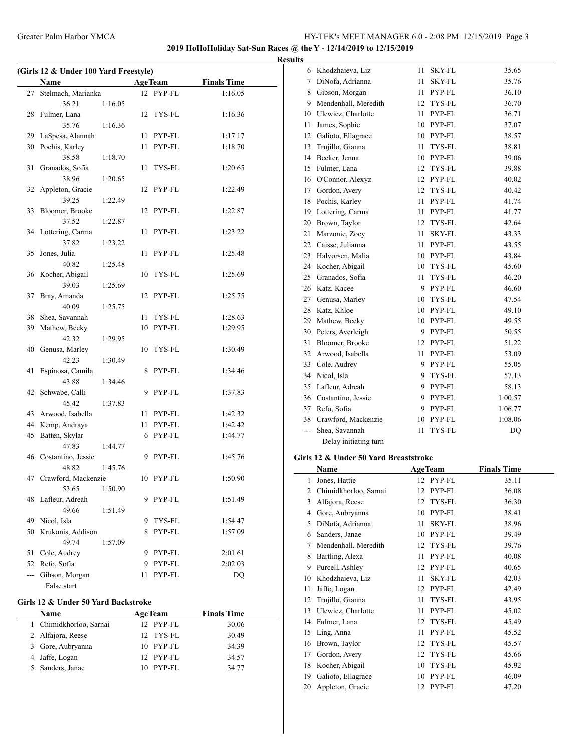**2019 HoHoHoliday Sat-Sun Races @ the Y - 12/14/2019 to 12/15/2019**

## **Results**

|                | (Girls 12 & Under 100 Yard Freestyle)<br>Name |         |      | <b>AgeTeam</b> | <b>Finals Time</b> |
|----------------|-----------------------------------------------|---------|------|----------------|--------------------|
| 27             | Stelmach, Marianka                            |         |      | 12 PYP-FL      | 1:16.05            |
|                | 36.21                                         | 1:16.05 |      |                |                    |
|                | 28 Fulmer, Lana                               |         |      | 12 TYS-FL      | 1:16.36            |
|                | 35.76                                         | 1:16.36 |      |                |                    |
|                | 29 LaSpesa, Alannah                           |         |      | 11 PYP-FL      | 1:17.17            |
|                | 30 Pochis, Karley                             |         | 11   | PYP-FL         | 1:18.70            |
|                | 38.58                                         | 1:18.70 |      |                |                    |
| 31             | Granados, Sofia                               |         | 11   | TYS-FL         | 1:20.65            |
|                | 38.96                                         | 1:20.65 |      |                |                    |
| 32             | Appleton, Gracie                              |         |      | 12 PYP-FL      | 1:22.49            |
|                | 39.25                                         | 1:22.49 |      |                |                    |
|                | 33 Bloomer, Brooke                            |         |      | 12 PYP-FL      | 1:22.87            |
|                | 37.52                                         | 1:22.87 |      |                |                    |
|                | 34 Lottering, Carma                           |         | 11   | PYP-FL         | 1:23.22            |
|                | 37.82                                         | 1:23.22 |      |                |                    |
|                | 35 Jones, Julia                               |         | 11   | PYP-FL         | 1:25.48            |
|                | 40.82                                         | 1:25.48 |      |                |                    |
|                | 36 Kocher, Abigail                            |         |      | 10 TYS-FL      | 1:25.69            |
|                | 39.03                                         | 1:25.69 |      |                |                    |
| 37             | Bray, Amanda                                  |         |      | 12 PYP-FL      | 1:25.75            |
|                | 40.09                                         | 1:25.75 |      |                |                    |
| 38             | Shea, Savannah                                |         |      | 11 TYS-FL      | 1:28.63            |
| 39             | Mathew, Becky                                 |         |      | 10 PYP-FL      | 1:29.95            |
|                | 42.32                                         | 1:29.95 |      |                |                    |
|                | 40 Genusa, Marley                             |         |      | 10 TYS-FL      | 1:30.49            |
|                | 42.23                                         | 1:30.49 |      |                |                    |
| 41             | Espinosa, Camila                              |         | 8    | PYP-FL         | 1:34.46            |
|                | 43.88                                         | 1:34.46 |      |                |                    |
| 42             | Schwabe, Calli                                |         |      | 9 PYP-FL       | 1:37.83            |
|                | 45.42                                         | 1:37.83 |      |                |                    |
|                | 43 Arwood, Isabella                           |         | 11   | PYP-FL         | 1:42.32            |
| 44             | Kemp, Andraya                                 |         | 11 - | PYP-FL         | 1:42.42            |
|                | 45 Batten, Skylar                             |         |      | 6 PYP-FL       | 1:44.77            |
|                | 47.83                                         | 1:44.77 |      |                |                    |
|                | 46 Costantino, Jessie                         |         |      | 9 PYP-FL       | 1:45.76            |
|                | 48.82                                         | 1:45.76 |      |                |                    |
| 47             | Crawford, Mackenzie                           |         |      | 10 PYP-FL      | 1:50.90            |
|                | 53.65                                         | 1:50.90 |      |                |                    |
|                | 48 Lafleur, Adreah                            |         | 9    | PYP-FL         | 1:51.49            |
|                | 49.66                                         | 1:51.49 |      |                |                    |
| 49             | Nicol, Isla                                   |         | 9    | TYS-FL         | 1:54.47            |
| 50             | Krukonis, Addison                             |         | 8    | PYP-FL         | 1:57.09            |
|                | 49.74                                         | 1:57.09 |      |                |                    |
| 51             | Cole, Audrey                                  |         |      | 9 PYP-FL       | 2:01.61            |
| 52             | Refo, Sofia                                   |         | 9.   | PYP-FL         | 2:02.03            |
| $\overline{a}$ | Gibson, Morgan                                |         | 11   | PYP-FL         | DQ                 |
|                | False start                                   |         |      |                |                    |

## **Girls 12 & Under 50 Yard Backstroke**

| <b>Name</b>             | <b>AgeTeam</b> | <b>Finals Time</b> |
|-------------------------|----------------|--------------------|
| 1 Chimidkhorloo, Sarnai | $12$ PYP-FL    | 30.06              |
| 2 Alfajora, Reese       | 12 TYS-FL      | 30.49              |
| 3 Gore, Aubryanna       | 10 PYP-FL      | 34.39              |
| 4 Jaffe, Logan          | $12$ PYP-FL    | 34.57              |
| 5 Sanders, Janae        | $10$ PYP-FL    | 34.77              |

| 6  | Khodzhaieva, Liz      | 11 | SKY-FL        | 35.65   |  |
|----|-----------------------|----|---------------|---------|--|
| 7  | DiNofa, Adrianna      | 11 | SKY-FL        | 35.76   |  |
| 8  | Gibson, Morgan        | 11 | PYP-FL        | 36.10   |  |
| 9  | Mendenhall, Meredith  | 12 | TYS-FL        | 36.70   |  |
| 10 | Ulewicz, Charlotte    | 11 | PYP-FL        | 36.71   |  |
| 11 | James, Sophie         | 10 | PYP-FL        | 37.07   |  |
| 12 | Galioto, Ellagrace    | 10 | PYP-FL        | 38.57   |  |
| 13 | Trujillo, Gianna      | 11 | TYS-FL        | 38.81   |  |
| 14 | Becker, Jenna         | 10 | PYP-FL        | 39.06   |  |
| 15 | Fulmer, Lana          | 12 | TYS-FL        | 39.88   |  |
| 16 | O'Connor, Alexyz      | 12 | PYP-FL        | 40.02   |  |
| 17 | Gordon, Avery         | 12 | TYS-FL        | 40.42   |  |
| 18 | Pochis, Karley        | 11 | PYP-FL        | 41.74   |  |
| 19 | Lottering, Carma      | 11 | PYP-FL        | 41.77   |  |
| 20 | Brown, Taylor         | 12 | TYS-FL        | 42.64   |  |
| 21 | Marzonie, Zoey        | 11 | <b>SKY-FL</b> | 43.33   |  |
| 22 | Caisse, Julianna      | 11 | PYP-FL        | 43.55   |  |
| 23 | Halvorsen, Malia      | 10 | PYP-FL        | 43.84   |  |
| 24 | Kocher, Abigail       | 10 | TYS-FL        | 45.60   |  |
| 25 | Granados, Sofia       | 11 | TYS-FL        | 46.20   |  |
| 26 | Katz, Kacee           | 9  | PYP-FL        | 46.60   |  |
| 27 | Genusa, Marley        | 10 | TYS-FL        | 47.54   |  |
| 28 | Katz, Khloe           | 10 | PYP-FL        | 49.10   |  |
| 29 | Mathew, Becky         | 10 | PYP-FL        | 49.55   |  |
| 30 | Peters, Averleigh     | 9  | PYP-FL        | 50.55   |  |
| 31 | Bloomer, Brooke       | 12 | PYP-FL        | 51.22   |  |
| 32 | Arwood, Isabella      | 11 | PYP-FL        | 53.09   |  |
| 33 | Cole, Audrey          | 9  | PYP-FL        | 55.05   |  |
| 34 | Nicol, Isla           | 9  | TYS-FL        | 57.13   |  |
| 35 | Lafleur, Adreah       | 9  | PYP-FL        | 58.13   |  |
| 36 | Costantino, Jessie    | 9  | PYP-FL        | 1:00.57 |  |
| 37 | Refo, Sofia           | 9  | PYP-FL        | 1:06.77 |  |
| 38 | Crawford, Mackenzie   | 10 | PYP-FL        | 1:08.06 |  |
|    | Shea, Savannah        | 11 | TYS-FL        | DQ      |  |
|    | Delay initiating turn |    |               |         |  |

## **Girls 12 & Under 50 Yard Breaststroke**

|    | Name                  |    | <b>AgeTeam</b> | <b>Finals Time</b> |       |
|----|-----------------------|----|----------------|--------------------|-------|
| 1  | Jones, Hattie         | 12 | PYP-FL         |                    | 35.11 |
| 2  | Chimidkhorloo, Sarnai | 12 | PYP-FL         |                    | 36.08 |
| 3  | Alfajora, Reese       | 12 | TYS-FL         |                    | 36.30 |
| 4  | Gore, Aubryanna       | 10 | PYP-FL         |                    | 38.41 |
| 5  | DiNofa, Adrianna      | 11 | <b>SKY-FL</b>  |                    | 38.96 |
| 6  | Sanders, Janae        | 10 | PYP-FL         |                    | 39.49 |
| 7  | Mendenhall, Meredith  | 12 | TYS-FL         |                    | 39.76 |
| 8  | Bartling, Alexa       | 11 | PYP-FL         |                    | 40.08 |
| 9  | Purcell, Ashley       | 12 | PYP-FL         |                    | 40.65 |
| 10 | Khodzhaieva, Liz      | 11 | SKY-FL         |                    | 42.03 |
| 11 | Jaffe, Logan          | 12 | PYP-FL         |                    | 42.49 |
| 12 | Trujillo, Gianna      | 11 | TYS-FL         |                    | 43.95 |
| 13 | Ulewicz, Charlotte    | 11 | PYP-FL         |                    | 45.02 |
| 14 | Fulmer, Lana          | 12 | TYS-FL         |                    | 45.49 |
| 15 | Ling, Anna            | 11 | PYP-FL         |                    | 45.52 |
| 16 | Brown, Taylor         | 12 | TYS-FL         |                    | 45.57 |
| 17 | Gordon, Avery         | 12 | TYS-FL         |                    | 45.66 |
| 18 | Kocher, Abigail       | 10 | TYS-FL         |                    | 45.92 |
| 19 | Galioto, Ellagrace    | 10 | PYP-FL         |                    | 46.09 |
| 20 | Appleton, Gracie      |    | 12 PYP-FL      |                    | 47.20 |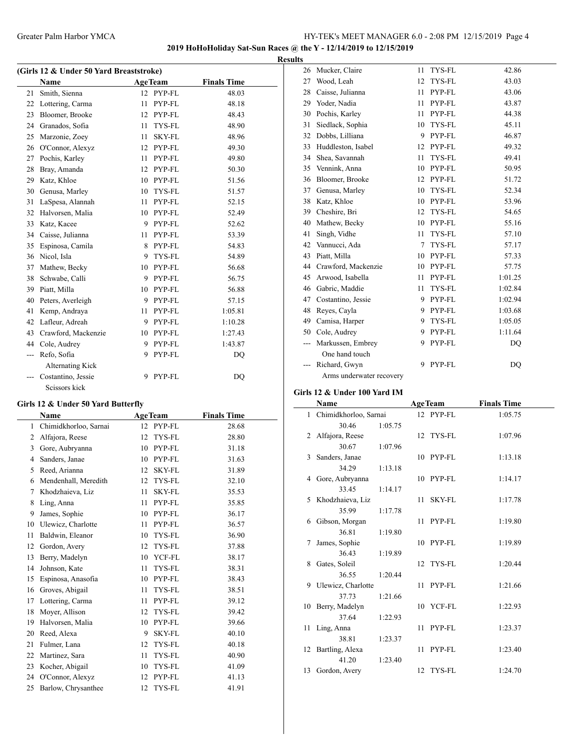## **2019 HoHoHoliday Sat-Sun Races @ the Y - 12/14/2019 to 12/15/2019 Results**

|     | (Girls 12 & Under 50 Yard Breaststroke) |    |               |                    |  |  |  |  |
|-----|-----------------------------------------|----|---------------|--------------------|--|--|--|--|
|     | <b>AgeTeam</b><br>Name                  |    |               | <b>Finals Time</b> |  |  |  |  |
| 21  | Smith, Sienna                           | 12 | PYP-FL        | 48.03              |  |  |  |  |
| 22  | Lottering, Carma                        | 11 | PYP-FL        | 48.18              |  |  |  |  |
| 23  | Bloomer, Brooke                         | 12 | PYP-FL        | 48.43              |  |  |  |  |
| 24  | Granados, Sofia                         | 11 | TYS-FL        | 48.90              |  |  |  |  |
| 25  | Marzonie, Zoey                          | 11 | <b>SKY-FL</b> | 48.96              |  |  |  |  |
| 26  | O'Connor, Alexyz                        | 12 | PYP-FL        | 49.30              |  |  |  |  |
| 27  | Pochis, Karley                          | 11 | PYP-FL        | 49.80              |  |  |  |  |
| 28  | Bray, Amanda                            | 12 | PYP-FL        | 50.30              |  |  |  |  |
| 29  | Katz, Khloe                             | 10 | PYP-FL        | 51.56              |  |  |  |  |
| 30  | Genusa, Marley                          | 10 | TYS-FL        | 51.57              |  |  |  |  |
| 31  | LaSpesa, Alannah                        | 11 | PYP-FL        | 52.15              |  |  |  |  |
| 32  | Halvorsen, Malia                        | 10 | PYP-FL        | 52.49              |  |  |  |  |
| 33  | Katz, Kacee                             | 9  | PYP-FL        | 52.62              |  |  |  |  |
| 34  | Caisse, Julianna                        | 11 | PYP-FL        | 53.39              |  |  |  |  |
| 35  | Espinosa, Camila                        | 8  | PYP-FL        | 54.83              |  |  |  |  |
| 36  | Nicol, Isla                             | 9  | TYS-FL        | 54.89              |  |  |  |  |
| 37  | Mathew, Becky                           | 10 | PYP-FL        | 56.68              |  |  |  |  |
| 38  | Schwabe, Calli                          | 9  | PYP-FL        | 56.75              |  |  |  |  |
| 39  | Piatt, Milla                            | 10 | PYP-FL        | 56.88              |  |  |  |  |
| 40  | Peters, Averleigh                       | 9  | PYP-FL        | 57.15              |  |  |  |  |
| 41  | Kemp, Andraya                           | 11 | PYP-FL        | 1:05.81            |  |  |  |  |
| 42  | Lafleur, Adreah                         | 9  | PYP-FL        | 1:10.28            |  |  |  |  |
| 43  | Crawford, Mackenzie                     | 10 | PYP-FL        | 1:27.43            |  |  |  |  |
| 44  | Cole, Audrey                            | 9  | PYP-FL        | 1:43.87            |  |  |  |  |
| --- | Refo, Sofia                             | 9  | PYP-FL        | DQ                 |  |  |  |  |
|     | Alternating Kick                        |    |               |                    |  |  |  |  |
|     | Costantino, Jessie                      | 9  | PYP-FL        | DQ                 |  |  |  |  |
|     | Scissors kick                           |    |               |                    |  |  |  |  |

## **Girls 12 & Under 50 Yard Butterfly**

|    | Name                  |    | <b>AgeTeam</b> | <b>Finals Time</b> |  |
|----|-----------------------|----|----------------|--------------------|--|
| 1  | Chimidkhorloo, Sarnai | 12 | PYP-FL         | 28.68              |  |
| 2  | Alfajora, Reese       | 12 | TYS-FL         | 28.80              |  |
| 3  | Gore, Aubryanna       | 10 | PYP-FL         | 31.18              |  |
| 4  | Sanders, Janae        | 10 | PYP-FL         | 31.63              |  |
| 5  | Reed, Arianna         | 12 | SKY-FL         | 31.89              |  |
| 6  | Mendenhall, Meredith  | 12 | TYS-FL         | 32.10              |  |
| 7  | Khodzhaieva, Liz      | 11 | <b>SKY-FL</b>  | 35.53              |  |
| 8  | Ling, Anna            | 11 | PYP-FL         | 35.85              |  |
| 9  | James, Sophie         | 10 | PYP-FL         | 36.17              |  |
| 10 | Ulewicz, Charlotte    | 11 | PYP-FL         | 36.57              |  |
| 11 | Baldwin, Eleanor      | 10 | TYS-FL         | 36.90              |  |
| 12 | Gordon, Avery         | 12 | TYS-FL         | 37.88              |  |
| 13 | Berry, Madelyn        | 10 | YCF-FL         | 38.17              |  |
| 14 | Johnson, Kate         | 11 | TYS-FL         | 38.31              |  |
| 15 | Espinosa, Anasofia    | 10 | PYP-FL         | 38.43              |  |
| 16 | Groves, Abigail       | 11 | TYS-FL         | 38.51              |  |
| 17 | Lottering, Carma      | 11 | PYP-FL         | 39.12              |  |
| 18 | Moyer, Allison        | 12 | TYS-FL         | 39.42              |  |
| 19 | Halvorsen, Malia      | 10 | PYP-FL         | 39.66              |  |
| 20 | Reed, Alexa           | 9  | <b>SKY-FL</b>  | 40.10              |  |
| 21 | Fulmer, Lana          | 12 | TYS-FL         | 40.18              |  |
| 22 | Martinez, Sara        | 11 | TYS-FL         | 40.90              |  |
| 23 | Kocher, Abigail       | 10 | TYS-FL         | 41.09              |  |
| 24 | O'Connor, Alexyz      | 12 | PYP-FL         | 41.13              |  |
| 25 | Barlow, Chrysanthee   | 12 | <b>TYS-FL</b>  | 41.91              |  |

| 26  | Mucker, Claire           | 11 | TYS-FL | 42.86   |
|-----|--------------------------|----|--------|---------|
| 27  | Wood, Leah               | 12 | TYS-FL | 43.03   |
| 28  | Caisse, Julianna         | 11 | PYP-FL | 43.06   |
|     | 29 Yoder, Nadia          | 11 | PYP-FL | 43.87   |
| 30  | Pochis, Karley           | 11 | PYP-FL | 44.38   |
| 31  | Siedlack, Sophia         | 10 | TYS-FL | 45.11   |
| 32  | Dobbs, Lilliana          | 9  | PYP-FL | 46.87   |
| 33  | Huddleston, Isabel       | 12 | PYP-FL | 49.32   |
| 34  | Shea, Savannah           | 11 | TYS-FL | 49.41   |
| 35  | Vennink, Anna            | 10 | PYP-FL | 50.95   |
| 36  | Bloomer, Brooke          | 12 | PYP-FL | 51.72   |
| 37  | Genusa, Marley           | 10 | TYS-FL | 52.34   |
| 38  | Katz, Khloe              | 10 | PYP-FL | 53.96   |
|     | 39 Cheshire, Bri         | 12 | TYS-FL | 54.65   |
| 40  | Mathew, Becky            | 10 | PYP-FL | 55.16   |
| 41  | Singh, Vidhe             | 11 | TYS-FL | 57.10   |
| 42  | Vannucci, Ada            | 7  | TYS-FL | 57.17   |
| 43  | Piatt, Milla             | 10 | PYP-FL | 57.33   |
|     | 44 Crawford, Mackenzie   | 10 | PYP-FL | 57.75   |
| 45  | Arwood, Isabella         | 11 | PYP-FL | 1:01.25 |
| 46  | Gabric, Maddie           | 11 | TYS-FL | 1:02.84 |
| 47  | Costantino, Jessie       | 9  | PYP-FL | 1:02.94 |
| 48  | Reyes, Cayla             | 9  | PYP-FL | 1:03.68 |
| 49  | Camisa, Harper           | 9  | TYS-FL | 1:05.05 |
| 50  | Cole, Audrey             | 9  | PYP-FL | 1:11.64 |
| --- | Markussen, Embrey        | 9  | PYP-FL | DQ      |
|     | One hand touch           |    |        |         |
| --- | Richard, Gwyn            | 9  | PYP-FL | DO      |
|     | Arms underwater recovery |    |        |         |

## **Girls 12 & Under 100 Yard IM**

 $\overline{\phantom{a}}$ 

|    | Name                    |         | <b>AgeTeam</b> | <b>Finals Time</b> |  |
|----|-------------------------|---------|----------------|--------------------|--|
|    | 1 Chimidkhorloo, Sarnai |         | 12 PYP-FL      | 1:05.75            |  |
|    | 30.46                   | 1:05.75 |                |                    |  |
|    | 2 Alfajora, Reese       |         | 12 TYS-FL      | 1:07.96            |  |
|    | 30.67                   | 1:07.96 |                |                    |  |
| 3  | Sanders, Janae          |         | 10 PYP-FL      | 1:13.18            |  |
|    | 34.29                   | 1:13.18 |                |                    |  |
|    | 4 Gore, Aubryanna       |         | 10 PYP-FL      | 1:14.17            |  |
|    | 33.45                   | 1:14.17 |                |                    |  |
|    | 5 Khodzhaieva, Liz      |         | 11 SKY-FL      | 1:17.78            |  |
|    | 35.99                   | 1:17.78 |                |                    |  |
|    | 6 Gibson, Morgan        |         | 11 PYP-FL      | 1:19.80            |  |
|    | 36.81                   | 1:19.80 |                |                    |  |
| 7  | James, Sophie           |         | 10 PYP-FL      | 1:19.89            |  |
|    | 36.43                   | 1:19.89 |                |                    |  |
| 8  | Gates, Soleil           |         | 12 TYS-FL      | 1:20.44            |  |
|    | 36.55                   | 1:20.44 |                |                    |  |
|    | 9 Ulewicz, Charlotte    |         | 11 PYP-FL      | 1:21.66            |  |
|    | 37.73                   | 1:21.66 |                |                    |  |
|    | 10 Berry, Madelyn       |         | 10 YCF-FL      | 1:22.93            |  |
|    | 37.64                   | 1:22.93 |                |                    |  |
| 11 | Ling, Anna              |         | 11 PYP-FL      | 1:23.37            |  |
|    | 38.81                   | 1:23.37 |                |                    |  |
|    | 12 Bartling, Alexa      |         | 11 PYP-FL      | 1:23.40            |  |
|    | 41.20                   | 1:23.40 |                |                    |  |
|    | 13 Gordon, Avery        |         | 12 TYS-FL      | 1:24.70            |  |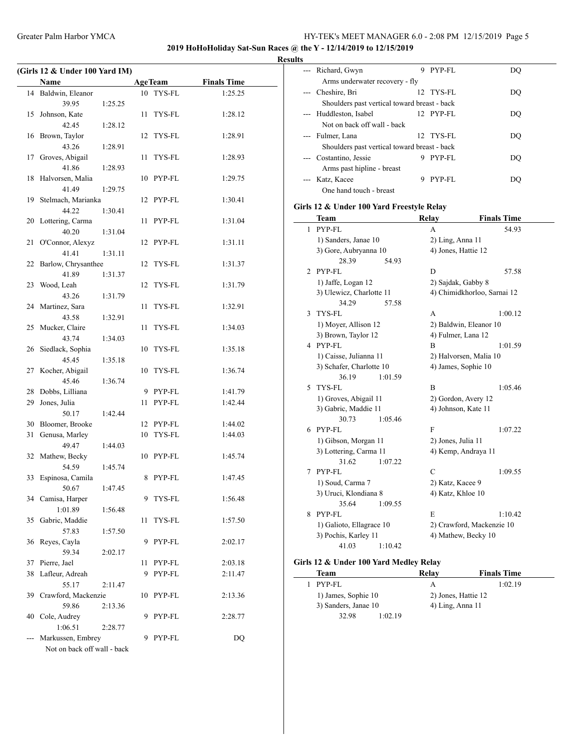## **2019 HoHoHoliday Sat-Sun Races @ the Y - 12/14/2019 to 12/15/2019**

**Results**

|    | (Girls 12 & Under 100 Yard IM) |         |    |                |                    |  |
|----|--------------------------------|---------|----|----------------|--------------------|--|
|    | Name                           |         |    | <b>AgeTeam</b> | <b>Finals Time</b> |  |
|    | 14 Baldwin, Eleanor            |         |    | 10 TYS-FL      | 1:25.25            |  |
|    | 39.95                          | 1:25.25 |    |                |                    |  |
|    | 15 Johnson, Kate               |         |    | 11 TYS-FL      | 1:28.12            |  |
|    | 42.45                          | 1:28.12 |    |                |                    |  |
|    | 16 Brown, Taylor               |         |    | 12 TYS-FL      | 1:28.91            |  |
|    | 43.26                          | 1:28.91 |    |                |                    |  |
| 17 | Groves, Abigail                |         |    | 11 TYS-FL      | 1:28.93            |  |
|    | 41.86                          | 1:28.93 |    |                |                    |  |
| 18 | Halvorsen, Malia               |         |    | 10 PYP-FL      | 1:29.75            |  |
|    | 41.49                          | 1:29.75 |    |                |                    |  |
| 19 | Stelmach, Marianka             |         |    | 12 PYP-FL      | 1:30.41            |  |
|    | 44.22                          | 1:30.41 |    |                |                    |  |
|    | 20 Lottering, Carma            |         |    | 11 PYP-FL      | 1:31.04            |  |
|    | 40.20                          | 1:31.04 |    |                |                    |  |
| 21 | O'Connor, Alexyz               |         |    | 12 PYP-FL      | 1:31.11            |  |
|    | 41.41                          | 1:31.11 |    |                |                    |  |
|    | 22 Barlow, Chrysanthee         |         |    | 12 TYS-FL      | 1:31.37            |  |
|    | 41.89                          | 1:31.37 |    |                |                    |  |
|    | 23 Wood, Leah                  |         |    | 12 TYS-FL      | 1:31.79            |  |
|    | 43.26                          | 1:31.79 |    |                |                    |  |
|    | 24 Martinez, Sara              |         |    | 11 TYS-FL      | 1:32.91            |  |
|    | 43.58                          | 1:32.91 |    |                |                    |  |
|    | 25 Mucker, Claire              |         |    | 11 TYS-FL      | 1:34.03            |  |
|    | 43.74                          | 1:34.03 |    |                |                    |  |
| 26 | Siedlack, Sophia               |         |    | 10 TYS-FL      | 1:35.18            |  |
|    | 45.45                          | 1:35.18 |    |                |                    |  |
|    | 27 Kocher, Abigail             |         |    | 10 TYS-FL      | 1:36.74            |  |
|    | 45.46                          | 1:36.74 |    |                |                    |  |
| 28 | Dobbs, Lilliana                |         |    | 9 PYP-FL       | 1:41.79            |  |
| 29 | Jones, Julia                   |         |    | 11 PYP-FL      | 1:42.44            |  |
|    | 50.17                          | 1:42.44 |    |                |                    |  |
| 30 | Bloomer, Brooke                |         |    | 12 PYP-FL      | 1:44.02            |  |
| 31 | Genusa, Marley                 |         |    | 10 TYS-FL      | 1:44.03            |  |
|    | 49.47                          | 1:44.03 |    |                |                    |  |
|    | 32 Mathew, Becky               |         |    | 10 PYP-FL      | 1:45.74            |  |
|    | 54.59                          | 1:45.74 |    |                |                    |  |
| 33 | Espinosa, Camila               |         |    | 8 PYP-FL       | 1:47.45            |  |
|    | 50.67                          | 1:47.45 |    |                |                    |  |
|    | 34 Camisa, Harper              |         |    | 9 TYS-FL       | 1:56.48            |  |
|    | 1:01.89                        | 1:56.48 |    |                |                    |  |
| 35 | Gabric, Maddie                 |         | 11 | TYS-FL         | 1:57.50            |  |
|    | 57.83                          | 1:57.50 |    |                |                    |  |
|    | 36 Reyes, Cayla                |         | 9  | PYP-FL         | 2:02.17            |  |
|    | 59.34                          | 2:02.17 |    |                |                    |  |
| 37 | Pierre, Jael                   |         | 11 | PYP-FL         | 2:03.18            |  |
| 38 | Lafleur, Adreah                |         | 9  | PYP-FL         | 2:11.47            |  |
|    | 55.17                          | 2:11.47 |    |                |                    |  |
| 39 | Crawford, Mackenzie            |         |    | 10 PYP-FL      | 2:13.36            |  |
|    | 59.86                          | 2:13.36 |    |                |                    |  |
| 40 | Cole, Audrey                   |         |    | 9 PYP-FL       | 2:28.77            |  |
|    | 1:06.51                        | 2:28.77 |    |                |                    |  |
|    | Markussen, Embrey              |         |    | 9 PYP-FL       | DQ                 |  |
|    | Not on back off wall - back    |         |    |                |                    |  |

| دن |                                              |   |           |    |
|----|----------------------------------------------|---|-----------|----|
|    | --- Richard, Gwyn                            | 9 | PYP-FL    | DO |
|    | Arms underwater recovery - fly               |   |           |    |
|    | --- Cheshire, Bri                            |   | 12 TYS-FL | DO |
|    | Shoulders past vertical toward breast - back |   |           |    |
|    | --- Huddleston, Isabel                       |   | 12 PYP-FL | DO |
|    | Not on back off wall - back                  |   |           |    |
|    | --- Fulmer, Lana                             |   | 12 TYS-FL | DO |
|    | Shoulders past vertical toward breast - back |   |           |    |
|    | --- Costantino, Jessie                       | 9 | PYP-FL    | DO |
|    | Arms past hipline - breast                   |   |           |    |
|    | Katz, Kacee                                  | 9 | PYP-FL    | DO |
|    | One hand touch - breast                      |   |           |    |
|    |                                              |   |           |    |

## **Girls 12 & Under 100 Yard Freestyle Relay**

|    | Team                       | Relay               | <b>Finals Time</b>          |
|----|----------------------------|---------------------|-----------------------------|
| 1  | PYP-FL                     | A                   | 54.93                       |
|    | 1) Sanders, Janae 10       | 2) Ling, Anna 11    |                             |
|    | 3) Gore, Aubryanna 10      | 4) Jones, Hattie 12 |                             |
|    | 28.39<br>54.93             |                     |                             |
| 2  | PYP-FL                     | D                   | 57.58                       |
|    | 1) Jaffe, Logan 12         | 2) Sajdak, Gabby 8  |                             |
|    | 3) Ulewicz, Charlotte 11   |                     | 4) Chimidkhorloo, Sarnai 12 |
|    | 34.29<br>57.58             |                     |                             |
| 3  | TYS-FL                     | А                   | 1:00.12                     |
|    | 1) Moyer, Allison 12       |                     | 2) Baldwin, Eleanor 10      |
|    | 3) Brown, Taylor 12        | 4) Fulmer, Lana 12  |                             |
|    | 4 PYP-FL                   | B                   | 1:01.59                     |
|    | 1) Caisse, Julianna 11     |                     | 2) Halvorsen, Malia 10      |
|    | 3) Schafer, Charlotte 10   | 4) James, Sophie 10 |                             |
| 5. | 36.19<br>1:01.59<br>TYS-FL | B                   | 1:05.46                     |
|    | 1) Groves, Abigail 11      | 2) Gordon, Avery 12 |                             |
|    | 3) Gabric, Maddie 11       | 4) Johnson, Kate 11 |                             |
|    | 30.73<br>1:05.46           |                     |                             |
|    | 6 PYP-FL                   | F                   | 1:07.22                     |
|    | 1) Gibson, Morgan 11       | 2) Jones, Julia 11  |                             |
|    | 3) Lottering, Carma 11     |                     | 4) Kemp, Andraya 11         |
|    | 31.62<br>1:07.22           |                     |                             |
| 7  | PYP-FL                     | $\mathcal{C}$       | 1:09.55                     |
|    | 1) Soud, Carma 7           | 2) Katz, Kacee 9    |                             |
|    | 3) Uruci, Klondiana 8      | 4) Katz, Khloe 10   |                             |
|    | 35.64<br>1:09.55           |                     |                             |
| 8. | PYP-FL                     | E                   | 1:10.42                     |
|    | 1) Galioto, Ellagrace 10   |                     | 2) Crawford, Mackenzie 10   |
|    | 3) Pochis, Karley 11       |                     | 4) Mathew, Becky 10         |
|    | 41.03<br>1:10.42           |                     |                             |
|    |                            |                     |                             |

# **Girls 12 & Under 100 Yard Medley Relay**

| Team                 |         | Relav                 | <b>Finals Time</b>  |
|----------------------|---------|-----------------------|---------------------|
| PYP-FL               |         | А                     | 1:02.19             |
| 1) James, Sophie 10  |         |                       | 2) Jones, Hattie 12 |
| 3) Sanders, Janae 10 |         | $(4)$ Ling, Anna $11$ |                     |
| 32.98                | 1:02.19 |                       |                     |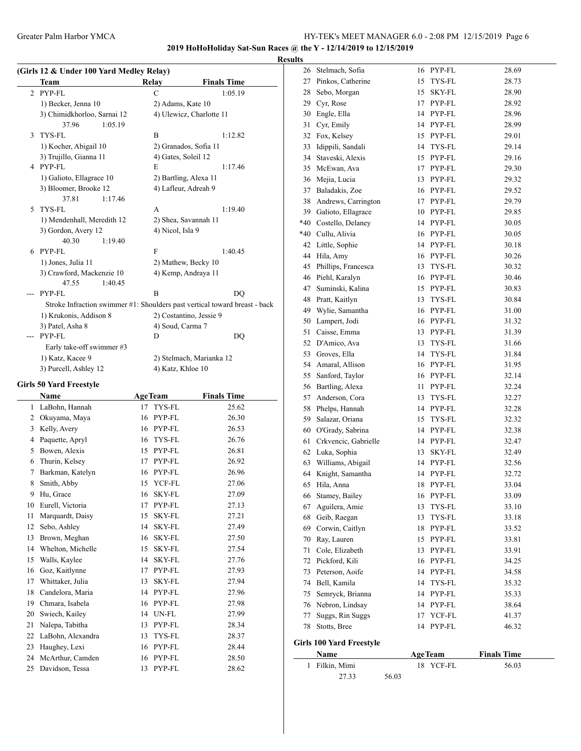**2019 HoHoHoliday Sat-Sun Races @ the Y - 12/14/2019 to 12/15/2019**

## **Results**

| (Girls 12 & Under 100 Yard Medley Relay) |                             |                     |                                                                            |  |  |  |
|------------------------------------------|-----------------------------|---------------------|----------------------------------------------------------------------------|--|--|--|
|                                          | Team                        | Relay               | <b>Finals Time</b>                                                         |  |  |  |
| $\overline{2}$                           | PYP-FL                      | C                   | 1:05.19                                                                    |  |  |  |
|                                          | 1) Becker, Jenna 10         | 2) Adams, Kate 10   |                                                                            |  |  |  |
|                                          | 3) Chimidkhorloo, Sarnai 12 |                     | 4) Ulewicz, Charlotte 11                                                   |  |  |  |
|                                          | 37.96<br>1:05.19            |                     |                                                                            |  |  |  |
| 3                                        | TYS-FL                      | B                   | 1:12.82                                                                    |  |  |  |
|                                          | 1) Kocher, Abigail 10       |                     | 2) Granados, Sofía 11                                                      |  |  |  |
|                                          | 3) Trujillo, Gianna 11      | 4) Gates, Soleil 12 |                                                                            |  |  |  |
| 4                                        | PYP-FL                      | E                   | 1:17.46                                                                    |  |  |  |
|                                          | 1) Galioto, Ellagrace 10    |                     | 2) Bartling, Alexa 11                                                      |  |  |  |
|                                          | 3) Bloomer, Brooke 12       |                     | 4) Lafleur, Adreah 9                                                       |  |  |  |
|                                          | 37.81<br>1:17.46            |                     |                                                                            |  |  |  |
| 5                                        | TYS-FL                      | А                   | 1:19.40                                                                    |  |  |  |
|                                          | 1) Mendenhall, Meredith 12  |                     | 2) Shea, Savannah 11                                                       |  |  |  |
|                                          | 3) Gordon, Avery 12         | 4) Nicol, Isla 9    |                                                                            |  |  |  |
|                                          | 40.30<br>1:19.40            |                     |                                                                            |  |  |  |
| 6                                        | PYP-FL                      | F                   | 1:40.45                                                                    |  |  |  |
|                                          | 1) Jones, Julia 11          |                     | 2) Mathew, Becky 10                                                        |  |  |  |
|                                          | 3) Crawford, Mackenzie 10   |                     | 4) Kemp, Andraya 11                                                        |  |  |  |
|                                          | 47.55<br>1:40.45            |                     |                                                                            |  |  |  |
|                                          | PYP-FL                      | B                   | DO                                                                         |  |  |  |
|                                          |                             |                     | Stroke Infraction swimmer #1: Shoulders past vertical toward breast - back |  |  |  |
|                                          | 1) Krukonis, Addison 8      |                     | 2) Costantino, Jessie 9                                                    |  |  |  |
|                                          | 3) Patel, Asha 8            | 4) Soud, Carma 7    |                                                                            |  |  |  |
| ---                                      | PYP-FL                      | D                   | DQ                                                                         |  |  |  |
|                                          | Early take-off swimmer #3   |                     |                                                                            |  |  |  |
|                                          | 1) Katz, Kacee 9            |                     | 2) Stelmach, Marianka 12                                                   |  |  |  |
|                                          | 3) Purcell, Ashley 12       | 4) Katz, Khloe 10   |                                                                            |  |  |  |

### **Girls 50 Yard Freestyle**

|    | Name              |    | <b>AgeTeam</b> | <b>Finals Time</b> |
|----|-------------------|----|----------------|--------------------|
| 1  | LaBohn, Hannah    | 17 | TYS-FL         | 25.62              |
| 2  | Okuyama, Maya     | 16 | PYP-FL         | 26.30              |
| 3  | Kelly, Avery      | 16 | PYP-FL         | 26.53              |
| 4  | Paquette, Apryl   | 16 | TYS-FL         | 26.76              |
| 5  | Bowen, Alexis     | 15 | PYP-FL         | 26.81              |
| 6  | Thurin, Kelsey    | 17 | PYP-FL         | 26.92              |
| 7  | Barkman, Katelyn  | 16 | PYP-FL         | 26.96              |
| 8  | Smith, Abby       | 15 | YCF-FL         | 27.06              |
| 9  | Hu, Grace         | 16 | <b>SKY-FL</b>  | 27.09              |
| 10 | Eurell, Victoria  | 17 | PYP-FL         | 27.13              |
| 11 | Marquardt, Daisy  | 15 | <b>SKY-FL</b>  | 27.21              |
| 12 | Sebo, Ashley      | 14 | <b>SKY-FL</b>  | 27.49              |
| 13 | Brown, Meghan     | 16 | <b>SKY-FL</b>  | 27.50              |
| 14 | Whelton, Michelle | 15 | <b>SKY-FL</b>  | 27.54              |
| 15 | Walls, Kaylee     | 14 | <b>SKY-FL</b>  | 27.76              |
| 16 | Goz, Kaitlynne    | 17 | PYP-FL         | 27.93              |
| 17 | Whittaker, Julia  | 13 | <b>SKY-FL</b>  | 27.94              |
| 18 | Candelora, Maria  | 14 | PYP-FL         | 27.96              |
| 19 | Chmara, Isabela   | 16 | PYP-FL         | 27.98              |
| 20 | Swiech, Kailey    | 14 | UN-FL          | 27.99              |
| 21 | Nalepa, Tabitha   | 13 | PYP-FL         | 28.34              |
| 22 | LaBohn, Alexandra | 13 | TYS-FL         | 28.37              |
| 23 | Haughey, Lexi     | 16 | PYP-FL         | 28.44              |
| 24 | McArthur, Camden  | 16 | PYP-FL         | 28.50              |
| 25 | Davidson, Tessa   | 13 | PYP-FL         | 28.62              |

|    | 26 Stelmach, Sofia              |    | 16 PYP-FL      | 28.69              |  |
|----|---------------------------------|----|----------------|--------------------|--|
|    | 27 Pinkos, Catherine            |    | 15 TYS-FL      | 28.73              |  |
|    | 28 Sebo, Morgan                 | 15 | SKY-FL         | 28.90              |  |
|    | 29 Cyr, Rose                    |    | 17 PYP-FL      | 28.92              |  |
|    | 30 Engle, Ella                  |    | 14 PYP-FL      | 28.96              |  |
|    | 31 Cyr, Emily                   |    | 14 PYP-FL      | 28.99              |  |
|    | 32 Fox, Kelsey                  |    | 15 PYP-FL      | 29.01              |  |
|    | 33 Idippili, Sandali            |    | 14 TYS-FL      | 29.14              |  |
|    | 34 Staveski, Alexis             |    | 15 PYP-FL      | 29.16              |  |
|    | 35 McEwan, Ava                  |    | 17 PYP-FL      | 29.30              |  |
|    | 36 Mejia, Lucia                 |    | 13 PYP-FL      | 29.32              |  |
|    | 37 Baladakis, Zoe               |    | 16 PYP-FL      | 29.52              |  |
|    | 38 Andrews, Carrington          |    | 17 PYP-FL      | 29.79              |  |
|    | 39 Galioto, Ellagrace           |    | 10 PYP-FL      | 29.85              |  |
|    | *40 Costello, Delaney           |    | 14 PYP-FL      | 30.05              |  |
|    | *40 Cullu, Alivia               |    | 16 PYP-FL      | 30.05              |  |
|    | 42 Little, Sophie               |    | 14 PYP-FL      | 30.18              |  |
|    | 44 Hila, Amy                    |    | 16 PYP-FL      | 30.26              |  |
|    | 45 Phillips, Francesca          |    | 13 TYS-FL      | 30.32              |  |
|    | 46 Piehl, Karalyn               |    | 16 PYP-FL      | 30.46              |  |
|    | 47 Suminski, Kalina             |    | 15 PYP-FL      | 30.83              |  |
|    | 48 Pratt, Kaitlyn               |    | 13 TYS-FL      | 30.84              |  |
|    | 49 Wylie, Samantha              |    | 16 PYP-FL      | 31.00              |  |
|    | 50 Lampert, Jodi                |    | 16 PYP-FL      | 31.32              |  |
|    | 51 Caisse, Emma                 |    | 13 PYP-FL      | 31.39              |  |
|    | 52 D'Amico, Ava                 |    | 13 TYS-FL      | 31.66              |  |
|    | 53 Groves, Ella                 |    | 14 TYS-FL      | 31.84              |  |
|    | 54 Amaral, Allison              |    | 16 PYP-FL      |                    |  |
|    |                                 |    |                | 31.95              |  |
|    | 55 Sanford, Taylor              |    | 16 PYP-FL      | 32.14              |  |
|    | 56 Bartling, Alexa              |    | 11 PYP-FL      | 32.24              |  |
|    | 57 Anderson, Cora               | 13 | TYS-FL         | 32.27              |  |
|    | 58 Phelps, Hannah               |    | 14 PYP-FL      | 32.28              |  |
|    | 59 Salazar, Oriana              | 15 | TYS-FL         | 32.32              |  |
|    | 60 O'Grady, Sabrina             |    | 14 PYP-FL      | 32.38              |  |
| 61 | Crkvencic, Gabrielle            |    | 14 PYP-FL      | 32.47              |  |
|    | 62 Luka, Sophia                 | 13 | SKY-FL         | 32.49              |  |
|    | 63 Williams, Abigail            |    | 14 PYP-FL      | 32.56              |  |
|    | 64 Knight, Samantha             |    | 14 PYP-FL      | 32.72              |  |
| 65 | Hila, Anna                      | 18 | PYP-FL         | 33.04              |  |
| 66 | Stamey, Bailey                  |    | 16 PYP-FL      | 33.09              |  |
| 67 | Aguilera, Amie                  | 13 | TYS-FL         | 33.10              |  |
|    | 68 Geib, Raegan                 | 13 | TYS-FL         | 33.18              |  |
|    | 69 Corwin, Caitlyn              |    | 18 PYP-FL      | 33.52              |  |
| 70 | Ray, Lauren                     | 15 | PYP-FL         | 33.81              |  |
| 71 | Cole, Elizabeth                 | 13 | PYP-FL         | 33.91              |  |
| 72 | Pickford, Kili                  | 16 | PYP-FL         | 34.25              |  |
| 73 | Peterson, Aoife                 | 14 | PYP-FL         | 34.58              |  |
|    | 74 Bell, Kamila                 | 14 | TYS-FL         | 35.32              |  |
| 75 | Semryck, Brianna                |    | 14 PYP-FL      | 35.33              |  |
|    | 76 Nebron, Lindsay              |    | 14 PYP-FL      | 38.64              |  |
| 77 | Suggs, Rin Suggs                | 17 | YCF-FL         | 41.37              |  |
| 78 | Stotts, Bree                    |    | 14 PYP-FL      | 46.32              |  |
|    | <b>Girls 100 Yard Freestyle</b> |    |                |                    |  |
|    | Name                            |    | <b>AgeTeam</b> | <b>Finals Time</b> |  |
| 1  | Filkin, Mimi                    | 18 | YCF-FL         | 56.03              |  |

27.33 56.03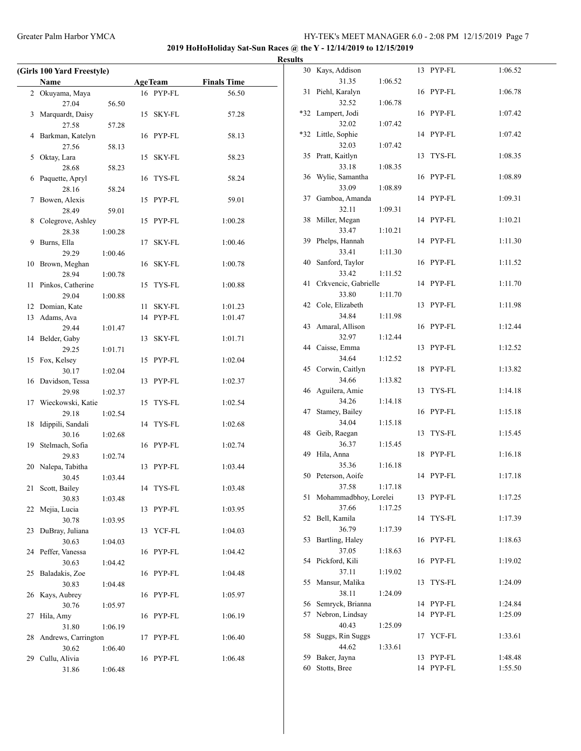**2019 HoHoHoliday Sat-Sun Races @ the Y - 12/14/2019 to 12/15/2019**

**Results**

|                | (Girls 100 Yard Freestyle) |         |      |                |                    |  |
|----------------|----------------------------|---------|------|----------------|--------------------|--|
|                | Name                       |         |      | <b>AgeTeam</b> | <b>Finals Time</b> |  |
| $\overline{2}$ | Okuyama, Maya              |         |      | 16 PYP-FL      | 56.50              |  |
|                | 27.04                      | 56.50   |      |                |                    |  |
| 3              | Marquardt, Daisy           |         |      | 15 SKY-FL      | 57.28              |  |
|                | 27.58                      | 57.28   |      |                |                    |  |
| 4              | Barkman, Katelyn           |         |      | 16 PYP-FL      | 58.13              |  |
|                | 27.56                      | 58.13   |      |                |                    |  |
| 5              | Oktay, Lara                |         |      | 15 SKY-FL      | 58.23              |  |
|                | 28.68                      | 58.23   |      |                |                    |  |
| 6              | Paquette, Apryl            |         |      | 16 TYS-FL      | 58.24              |  |
|                | 28.16                      | 58.24   |      |                |                    |  |
| 7              | Bowen, Alexis              |         |      | 15 PYP-FL      | 59.01              |  |
|                | 28.49                      | 59.01   |      |                |                    |  |
| 8              | Colegrove, Ashley          |         |      | 15 PYP-FL      | 1:00.28            |  |
|                | 28.38                      | 1:00.28 |      |                |                    |  |
| 9              | Burns, Ella                |         | 17   | SKY-FL         | 1:00.46            |  |
|                | 29.29                      | 1:00.46 |      |                |                    |  |
|                | 10 Brown, Meghan           |         |      | 16 SKY-FL      | 1:00.78            |  |
|                | 28.94                      | 1:00.78 |      |                |                    |  |
| 11             | Pinkos, Catherine          |         |      | 15 TYS-FL      | 1:00.88            |  |
|                | 29.04                      | 1:00.88 |      |                |                    |  |
| 12             | Domian, Kate               |         | 11 - | SKY-FL         | 1:01.23            |  |
|                | 13 Adams, Ava              |         |      | 14 PYP-FL      | 1:01.47            |  |
|                | 29.44                      | 1:01.47 |      |                |                    |  |
|                | 14 Belder, Gaby            |         | 13   | SKY-FL         | 1:01.71            |  |
|                | 29.25                      | 1:01.71 |      |                |                    |  |
|                | 15 Fox, Kelsey             |         |      | 15 PYP-FL      | 1:02.04            |  |
|                | 30.17                      | 1:02.04 |      |                |                    |  |
|                | 16 Davidson, Tessa         |         |      | 13 PYP-FL      | 1:02.37            |  |
|                | 29.98                      | 1:02.37 |      |                |                    |  |
| 17             | Wieckowski, Katie          |         |      | 15 TYS-FL      | 1:02.54            |  |
|                | 29.18                      | 1:02.54 |      |                |                    |  |
| 18             | Idippili, Sandali          |         |      | 14 TYS-FL      | 1:02.68            |  |
|                | 30.16                      | 1:02.68 |      |                |                    |  |
| 19             | Stelmach, Sofia            |         |      | 16 PYP-FL      | 1:02.74            |  |
|                | 29.83                      | 1:02.74 |      |                |                    |  |
|                | 20 Nalepa, Tabitha         |         |      | 13 PYP-FL      | 1:03.44            |  |
|                | 30.45                      | 1:03.44 |      |                |                    |  |
|                | 21 Scott, Bailey           |         |      | 14 TYS-FL      | 1:03.48            |  |
|                | 30.83                      |         |      |                |                    |  |
| 22             | Mejia, Lucia               | 1:03.48 |      | 13 PYP-FL      | 1:03.95            |  |
|                | 30.78                      | 1:03.95 |      |                |                    |  |
| 23             | DuBray, Juliana            |         |      | 13 YCF-FL      | 1:04.03            |  |
|                | 30.63                      |         |      |                |                    |  |
| 24             | Peffer, Vanessa            | 1:04.03 |      | 16 PYP-FL      | 1:04.42            |  |
|                | 30.63                      |         |      |                |                    |  |
| 25             | Baladakis, Zoe             | 1:04.42 |      | 16 PYP-FL      | 1:04.48            |  |
|                |                            |         |      |                |                    |  |
| 26             | 30.83<br>Kays, Aubrey      | 1:04.48 |      | 16 PYP-FL      |                    |  |
|                |                            |         |      |                | 1:05.97            |  |
|                | 30.76                      | 1:05.97 |      |                |                    |  |
| 27             | Hila, Amy                  |         |      | 16 PYP-FL      | 1:06.19            |  |
|                | 31.80                      | 1:06.19 |      |                |                    |  |
| 28             | Andrews, Carrington        |         | 17   | PYP-FL         | 1:06.40            |  |
| 29             | 30.62                      | 1:06.40 |      |                | 1:06.48            |  |
|                | Cullu, Alivia<br>31.86     | 1:06.48 |      | 16 PYP-FL      |                    |  |
|                |                            |         |      |                |                    |  |

|       | 30 Kays, Addison      |         |    | 13 PYP-FL | 1:06.52 |
|-------|-----------------------|---------|----|-----------|---------|
|       | 31.35                 | 1:06.52 |    |           |         |
| 31    | Piehl, Karalyn        |         |    | 16 PYP-FL | 1:06.78 |
|       | 32.52                 | 1:06.78 |    |           |         |
| *32   | Lampert, Jodi         |         |    | 16 PYP-FL | 1:07.42 |
|       | 32.02                 | 1:07.42 |    |           |         |
| $*32$ | Little, Sophie        |         |    | 14 PYP-FL | 1:07.42 |
|       | 32.03                 | 1:07.42 |    |           |         |
| 35    | Pratt, Kaitlyn        |         | 13 | TYS-FL    | 1:08.35 |
|       | 33.18                 | 1:08.35 |    |           |         |
| 36    | Wylie, Samantha       |         |    | 16 PYP-FL | 1:08.89 |
|       | 33.09                 | 1:08.89 |    |           |         |
| 37    | Gamboa, Amanda        |         |    | 14 PYP-FL | 1:09.31 |
|       | 32.11                 | 1:09.31 |    |           |         |
| 38    | Miller, Megan         |         |    | 14 PYP-FL | 1:10.21 |
|       | 33.47                 | 1:10.21 |    |           |         |
| 39    | Phelps, Hannah        |         |    | 14 PYP-FL | 1:11.30 |
|       | 33.41                 | 1:11.30 |    |           |         |
| 40    | Sanford, Taylor       |         |    | 16 PYP-FL | 1:11.52 |
|       | 33.42                 | 1:11.52 |    |           |         |
| 41    | Crkvencic, Gabrielle  |         |    | 14 PYP-FL | 1:11.70 |
|       | 33.80                 | 1:11.70 |    |           |         |
|       | 42 Cole, Elizabeth    |         | 13 | PYP-FL    | 1:11.98 |
|       | 34.84                 | 1:11.98 |    |           |         |
| 43    | Amaral, Allison       |         |    | 16 PYP-FL | 1:12.44 |
|       | 32.97                 | 1:12.44 |    |           |         |
|       | 44 Caisse, Emma       |         | 13 | PYP-FL    | 1:12.52 |
|       | 34.64                 | 1:12.52 |    |           |         |
| 45    | Corwin, Caitlyn       |         | 18 | PYP-FL    | 1:13.82 |
|       | 34.66                 | 1:13.82 |    |           |         |
|       | 46 Aguilera, Amie     |         | 13 | TYS-FL    | 1:14.18 |
|       | 34.26                 | 1:14.18 |    |           |         |
| 47    | Stamey, Bailey        |         |    | 16 PYP-FL | 1:15.18 |
|       | 34.04                 | 1:15.18 |    |           |         |
| 48    | Geib, Raegan          |         | 13 | TYS-FL    | 1:15.45 |
|       | 36.37                 | 1:15.45 |    |           | 1:16.18 |
| 49    | Hila, Anna<br>35.36   |         | 18 | PYP-FL    |         |
| 50    | Peterson, Aoife       | 1:16.18 |    | 14 PYP-FL | 1:17.18 |
|       | 37.58                 | 1:17.18 |    |           |         |
| 51    | Mohammadbhoy, Lorelei |         |    | 13 PYP-FL | 1:17.25 |
|       | 37.66                 | 1:17.25 |    |           |         |
| 52    | Bell, Kamila          |         | 14 | TYS-FL    | 1:17.39 |
|       | 36.79                 | 1:17.39 |    |           |         |
| 53    | Bartling, Haley       |         |    | 16 PYP-FL | 1:18.63 |
|       | 37.05                 | 1:18.63 |    |           |         |
| 54    | Pickford, Kili        |         | 16 | PYP-FL    | 1:19.02 |
|       | 37.11                 | 1:19.02 |    |           |         |
| 55    | Mansur, Malika        |         | 13 | TYS-FL    | 1:24.09 |
|       | 38.11                 | 1:24.09 |    |           |         |
| 56    | Semryck, Brianna      |         |    | 14 PYP-FL | 1:24.84 |
| 57    | Nebron, Lindsay       |         |    | 14 PYP-FL | 1:25.09 |
|       | 40.43                 | 1:25.09 |    |           |         |
| 58    | Suggs, Rin Suggs      |         | 17 | YCF-FL    | 1:33.61 |
|       | 44.62                 | 1:33.61 |    |           |         |
| 59    | Baker, Jayna          |         | 13 | PYP-FL    | 1:48.48 |
| 60    | Stotts, Bree          |         | 14 | PYP-FL    | 1:55.50 |
|       |                       |         |    |           |         |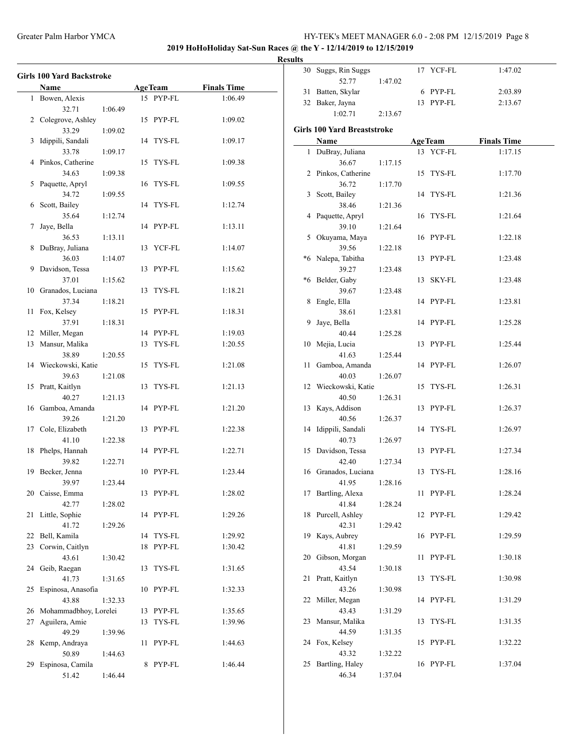**2019 HoHoHoliday Sat-Sun Races @ the Y - 12/14/2019 to 12/15/2019**

**Results**

|    | <b>Girls 100 Yard Backstroke</b><br>Name |         |    | <b>AgeTeam</b> | <b>Finals Time</b> |
|----|------------------------------------------|---------|----|----------------|--------------------|
|    | 1 Bowen, Alexis                          |         |    | 15 PYP-FL      | 1:06.49            |
|    | 32.71                                    | 1:06.49 |    |                |                    |
|    | 2 Colegrove, Ashley                      |         |    | 15 PYP-FL      | 1:09.02            |
|    | 33.29                                    | 1:09.02 |    |                |                    |
| 3  | Idippili, Sandali                        |         |    | 14 TYS-FL      | 1:09.17            |
|    |                                          |         |    |                |                    |
|    | 33.78                                    | 1:09.17 |    |                |                    |
|    | 4 Pinkos, Catherine                      |         | 15 | TYS-FL         | 1:09.38            |
|    | 34.63                                    | 1:09.38 |    |                |                    |
| 5  | Paquette, Apryl                          |         |    | 16 TYS-FL      | 1:09.55            |
|    | 34.72                                    | 1:09.55 |    |                |                    |
| 6  | Scott, Bailey                            |         |    | 14 TYS-FL      | 1:12.74            |
|    | 35.64                                    | 1:12.74 |    |                |                    |
| 7  | Jaye, Bella                              |         |    | 14 PYP-FL      | 1:13.11            |
|    | 36.53                                    | 1:13.11 |    |                |                    |
| 8  | DuBray, Juliana                          |         | 13 | YCF-FL         | 1:14.07            |
|    | 36.03                                    | 1:14.07 |    |                |                    |
| 9  | Davidson, Tessa                          |         | 13 | PYP-FL         | 1:15.62            |
|    | 37.01                                    | 1:15.62 |    |                |                    |
| 10 | Granados, Luciana                        |         | 13 | TYS-FL         | 1:18.21            |
|    | 37.34                                    | 1:18.21 |    |                |                    |
| 11 | Fox, Kelsey                              |         |    | 15 PYP-FL      | 1:18.31            |
|    | 37.91                                    | 1:18.31 |    |                |                    |
| 12 | Miller, Megan                            |         |    | 14 PYP-FL      | 1:19.03            |
| 13 | Mansur, Malika                           |         |    | 13 TYS-FL      | 1:20.55            |
|    | 38.89                                    | 1:20.55 |    |                |                    |
|    | 14 Wieckowski, Katie                     |         |    | 15 TYS-FL      | 1:21.08            |
|    | 39.63                                    | 1:21.08 |    |                |                    |
|    | 15 Pratt, Kaitlyn                        |         |    | 13 TYS-FL      | 1:21.13            |
|    | 40.27                                    | 1:21.13 |    |                |                    |
| 16 | Gamboa, Amanda                           |         |    | 14 PYP-FL      | 1:21.20            |
|    | 39.26                                    | 1:21.20 |    |                |                    |
|    |                                          |         |    |                |                    |
| 17 | Cole, Elizabeth<br>41.10                 | 1:22.38 |    | 13 PYP-FL      | 1:22.38            |
|    |                                          |         |    |                |                    |
| 18 | Phelps, Hannah                           |         |    | 14 PYP-FL      | 1:22.71            |
|    | 39.82                                    | 1:22.71 |    |                |                    |
| 19 | Becker, Jenna                            |         |    | 10 PYP-FL      | 1:23.44            |
|    | 39.97                                    | 1:23.44 |    |                |                    |
|    | 20 Caisse, Emma                          |         |    | 13 PYP-FL      | 1:28.02            |
|    | 42.77                                    | 1:28.02 |    |                |                    |
| 21 | Little, Sophie                           |         |    | 14 PYP-FL      | 1:29.26            |
|    | 41.72                                    | 1:29.26 |    |                |                    |
| 22 | Bell, Kamila                             |         |    | 14 TYS-FL      | 1:29.92            |
|    | 23 Corwin, Caitlyn                       |         | 18 | PYP-FL         | 1:30.42            |
|    | 43.61                                    | 1:30.42 |    |                |                    |
|    | 24 Geib, Raegan                          |         | 13 | TYS-FL         | 1:31.65            |
|    | 41.73                                    | 1:31.65 |    |                |                    |
| 25 | Espinosa, Anasofia                       |         | 10 | PYP-FL         | 1:32.33            |
|    | 43.88                                    | 1:32.33 |    |                |                    |
|    | 26 Mohammadbhoy, Lorelei                 |         |    | 13 PYP-FL      | 1:35.65            |
| 27 | Aguilera, Amie                           |         | 13 | TYS-FL         | 1:39.96            |
|    | 49.29                                    | 1:39.96 |    |                |                    |
| 28 | Kemp, Andraya                            |         | 11 | PYP-FL         | 1:44.63            |
|    | 50.89                                    | 1:44.63 |    |                |                    |
| 29 | Espinosa, Camila                         |         | 8  | PYP-FL         | 1:46.44            |
|    | 51.42                                    | 1:46.44 |    |                |                    |
|    |                                          |         |    |                |                    |

| 30 | Suggs, Rin Suggs                   |         | 17 | YCF-FL         | 1:47.02            |
|----|------------------------------------|---------|----|----------------|--------------------|
|    | 52.77                              | 1:47.02 |    |                |                    |
|    | 31 Batten, Skylar                  |         |    | 6 PYP-FL       | 2:03.89            |
|    | 32 Baker, Jayna                    |         |    | 13 PYP-FL      |                    |
|    |                                    |         |    |                | 2:13.67            |
|    | 1:02.71                            | 2:13.67 |    |                |                    |
|    | <b>Girls 100 Yard Breaststroke</b> |         |    |                |                    |
|    | Name                               |         |    | <b>AgeTeam</b> | <b>Finals Time</b> |
|    | 1 DuBray, Juliana                  |         |    | 13 YCF-FL      | 1:17.15            |
|    | 36.67                              | 1:17.15 |    |                |                    |
| 2  | Pinkos, Catherine                  |         | 15 | TYS-FL         | 1:17.70            |
|    |                                    |         |    |                |                    |
|    | 36.72                              | 1:17.70 |    |                |                    |
|    | 3 Scott, Bailey                    |         | 14 | TYS-FL         | 1:21.36            |
|    | 38.46                              | 1:21.36 |    |                |                    |
|    | 4 Paquette, Apryl                  |         | 16 | TYS-FL         | 1:21.64            |
|    | 39.10                              | 1:21.64 |    |                |                    |
|    | 5 Okuyama, Maya                    |         |    | 16 PYP-FL      | 1:22.18            |
|    | 39.56                              | 1:22.18 |    |                |                    |
|    | *6 Nalepa, Tabitha                 |         |    | 13 PYP-FL      | 1:23.48            |
|    | 39.27                              | 1:23.48 |    |                |                    |
|    | *6 Belder, Gaby                    |         | 13 | SKY-FL         | 1:23.48            |
|    | 39.67                              | 1:23.48 |    |                |                    |
| 8  | Engle, Ella                        |         |    | 14 PYP-FL      | 1:23.81            |
|    | 38.61                              | 1:23.81 |    |                |                    |
| 9  | Jaye, Bella                        |         |    | 14 PYP-FL      | 1:25.28            |
|    | 40.44                              | 1:25.28 |    |                |                    |
|    |                                    |         |    | 13 PYP-FL      | 1:25.44            |
| 10 | Mejia, Lucia                       |         |    |                |                    |
|    | 41.63                              | 1:25.44 |    |                |                    |
| 11 | Gamboa, Amanda                     |         |    | 14 PYP-FL      | 1:26.07            |
|    | 40.03                              | 1:26.07 |    |                |                    |
|    | 12 Wieckowski, Katie               |         | 15 | TYS-FL         | 1:26.31            |
|    | 40.50                              | 1:26.31 |    |                |                    |
| 13 | Kays, Addison                      |         |    | 13 PYP-FL      | 1:26.37            |
|    | 40.56                              | 1:26.37 |    |                |                    |
| 14 | Idippili, Sandali                  |         | 14 | TYS-FL         | 1:26.97            |
|    | 40.73                              | 1:26.97 |    |                |                    |
| 15 | Davidson, Tessa                    |         | 13 | PYP-FL         | 1:27.34            |
|    | 42.40                              | 1:27.34 |    |                |                    |
|    | 16 Granados, Luciana               |         | 13 | TYS-FL         | 1:28.16            |
|    | 41.95                              | 1:28.16 |    |                |                    |
|    | 17 Bartling, Alexa                 |         |    | 11 PYP-FL      | 1:28.24            |
|    | 41.84                              | 1:28.24 |    |                |                    |
| 18 | Purcell, Ashley                    |         |    | 12 PYP-FL      | 1:29.42            |
|    | 42.31                              | 1:29.42 |    |                |                    |
|    |                                    |         |    |                |                    |
| 19 | Kays, Aubrey                       |         |    | 16 PYP-FL      | 1:29.59            |
|    | 41.81                              | 1:29.59 |    |                |                    |
| 20 | Gibson, Morgan                     |         | 11 | PYP-FL         | 1:30.18            |
|    | 43.54                              | 1:30.18 |    |                |                    |
| 21 | Pratt, Kaitlyn                     |         | 13 | TYS-FL         | 1:30.98            |
|    | 43.26                              | 1:30.98 |    |                |                    |
| 22 | Miller, Megan                      |         |    | 14 PYP-FL      | 1:31.29            |
|    | 43.43                              | 1:31.29 |    |                |                    |
| 23 | Mansur, Malika                     |         | 13 | TYS-FL         | 1:31.35            |
|    | 44.59                              | 1:31.35 |    |                |                    |
|    | 24 Fox, Kelsey                     |         | 15 | PYP-FL         | 1:32.22            |
|    | 43.32                              | 1:32.22 |    |                |                    |
| 25 | Bartling, Haley                    |         |    | 16 PYP-FL      | 1:37.04            |
|    | 46.34                              | 1:37.04 |    |                |                    |
|    |                                    |         |    |                |                    |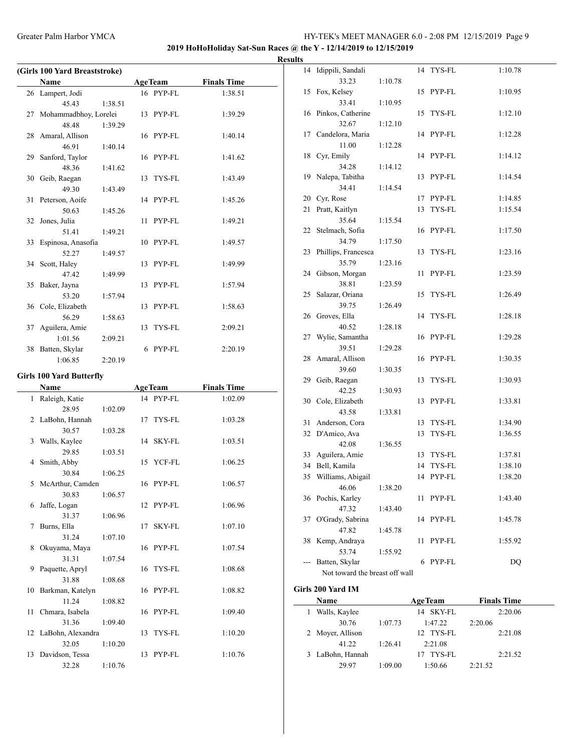**2019 HoHoHoliday Sat-Sun Races @ the Y - 12/14/2019 to 12/15/2019**

**Results**

| (Girls 100 Yard Breaststroke) |                          |         |    |                |                    |  |  |  |
|-------------------------------|--------------------------|---------|----|----------------|--------------------|--|--|--|
|                               | <b>Name</b>              |         |    | <b>AgeTeam</b> | <b>Finals Time</b> |  |  |  |
|                               | 26 Lampert, Jodi         |         |    | 16 PYP-FL      | 1:38.51            |  |  |  |
|                               | 45.43                    | 1:38.51 |    |                |                    |  |  |  |
|                               | 27 Mohammadbhoy, Lorelei |         |    | 13 PYP-FL      | 1:39.29            |  |  |  |
|                               | 48.48                    | 1:39.29 |    |                |                    |  |  |  |
|                               | 28 Amaral, Allison       |         |    | 16 PYP-FL      | 1:40.14            |  |  |  |
|                               | 46.91                    | 1:40.14 |    |                |                    |  |  |  |
| 29                            | Sanford, Taylor          |         |    | 16 PYP-FL      | 1:41.62            |  |  |  |
|                               | 48.36                    | 1:41.62 |    |                |                    |  |  |  |
|                               | 30 Geib, Raegan          |         |    | 13 TYS-FL      | 1:43.49            |  |  |  |
|                               | 49.30                    | 1:43.49 |    |                |                    |  |  |  |
|                               | 31 Peterson, Aoife       |         |    | 14 PYP-FL      | 1:45.26            |  |  |  |
|                               | 50.63                    | 1:45.26 |    |                |                    |  |  |  |
| 32                            | Jones, Julia             |         | 11 | PYP-FL         | 1:49.21            |  |  |  |
|                               | 51.41                    | 1:49.21 |    |                |                    |  |  |  |
|                               | 33 Espinosa, Anasofia    |         |    | 10 PYP-FL      | 1:49.57            |  |  |  |
|                               | 52.27                    | 1:49.57 |    |                |                    |  |  |  |
|                               | 34 Scott, Haley          |         |    | 13 PYP-FL      | 1:49.99            |  |  |  |
|                               | 47.42                    | 1:49.99 |    |                |                    |  |  |  |
| 35                            | Baker, Jayna             |         |    | 13 PYP-FL      | 1:57.94            |  |  |  |
|                               | 53.20                    | 1:57.94 |    |                |                    |  |  |  |
|                               | 36 Cole, Elizabeth       |         |    | 13 PYP-FL      | 1:58.63            |  |  |  |
|                               | 56.29                    | 1:58.63 |    |                |                    |  |  |  |
| 37                            | Aguilera, Amie           |         | 13 | TYS-FL         | 2:09.21            |  |  |  |
|                               | 1:01.56                  | 2:09.21 |    |                |                    |  |  |  |
| 38                            | Batten, Skylar           |         | 6  | PYP-FL         | 2:20.19            |  |  |  |
|                               | 1:06.85                  | 2:20.19 |    |                |                    |  |  |  |
|                               |                          |         |    |                |                    |  |  |  |

## **Girls 100 Yard Butterfly**

|   | <b>Name</b>          |         | <b>AgeTeam</b> | <b>Finals Time</b> |
|---|----------------------|---------|----------------|--------------------|
| 1 | Raleigh, Katie       |         | 14 PYP-FL      | 1:02.09            |
|   | 28.95                | 1:02.09 |                |                    |
|   | 2 LaBohn, Hannah     |         | 17 TYS-FL      | 1:03.28            |
|   | 30.57                | 1:03.28 |                |                    |
|   | 3 Walls, Kaylee      |         | 14 SKY-FL      | 1:03.51            |
|   | 29.85                | 1:03.51 |                |                    |
|   | 4 Smith, Abby        |         | 15 YCF-FL      | 1:06.25            |
|   | 30.84                | 1:06.25 |                |                    |
|   | 5 McArthur, Camden   |         | 16 PYP-FL      | 1:06.57            |
|   | 30.83                | 1:06.57 |                |                    |
|   | 6 Jaffe, Logan       |         | 12 PYP-FL      | 1:06.96            |
|   | 31.37                | 1:06.96 |                |                    |
| 7 | Burns, Ella          |         | 17 SKY-FL      | 1:07.10            |
|   | 31.24                | 1:07.10 |                |                    |
|   | 8 Okuyama, Maya      |         | 16 PYP-FL      | 1:07.54            |
|   | 31.31                | 1:07.54 |                |                    |
|   | 9 Paquette, Apryl    |         | 16 TYS-FL      | 1:08.68            |
|   | 31.88                | 1:08.68 |                |                    |
|   | 10 Barkman, Katelyn  |         | 16 PYP-FL      | 1:08.82            |
|   | 11.24                | 1:08.82 |                |                    |
|   | 11 Chmara, Isabela   |         | 16 PYP-FL      | 1:09.40            |
|   | 31.36                | 1:09.40 |                |                    |
|   | 12 LaBohn, Alexandra |         | 13 TYS-FL      | 1:10.20            |
|   | 32.05                | 1:10.20 |                |                    |
|   | 13 Davidson, Tessa   |         | 13 PYP-FL      | 1:10.76            |
|   | 32.28                | 1:10.76 |                |                    |

| 14  | Idippili, Sandali              |         | 14 | TYS-FL    | 1:10.78            |
|-----|--------------------------------|---------|----|-----------|--------------------|
|     | 33.23                          | 1:10.78 |    |           |                    |
|     | 15 Fox, Kelsey                 |         | 15 | PYP-FL    | 1:10.95            |
|     | 33.41                          | 1:10.95 |    |           |                    |
|     | 16 Pinkos, Catherine           |         | 15 | TYS-FL    | 1:12.10            |
|     | 32.67                          | 1:12.10 |    |           |                    |
| 17  | Candelora, Maria               |         |    | 14 PYP-FL | 1:12.28            |
|     | 11.00                          | 1:12.28 |    |           |                    |
| 18  | Cyr, Emily                     |         |    | 14 PYP-FL | 1:14.12            |
|     | 34.28                          | 1:14.12 |    |           |                    |
| 19  | Nalepa, Tabitha                |         |    | 13 PYP-FL | 1:14.54            |
|     | 34.41                          | 1:14.54 |    |           |                    |
|     | 20 Cyr, Rose                   |         |    | 17 PYP-FL | 1:14.85            |
| 21  | Pratt, Kaitlyn                 |         | 13 | TYS-FL    | 1:15.54            |
|     | 35.64                          | 1:15.54 |    |           |                    |
| 22  | Stelmach, Sofia                |         |    | 16 PYP-FL | 1:17.50            |
|     | 34.79                          | 1:17.50 |    |           |                    |
| 23  | Phillips, Francesca            |         | 13 | TYS-FL    | 1:23.16            |
|     | 35.79                          | 1:23.16 |    |           |                    |
| 24  | Gibson, Morgan                 |         | 11 | PYP-FL    | 1:23.59            |
|     | 38.81                          | 1:23.59 |    |           |                    |
|     | 25 Salazar, Oriana             |         | 15 | TYS-FL    | 1:26.49            |
|     | 39.75                          | 1:26.49 |    |           |                    |
|     | 26 Groves, Ella                |         |    | 14 TYS-FL | 1:28.18            |
|     | 40.52                          | 1:28.18 |    |           |                    |
|     | 27 Wylie, Samantha             |         |    | 16 PYP-FL | 1:29.28            |
|     | 39.51                          | 1:29.28 |    |           |                    |
|     | 28 Amaral, Allison             |         |    | 16 PYP-FL | 1:30.35            |
|     | 39.60                          | 1:30.35 |    |           |                    |
| 29  | Geib, Raegan                   |         | 13 | TYS-FL    | 1:30.93            |
|     | 42.25                          | 1:30.93 |    |           |                    |
| 30  | Cole, Elizabeth                |         |    | 13 PYP-FL | 1:33.81            |
|     | 43.58                          | 1:33.81 |    |           |                    |
|     | 31 Anderson, Cora              |         | 13 | TYS-FL    | 1:34.90            |
|     | 32 D'Amico, Ava<br>42.08       |         | 13 | TYS-FL    | 1:36.55            |
|     | 33 Aguilera, Amie              | 1:36.55 |    | 13 TYS-FL |                    |
|     | 34 Bell, Kamila                |         |    | TYS-FL    | 1:37.81<br>1:38.10 |
|     |                                |         | 14 |           |                    |
|     | 35 Williams, Abigail           |         |    | 14 PYP-FL | 1:38.20            |
|     | 46.06<br>36 Pochis, Karley     | 1:38.20 |    | PYP-FL    | 1:43.40            |
|     | 47.32                          |         | 11 |           |                    |
| 37  | O'Grady, Sabrina               | 1:43.40 |    | 14 PYP-FL |                    |
|     | 47.82                          |         |    |           | 1:45.78            |
| 38  | Kemp, Andraya                  | 1:45.78 | 11 | PYP-FL    | 1:55.92            |
|     | 53.74                          | 1:55.92 |    |           |                    |
| --- | Batten, Skylar                 |         | 6  | PYP-FL    | DQ                 |
|     | Not toward the breast off wall |         |    |           |                    |
|     |                                |         |    |           |                    |

# **Girls 200 Yard IM**

|   | Name             |         | <b>AgeTeam</b> |         | <b>Finals Time</b> |
|---|------------------|---------|----------------|---------|--------------------|
| 1 | Walls, Kaylee    |         | 14 SKY-FL      |         | 2:20.06            |
|   | 30.76            | 1:07.73 | 1:47.22        | 2:20.06 |                    |
|   | 2 Moyer, Allison |         | 12 TYS-FL      |         | 2:21.08            |
|   | 41.22            | 1:26.41 | 2:21.08        |         |                    |
|   | 3 LaBohn, Hannah |         | 17 TYS-FL      |         | 2:21.52            |
|   | 29.97            | 1:09.00 | 1:50.66        | 2:21.52 |                    |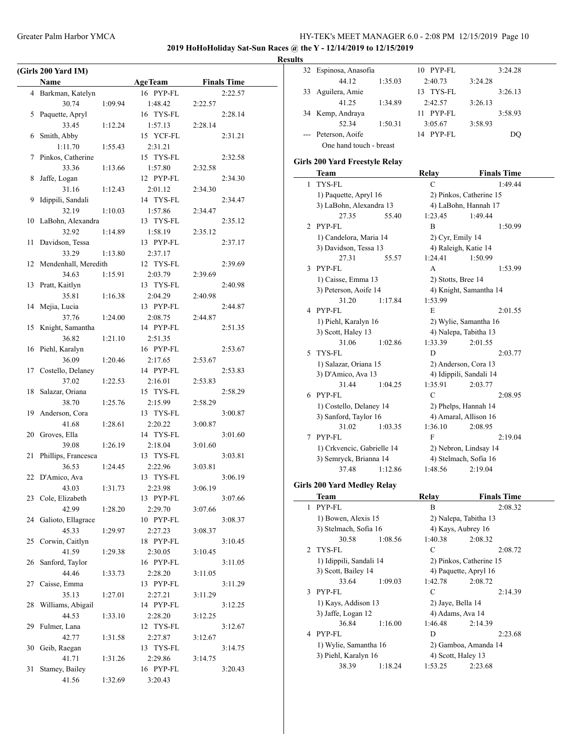**2019 HoHoHoliday Sat-Sun Races @ the Y - 12/14/2019 to 12/15/2019**

**Result** 

|    | (Girls 200 Yard IM)     |         |                |         |                    |
|----|-------------------------|---------|----------------|---------|--------------------|
|    | Name                    |         | <b>AgeTeam</b> |         | <b>Finals Time</b> |
|    | 4 Barkman, Katelyn      |         | 16 PYP-FL      |         | 2:22.57            |
|    | 30.74                   | 1:09.94 | 1:48.42        | 2:22.57 |                    |
| 5  | Paquette, Apryl         |         | 16 TYS-FL      |         | 2:28.14            |
|    | 33.45                   | 1:12.24 | 1:57.13        | 2:28.14 |                    |
| 6  | Smith, Abby             |         | 15 YCF-FL      |         | 2:31.21            |
|    | 1:11.70                 | 1:55.43 | 2:31.21        |         |                    |
| 7  | Pinkos, Catherine       |         | 15 TYS-FL      |         | 2:32.58            |
|    | 33.36                   | 1:13.66 | 1:57.80        | 2:32.58 |                    |
| 8  | Jaffe, Logan            |         | 12 PYP-FL      |         | 2:34.30            |
|    | 31.16                   | 1:12.43 | 2:01.12        | 2:34.30 |                    |
| 9  | Idippili, Sandali       |         | 14 TYS-FL      |         | 2:34.47            |
|    | 32.19                   | 1:10.03 | 1:57.86        | 2:34.47 |                    |
| 10 | LaBohn, Alexandra       |         | 13 TYS-FL      |         | 2:35.12            |
|    | 32.92                   | 1:14.89 | 1:58.19        | 2:35.12 |                    |
| 11 | Davidson, Tessa         |         | 13 PYP-FL      |         | 2:37.17            |
|    | 33.29                   | 1:13.80 | 2:37.17        |         |                    |
|    | 12 Mendenhall, Meredith |         | 12 TYS-FL      |         | 2:39.69            |
|    | 34.63                   | 1:15.91 | 2:03.79        | 2:39.69 |                    |
| 13 | Pratt, Kaitlyn          |         | 13 TYS-FL      |         | 2:40.98            |
|    | 35.81                   | 1:16.38 | 2:04.29        | 2:40.98 |                    |
| 14 | Mejia, Lucia            |         | 13 PYP-FL      |         | 2:44.87            |
|    | 37.76                   | 1:24.00 | 2:08.75        | 2:44.87 |                    |
| 15 | Knight, Samantha        |         | 14 PYP-FL      |         | 2:51.35            |
|    | 36.82                   | 1:21.10 | 2:51.35        |         |                    |
|    | 16 Piehl, Karalyn       |         | 16 PYP-FL      |         | 2:53.67            |
|    | 36.09                   | 1:20.46 | 2:17.65        | 2:53.67 |                    |
|    | 17 Costello, Delaney    |         | 14 PYP-FL      |         | 2:53.83            |
|    | 37.02                   | 1:22.53 | 2:16.01        | 2:53.83 |                    |
| 18 | Salazar, Oriana         |         | 15 TYS-FL      |         | 2:58.29            |
|    | 38.70                   | 1:25.76 | 2:15.99        | 2:58.29 |                    |
| 19 | Anderson, Cora          |         | 13 TYS-FL      |         | 3:00.87            |
|    | 41.68                   | 1:28.61 | 2:20.22        | 3:00.87 |                    |
| 20 | Groves, Ella            |         | 14 TYS-FL      |         | 3:01.60            |
|    | 39.08                   | 1:26.19 | 2:18.04        | 3:01.60 |                    |
| 21 | Phillips, Francesca     |         | 13 TYS-FL      |         | 3:03.81            |
|    | 36.53                   | 1:24.45 | 2:22.96        | 3:03.81 |                    |
|    | 22 D'Amico, Ava         |         | 13 TYS-FL      |         | 3:06.19            |
|    | 43.03                   | 1:31.73 | 2:23.98        | 3:06.19 |                    |
|    | 23 Cole, Elizabeth      |         | 13 PYP-FL      |         | 3:07.66            |
|    | 42.99                   | 1:28.20 | 2:29.70        | 3:07.66 |                    |
| 24 | Galioto, Ellagrace      |         | 10 PYP-FL      |         | 3:08.37            |
|    | 45.33                   | 1:29.97 | 2:27.23        | 3:08.37 |                    |
| 25 | Corwin, Caitlyn         |         | 18 PYP-FL      |         | 3:10.45            |
|    | 41.59                   | 1:29.38 | 2:30.05        | 3:10.45 |                    |
| 26 | Sanford, Taylor         |         | 16 PYP-FL      |         | 3:11.05            |
|    | 44.46                   | 1:33.73 | 2:28.20        | 3:11.05 |                    |
| 27 | Caisse, Emma            |         | 13 PYP-FL      |         | 3:11.29            |
|    | 35.13                   | 1:27.01 | 2:27.21        | 3:11.29 |                    |
| 28 | Williams, Abigail       |         | 14 PYP-FL      |         | 3:12.25            |
|    | 44.53                   | 1:33.10 | 2:28.20        | 3:12.25 |                    |
| 29 | Fulmer, Lana            |         | 12 TYS-FL      |         | 3:12.67            |
|    | 42.77                   | 1:31.58 | 2:27.87        | 3:12.67 |                    |
| 30 | Geib, Raegan            |         | 13 TYS-FL      |         | 3:14.75            |
|    | 41.71                   | 1:31.26 | 2:29.86        | 3:14.75 |                    |
| 31 | Stamey, Bailey          |         | 16 PYP-FL      |         | 3:20.43            |
|    | 41.56                   | 1:32.69 | 3:20.43        |         |                    |

| ults |                                                  |                      |                                 |  |
|------|--------------------------------------------------|----------------------|---------------------------------|--|
| 32   | Espinosa, Anasofia                               | 10 PYP-FL            | 3:24.28                         |  |
|      | 44.12<br>1:35.03                                 | 2:40.73              | 3:24.28                         |  |
| 33   | Aguilera, Amie                                   | 13 TYS-FL            | 3:26.13                         |  |
|      | 41.25<br>1:34.89                                 | 2:42.57              | 3:26.13                         |  |
|      | 34 Kemp, Andraya                                 | 11 PYP-FL            | 3:58.93                         |  |
|      | 52.34<br>1:50.31                                 | 3:05.67              | 3:58.93                         |  |
| ---  | Peterson, Aoife                                  | 14 PYP-FL            | DQ                              |  |
|      | One hand touch - breast                          |                      |                                 |  |
|      | Girls 200 Yard Freestyle Relay                   |                      |                                 |  |
|      | <b>Team</b>                                      | Relay                | <b>Finals Time</b>              |  |
| 1    | TYS-FL                                           | $\mathbf C$          | 1:49.44                         |  |
|      |                                                  |                      |                                 |  |
|      | 1) Paquette, Apryl 16<br>3) LaBohn, Alexandra 13 |                      | 2) Pinkos, Catherine 15         |  |
|      | 27.35<br>55.40                                   | 1:23.45              | 4) LaBohn, Hannah 17<br>1:49.44 |  |
|      | 2 PYP-FL                                         | B                    |                                 |  |
|      |                                                  |                      | 1:50.99                         |  |
|      | 1) Candelora, Maria 14                           | 2) Cyr, Emily 14     |                                 |  |
|      | 3) Davidson, Tessa 13                            | 4) Raleigh, Katie 14 |                                 |  |
|      | 27.31<br>55.57<br>3 PYP-FL                       | 1:24.41              | 1:50.99                         |  |
|      |                                                  | A                    | 1:53.99                         |  |
|      | 1) Caisse, Emma 13                               | 2) Stotts, Bree 14   |                                 |  |
|      | 3) Peterson, Aoife 14                            |                      | 4) Knight, Samantha 14          |  |
|      | 31.20<br>1:17.84                                 | 1:53.99              |                                 |  |
|      | 4 PYP-FL                                         | E                    | 2:01.55                         |  |
|      | 1) Piehl, Karalyn 16                             |                      | 2) Wylie, Samantha 16           |  |
|      | 3) Scott, Haley 13                               |                      | 4) Nalepa, Tabitha 13           |  |
|      | 31.06<br>1:02.86                                 | 1:33.39              | 2:01.55                         |  |
| 5.   | TYS-FL                                           | D                    | 2:03.77                         |  |
|      | 1) Salazar, Oriana 15                            |                      | 2) Anderson, Cora 13            |  |
|      | 3) D'Amico, Ava 13                               |                      | 4) Idippili, Sandali 14         |  |
|      | 31.44<br>1:04.25                                 | 1:35.91              | 2:03.77                         |  |
|      | 6 PYP-FL                                         | C                    | 2:08.95                         |  |
|      | 1) Costello, Delaney 14                          |                      | 2) Phelps, Hannah 14            |  |
|      | 3) Sanford, Taylor 16                            |                      | 4) Amaral, Allison 16           |  |
|      | 31.02<br>1:03.35                                 | 1:36.10              | 2:08.95                         |  |
| 7    | PYP-FL                                           | F                    | 2:19.04                         |  |
|      | 1) Crkvencic, Gabrielle 14                       |                      | 2) Nebron, Lindsay 14           |  |
|      | 3) Semryck, Brianna 14                           |                      | 4) Stelmach, Sofia 16           |  |
|      | 37.48<br>1:12.86                                 | 1:48.56              | 2:19.04                         |  |
|      | <b>Girls 200 Yard Medley Relay</b>               |                      |                                 |  |
|      | <b>Team</b>                                      | Relay                | <b>Finals Time</b>              |  |
|      | 1 PYP-FL                                         | B                    | 2:08.32                         |  |
|      | 1) Bowen, Alexis 15                              |                      | 2) Nalepa, Tabitha 13           |  |
|      | 3) Stelmach, Sofia 16                            | 4) Kays, Aubrey 16   |                                 |  |
|      | 30.58<br>1:08.56                                 | 1:40.38              | 2:08.32                         |  |
| 2    | TYS-FL                                           | $\mathbf C$          | 2:08.72                         |  |
|      | 1) Idippili, Sandali 14                          |                      | 2) Pinkos, Catherine 15         |  |
|      | 3) Scott, Bailey 14                              |                      | 4) Paquette, Apryl 16           |  |
|      | 33.64<br>1:09.03                                 | 1:42.78              | 2:08.72                         |  |
|      | 3 PYP-FL                                         | $\mathbf C$          | 2:14.39                         |  |
|      | 1) Kays, Addison 13                              | 2) Jaye, Bella 14    |                                 |  |
|      | 3) Jaffe, Logan 12                               | 4) Adams, Ava 14     |                                 |  |
|      | 36.84<br>1:16.00                                 | 1:46.48              | 2:14.39                         |  |
|      | 4 PYP-FL                                         | D                    | 2:23.68                         |  |
|      | 1) Wylie, Samantha 16                            |                      | 2) Gamboa, Amanda 14            |  |

3) Piehl, Karalyn 16 4) Scott, Haley 13 38.39 1:18.24 1:53.25 2:23.68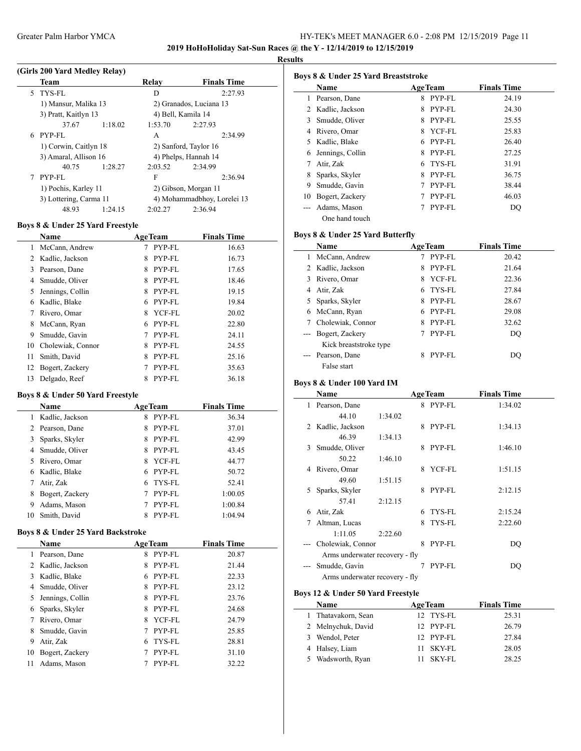**2019 HoHoHoliday Sat-Sun Races @ the Y - 12/14/2019 to 12/15/2019**

 $\overline{a}$ 

 $\overline{\phantom{0}}$ 

 $\overline{\phantom{a}}$ 

#### **Results**

|   | (Girls 200 Yard Medlev Relav)                  |         |                         |                             |  |
|---|------------------------------------------------|---------|-------------------------|-----------------------------|--|
|   | Team                                           |         | Relay                   | <b>Finals Time</b>          |  |
|   | 5 TYS-FL                                       |         | D                       | 2:27.93                     |  |
|   | 1) Mansur, Malika 13                           |         | 2) Granados, Luciana 13 |                             |  |
|   | 3) Pratt, Kaitlyn 13                           |         |                         | 4) Bell, Kamila 14          |  |
|   | 37.67                                          | 1:18.02 | 1:53.70                 | 2:27.93                     |  |
| 6 | PYP-FL                                         |         | A                       | 2:34.99                     |  |
|   | 1) Corwin, Caitlyn 18                          |         | 2) Sanford, Taylor 16   |                             |  |
|   | 3) Amaral, Allison 16                          |         | 4) Phelps, Hannah 14    |                             |  |
|   | 40.75                                          | 1:28.27 | 2:03.52                 | 2:34.99                     |  |
| 7 | PYP-FL                                         |         | F                       | 2:36.94                     |  |
|   | 1) Pochis, Karley 11<br>3) Lottering, Carma 11 |         | 2) Gibson, Morgan 11    |                             |  |
|   |                                                |         |                         | 4) Mohammadbhoy, Lorelei 13 |  |
|   | 48.93                                          | 1:24.15 | 2:02.27                 | 2:36.94                     |  |

## **Boys 8 & Under 25 Yard Freestyle**

|    | <b>Name</b>       | <b>AgeTeam</b> | <b>Finals Time</b> |
|----|-------------------|----------------|--------------------|
| 1  | McCann, Andrew    | PYP-FL<br>7    | 16.63              |
|    | 2 Kadlic, Jackson | PYP-FL<br>8    | 16.73              |
| 3  | Pearson, Dane     | PYP-FL<br>8    | 17.65              |
| 4  | Smudde, Oliver    | PYP-FL<br>8    | 18.46              |
| 5  | Jennings, Collin  | PYP-FL<br>8    | 19.15              |
| 6  | Kadlic, Blake     | PYP-FL<br>6    | 19.84              |
| 7  | Rivero, Omar      | YCF-FL<br>8    | 20.02              |
| 8  | McCann, Ryan      | PYP-FL<br>6    | 22.80              |
| 9  | Smudde, Gavin     | PYP-FL<br>7    | 24.11              |
| 10 | Cholewiak, Connor | PYP-FL<br>8    | 24.55              |
| 11 | Smith, David      | PYP-FL<br>8    | 25.16              |
| 12 | Bogert, Zackery   | PYP-FL         | 35.63              |
| 13 | Delgado, Reef     | PYP-FL<br>8    | 36.18              |

#### **Boys 8 & Under 50 Yard Freestyle**

|    | <b>Name</b>       |   | <b>AgeTeam</b> | <b>Finals Time</b> |  |
|----|-------------------|---|----------------|--------------------|--|
|    | 1 Kadlic, Jackson | 8 | PYP-FL         | 36.34              |  |
|    | 2 Pearson, Dane   | 8 | PYP-FL         | 37.01              |  |
| 3  | Sparks, Skyler    | 8 | PYP-FL         | 42.99              |  |
|    | 4 Smudde, Oliver  | 8 | PYP-FL         | 43.45              |  |
| 5. | Rivero, Omar      | 8 | YCF-FL         | 44.77              |  |
| 6  | Kadlic, Blake     | 6 | PYP-FL         | 50.72              |  |
|    | Atir, Zak         | 6 | TYS-FL         | 52.41              |  |
| 8  | Bogert, Zackery   |   | PYP-FL         | 1:00.05            |  |
| 9  | Adams, Mason      |   | PYP-FL         | 1:00.84            |  |
|    | Smith, David      | 8 | PYP-FL         | 1:04.94            |  |

#### **Boys 8 & Under 25 Yard Backstroke**

|    | <b>Name</b>      | <b>AgeTeam</b> | <b>Finals Time</b> |  |
|----|------------------|----------------|--------------------|--|
| 1  | Pearson, Dane    | PYP-FL<br>8    | 20.87              |  |
| 2  | Kadlic, Jackson  | PYP-FL<br>8    | 21.44              |  |
| 3  | Kadlic, Blake    | PYP-FL<br>6    | 22.33              |  |
| 4  | Smudde, Oliver   | PYP-FL<br>8    | 23.12              |  |
| 5  | Jennings, Collin | PYP-FL<br>8    | 23.76              |  |
| 6  | Sparks, Skyler   | PYP-FL<br>8    | 24.68              |  |
| 7  | Rivero, Omar     | YCF-FL<br>8    | 24.79              |  |
| 8  | Smudde, Gavin    | PYP-FL         | 25.85              |  |
| 9  | Atir, Zak        | TYS-FL<br>6    | 28.81              |  |
| 10 | Bogert, Zackery  | PYP-FL         | 31.10              |  |
| 11 | Adams, Mason     | PYP-FL         | 32.22              |  |

| Boys 8 & Under 25 Yard Breaststroke |                   |                |                    |  |  |  |
|-------------------------------------|-------------------|----------------|--------------------|--|--|--|
|                                     | Name              | <b>AgeTeam</b> | <b>Finals Time</b> |  |  |  |
| 1                                   | Pearson, Dane     | PYP-FL<br>8    | 24.19              |  |  |  |
|                                     | 2 Kadlic, Jackson | PYP-FL<br>8    | 24.30              |  |  |  |
| 3                                   | Smudde, Oliver    | PYP-FL<br>8    | 25.55              |  |  |  |
| 4                                   | Rivero, Omar      | YCF-FL<br>8    | 25.83              |  |  |  |
| 5.                                  | Kadlic, Blake     | PYP-FL<br>6    | 26.40              |  |  |  |
| 6                                   | Jennings, Collin  | PYP-FL<br>8    | 27.25              |  |  |  |
|                                     | Atir, Zak         | TYS-FL<br>6    | 31.91              |  |  |  |
| 8                                   | Sparks, Skyler    | PYP-FL<br>8    | 36.75              |  |  |  |
| 9                                   | Smudde, Gavin     | PYP-FL         | 38.44              |  |  |  |
| 10                                  | Bogert, Zackery   | PYP-FL<br>7    | 46.03              |  |  |  |
|                                     | Adams, Mason      | PYP-FL         | DO                 |  |  |  |
|                                     | One hand touch    |                |                    |  |  |  |

**Boys 8 & Under 25 Yard Butterfly**

|   | Name                   | <b>AgeTeam</b> | <b>Finals Time</b> |
|---|------------------------|----------------|--------------------|
| L | McCann, Andrew         | PYP-FL         | 20.42              |
|   | 2 Kadlic, Jackson      | PYP-FL<br>8    | 21.64              |
| 3 | Rivero, Omar           | YCF-FL<br>8    | 22.36              |
| 4 | Atir, Zak              | TYS-FL<br>6.   | 27.84              |
|   | 5 Sparks, Skyler       | PYP-FL<br>8    | 28.67              |
| 6 | McCann, Ryan           | PYP-FL<br>6    | 29.08              |
|   | Cholewiak, Connor      | PYP-FL<br>8    | 32.62              |
|   | Bogert, Zackery        | PYP-FL<br>7    | DO                 |
|   | Kick breaststroke type |                |                    |
|   | Pearson, Dane          | PYP-FL<br>8    | DO.                |
|   | False start            |                |                    |

#### **Boys 8 & Under 100 Yard IM**

|   | Name                           |         |   | <b>AgeTeam</b> | <b>Finals Time</b> |  |  |
|---|--------------------------------|---------|---|----------------|--------------------|--|--|
| 1 | Pearson, Dane                  |         |   | 8 PYP-FL       | 1:34.02            |  |  |
|   | 44.10                          | 1:34.02 |   |                |                    |  |  |
| 2 | Kadlic, Jackson                |         | 8 | PYP-FL         | 1:34.13            |  |  |
|   | 46.39                          | 1:34.13 |   |                |                    |  |  |
| 3 | Smudde, Oliver                 |         | 8 | PYP-FL         | 1:46.10            |  |  |
|   | 50.22                          | 1:46.10 |   |                |                    |  |  |
| 4 | Rivero, Omar                   |         | 8 | YCF-FL         | 1:51.15            |  |  |
|   | 49.60                          | 1:51.15 |   |                |                    |  |  |
| 5 | Sparks, Skyler                 |         | 8 | PYP-FL         | 2:12.15            |  |  |
|   | 57.41                          | 2:12.15 |   |                |                    |  |  |
| 6 | Atir, Zak                      |         | 6 | TYS-FL         | 2:15.24            |  |  |
| 7 | Altman, Lucas                  |         | 8 | TYS-FL         | 2:22.60            |  |  |
|   | 1:11.05                        | 2:22.60 |   |                |                    |  |  |
|   | Cholewiak, Connor              |         | 8 | PYP-FL         | DQ                 |  |  |
|   | Arms underwater recovery - fly |         |   |                |                    |  |  |
|   | Smudde, Gavin                  |         | 7 | PYP-FL         | DO                 |  |  |
|   | Arms underwater recovery - fly |         |   |                |                    |  |  |

#### **Boys 12 & Under 50 Yard Freestyle**

|   | <b>Name</b>         | <b>AgeTeam</b> | <b>Finals Time</b> |
|---|---------------------|----------------|--------------------|
|   | 1 Thatavakorn, Sean | 12 TYS-FL      | 25.31              |
|   | 2 Melnychuk, David  | $12$ PYP-FL    | 26.79              |
| 3 | Wendol, Peter       | $12$ PYP-FL    | 27.84              |
|   | 4 Halsey, Liam      | $11$ SKY-FL    | 28.05              |
|   | Wadsworth, Ryan     | SKY-FL         | 28.25              |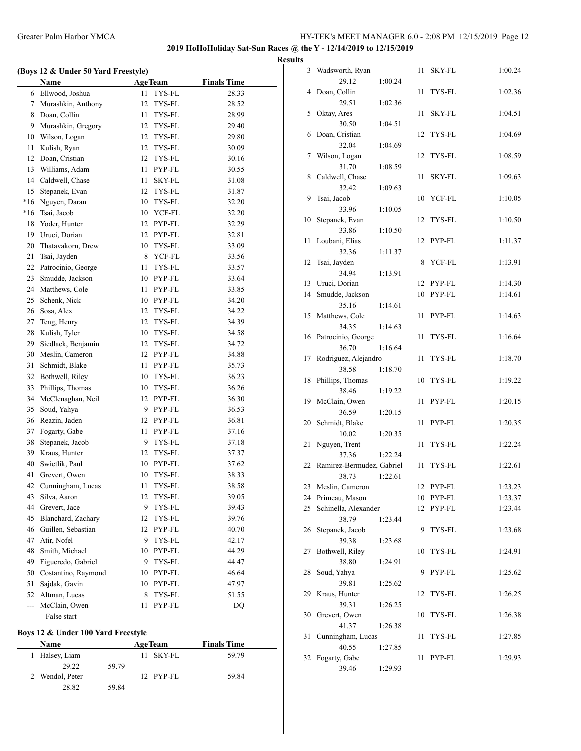$\overline{\phantom{0}}$ 

## Greater Palm Harbor YMCA HY-TEK's MEET MANAGER 6.0 - 2:08 PM 12/15/2019 Page 12

**2019 HoHoHoliday Sat-Sun Races @ the Y - 12/14/2019 to 12/15/2019**

|      |                                                    |    |                        |                    |                | <b>Results</b> |  |
|------|----------------------------------------------------|----|------------------------|--------------------|----------------|----------------|--|
|      | (Boys 12 & Under 50 Yard Freestyle)<br><b>Name</b> |    | <b>AgeTeam</b>         | <b>Finals Time</b> |                |                |  |
|      | 6 Ellwood, Joshua                                  | 11 | TYS-FL                 |                    | 28.33          |                |  |
|      | 7 Murashkin, Anthony                               | 12 | TYS-FL                 |                    | 28.52          |                |  |
|      | 8 Doan, Collin                                     |    | 11 TYS-FL              |                    | 28.99          |                |  |
|      | 9 Murashkin, Gregory                               |    | 12 TYS-FL              |                    | 29.40          |                |  |
|      | 10 Wilson, Logan                                   |    | 12 TYS-FL              |                    | 29.80          |                |  |
| 11 - | Kulish, Ryan                                       |    | 12 TYS-FL              |                    | 30.09          |                |  |
|      | 12 Doan, Cristian                                  |    | 12 TYS-FL              |                    | 30.16          |                |  |
|      | 13 Williams, Adam                                  |    | 11 PYP-FL              |                    | 30.55          |                |  |
|      | 14 Caldwell, Chase                                 | 11 | SKY-FL                 |                    | 31.08          |                |  |
| 15   | Stepanek, Evan                                     |    | 12 TYS-FL              |                    | 31.87          |                |  |
|      | *16 Nguyen, Daran                                  |    | 10 TYS-FL              |                    |                |                |  |
|      | *16 Tsai, Jacob                                    |    |                        |                    | 32.20          |                |  |
|      |                                                    |    | 10 YCF-FL<br>12 PYP-FL |                    | 32.20<br>32.29 |                |  |
|      | 18 Yoder, Hunter<br>19 Uruci, Dorian               |    |                        |                    |                |                |  |
|      |                                                    |    | 12 PYP-FL              |                    | 32.81          |                |  |
|      | 20 Thatavakorn, Drew                               |    | 10 TYS-FL              |                    | 33.09          |                |  |
| 21   | Tsai, Jayden                                       |    | 8 YCF-FL               |                    | 33.56          |                |  |
|      | 22 Patrocinio, George                              |    | 11 TYS-FL              |                    | 33.57          |                |  |
| 23   | Smudde, Jackson                                    |    | 10 PYP-FL              |                    | 33.64          |                |  |
|      | 24 Matthews, Cole                                  |    | 11 PYP-FL              |                    | 33.85          |                |  |
| 25   | Schenk, Nick                                       |    | 10 PYP-FL              |                    | 34.20          |                |  |
|      | 26 Sosa, Alex                                      |    | 12 TYS-FL              |                    | 34.22          |                |  |
| 27   | Teng, Henry                                        |    | 12 TYS-FL              |                    | 34.39          |                |  |
|      | 28 Kulish, Tyler                                   |    | 10 TYS-FL              |                    | 34.58          |                |  |
| 29   | Siedlack, Benjamin                                 |    | 12 TYS-FL              |                    | 34.72          |                |  |
|      | 30 Meslin, Cameron                                 |    | 12 PYP-FL              |                    | 34.88          |                |  |
| 31   | Schmidt, Blake                                     |    | 11 PYP-FL              |                    | 35.73          |                |  |
|      | 32 Bothwell, Riley                                 |    | 10 TYS-FL              |                    | 36.23          |                |  |
|      | 33 Phillips, Thomas                                |    | 10 TYS-FL              |                    | 36.26          |                |  |
|      | 34 McClenaghan, Neil                               |    | 12 PYP-FL              |                    | 36.30          |                |  |
| 35   | Soud, Yahya                                        |    | 9 PYP-FL               |                    | 36.53          |                |  |
|      | 36 Reazin, Jaden                                   |    | 12 PYP-FL              |                    | 36.81          |                |  |
| 37   | Fogarty, Gabe                                      |    | 11 PYP-FL              |                    | 37.16          |                |  |
| 38   | Stepanek, Jacob                                    |    | 9 TYS-FL               |                    | 37.18          |                |  |
|      | 39 Kraus, Hunter                                   |    | 12 TYS-FL              |                    | 37.37          |                |  |
| 40   | Swietlik, Paul                                     |    | 10 PYP-FL              |                    | 37.62          |                |  |
| 41   | Grevert, Owen                                      | 10 | TYS-FL                 |                    | 38.33          |                |  |
|      | 42 Cunningham, Lucas                               | 11 | TYS-FL                 |                    | 38.58          |                |  |
| 43   | Silva, Aaron                                       | 12 | TYS-FL                 |                    | 39.05          |                |  |
|      | 44 Grevert, Jace                                   |    | 9 TYS-FL               |                    | 39.43          |                |  |
|      | 45 Blanchard, Zachary                              |    | 12 TYS-FL              |                    | 39.76          |                |  |
|      | 46 Guillen, Sebastian                              |    | 12 PYP-FL              |                    | 40.70          |                |  |
| 47   | Atir, Nofel                                        |    | 9 TYS-FL               |                    | 42.17          |                |  |
| 48   | Smith, Michael                                     |    | 10 PYP-FL              |                    | 44.29          |                |  |
| 49   | Figueredo, Gabriel                                 |    | 9 TYS-FL               |                    | 44.47          |                |  |
| 50   | Costantino, Raymond                                |    | 10 PYP-FL              |                    | 46.64          |                |  |
| 51   | Sajdak, Gavin                                      |    | 10 PYP-FL              |                    | 47.97          |                |  |
| 52   | Altman, Lucas                                      | 8  | TYS-FL                 |                    | 51.55          |                |  |
| ---  | McClain, Owen                                      | 11 | PYP-FL                 |                    | DQ             |                |  |
|      | False start                                        |    |                        |                    |                |                |  |

# **Boys 12 & Under 100 Yard Freestyle**

| Name            |       | <b>AgeTeam</b> | <b>Finals Time</b> |
|-----------------|-------|----------------|--------------------|
| 1 Halsey, Liam  |       | $11$ SKY-FL    | 59.79              |
| 29.22           | 59.79 |                |                    |
| 2 Wendol, Peter |       | $12$ PYP-FL    | 59.84              |
| 28.82           | 59.84 |                |                    |

| 3  | Wadsworth, Ryan              |         | 11 | SKY-FL    | 1:00.24 |
|----|------------------------------|---------|----|-----------|---------|
|    | 29.12                        | 1:00.24 |    |           |         |
| 4  | Doan, Collin                 |         | 11 | TYS-FL    | 1:02.36 |
|    | 29.51                        | 1:02.36 |    |           |         |
| 5. | Oktay, Ares                  |         | 11 | SKY-FL    | 1:04.51 |
|    | 30.50                        | 1:04.51 |    |           |         |
| 6  | Doan, Cristian               |         |    | 12 TYS-FL | 1:04.69 |
|    | 32.04                        | 1:04.69 |    |           |         |
| 7  | Wilson, Logan                |         | 12 | TYS-FL    | 1:08.59 |
|    | 31.70                        | 1:08.59 |    |           |         |
| 8  | Caldwell, Chase              |         | 11 | SKY-FL    | 1:09.63 |
|    | 32.42                        | 1:09.63 |    |           |         |
| 9  | Tsai, Jacob                  |         |    | 10 YCF-FL | 1:10.05 |
|    | 33.96                        | 1:10.05 |    |           |         |
| 10 | Stepanek, Evan               |         | 12 | TYS-FL    | 1:10.50 |
|    | 33.86                        |         |    |           |         |
| 11 | Loubani, Elias               | 1:10.50 |    | 12 PYP-FL |         |
|    |                              |         |    |           | 1:11.37 |
|    | 32.36                        | 1:11.37 |    |           |         |
| 12 | Tsai, Jayden                 |         |    | 8 YCF-FL  | 1:13.91 |
|    | 34.94                        | 1:13.91 |    |           |         |
|    | 13 Uruci, Dorian             |         |    | 12 PYP-FL | 1:14.30 |
| 14 | Smudde, Jackson              |         | 10 | PYP-FL    | 1:14.61 |
|    | 35.16                        | 1:14.61 |    |           |         |
| 15 | Matthews, Cole               |         | 11 | PYP-FL    | 1:14.63 |
|    | 34.35                        | 1:14.63 |    |           |         |
|    | 16 Patrocinio, George        |         | 11 | TYS-FL    | 1:16.64 |
|    | 36.70                        | 1:16.64 |    |           |         |
| 17 | Rodriguez, Alejandro         |         | 11 | TYS-FL    | 1:18.70 |
|    | 38.58                        | 1:18.70 |    |           |         |
| 18 | Phillips, Thomas             |         | 10 | TYS-FL    | 1:19.22 |
|    | 38.46                        | 1:19.22 |    |           |         |
| 19 | McClain, Owen                |         | 11 | PYP-FL    | 1:20.15 |
|    | 36.59                        | 1:20.15 |    |           |         |
| 20 | Schmidt, Blake               |         | 11 | PYP-FL    | 1:20.35 |
|    | 10.02                        | 1:20.35 |    |           |         |
| 21 | Nguyen, Trent                |         | 11 | TYS-FL    | 1:22.24 |
|    | 37.36                        | 1:22.24 |    |           |         |
|    | 22 Ramirez-Bermudez, Gabriel |         | 11 | TYS-FL    | 1:22.61 |
|    | 38.73                        | 1:22.61 |    |           |         |
| 23 | Meslin, Cameron              |         |    | 12 PYP-FL | 1:23.23 |
| 24 | Primeau, Mason               |         |    | 10 PYP-FL | 1:23.37 |
| 25 | Schinella, Alexander         |         | 12 | PYP-FL    | 1:23.44 |
|    | 38.79                        | 1:23.44 |    |           |         |
| 26 | Stepanek, Jacob              |         | 9  | TYS-FL    | 1:23.68 |
|    |                              |         |    |           |         |
|    | 39.38                        | 1:23.68 |    |           |         |
| 27 | Bothwell, Riley              |         | 10 | TYS-FL    | 1:24.91 |
|    | 38.80                        | 1:24.91 |    |           |         |
| 28 | Soud, Yahya                  |         | 9  | PYP-FL    | 1:25.62 |
|    | 39.81                        | 1:25.62 |    |           |         |
| 29 | Kraus, Hunter                |         | 12 | TYS-FL    | 1:26.25 |
|    | 39.31                        | 1:26.25 |    |           |         |
| 30 | Grevert, Owen                |         | 10 | TYS-FL    | 1:26.38 |
|    | 41.37                        | 1:26.38 |    |           |         |
| 31 | Cunningham, Lucas            |         | 11 | TYS-FL    | 1:27.85 |
|    | 40.55                        | 1:27.85 |    |           |         |
| 32 | Fogarty, Gabe                |         | 11 | PYP-FL    | 1:29.93 |
|    | 39.46                        | 1:29.93 |    |           |         |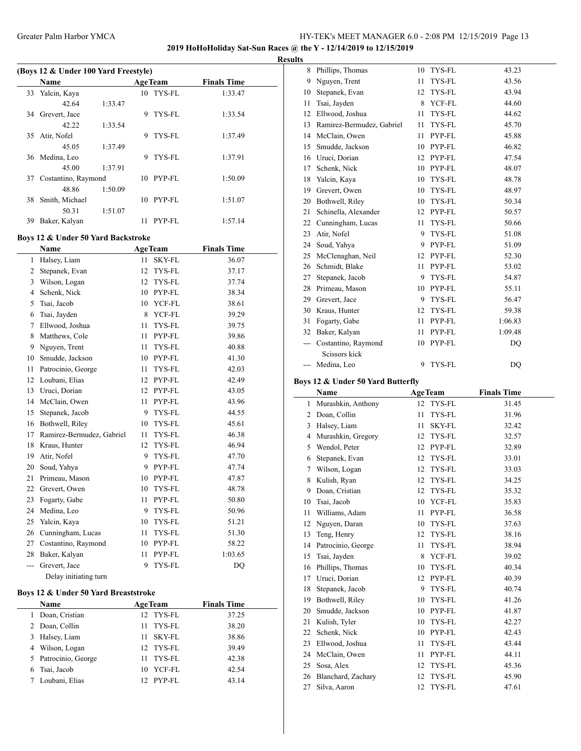**2019 HoHoHoliday Sat-Sun Races @ the Y - 12/14/2019 to 12/15/2019**

**Results**

| (Boys 12 & Under 100 Yard Freestyle) |                     |         |                                      |             |         |  |
|--------------------------------------|---------------------|---------|--------------------------------------|-------------|---------|--|
| Name                                 |                     |         | <b>Finals Time</b><br><b>AgeTeam</b> |             |         |  |
| 33                                   | Yalcin, Kaya        |         |                                      | 10 TYS-FL   | 1:33.47 |  |
|                                      | 42.64               | 1:33.47 |                                      |             |         |  |
| 34                                   | Grevert, Jace       |         | 9                                    | TYS-FL      | 1:33.54 |  |
|                                      | 42.22               | 1:33.54 |                                      |             |         |  |
| 35                                   | Atir, Nofel         |         | 9                                    | TYS-FL      | 1:37.49 |  |
|                                      | 45.05               | 1:37.49 |                                      |             |         |  |
|                                      | 36 Medina, Leo      |         | 9                                    | TYS-FL      | 1:37.91 |  |
|                                      | 45.00               | 1:37.91 |                                      |             |         |  |
| 37                                   | Costantino, Raymond |         |                                      | $10$ PYP-FL | 1:50.09 |  |
|                                      | 48.86               | 1:50.09 |                                      |             |         |  |
| 38                                   | Smith, Michael      |         | 10                                   | PYP-FL      | 1:51.07 |  |
|                                      | 50.31               | 1:51.07 |                                      |             |         |  |
| 39                                   | Baker, Kalyan       |         | 11                                   | PYP-FL      | 1:57.14 |  |
|                                      |                     |         |                                      |             |         |  |

#### **Boys 12 & Under 50 Yard Backstroke**

|       | <b>Name</b>               |    | <b>AgeTeam</b> | <b>Finals Time</b> |
|-------|---------------------------|----|----------------|--------------------|
| 1     | Halsey, Liam              | 11 | <b>SKY-FL</b>  | 36.07              |
| 2     | Stepanek, Evan            | 12 | TYS-FL         | 37.17              |
| 3     | Wilson, Logan             | 12 | TYS-FL         | 37.74              |
| 4     | Schenk, Nick              | 10 | PYP-FL         | 38.34              |
| 5     | Tsai, Jacob               | 10 | YCF-FL         | 38.61              |
| 6     | Tsai, Jayden              | 8  | YCF-FL         | 39.29              |
| 7     | Ellwood, Joshua           | 11 | TYS-FL         | 39.75              |
| 8     | Matthews, Cole            | 11 | PYP-FL         | 39.86              |
| 9     | Nguyen, Trent             | 11 | TYS-FL         | 40.88              |
| 10    | Smudde, Jackson           | 10 | PYP-FL         | 41.30              |
| 11    | Patrocinio, George        | 11 | TYS-FL         | 42.03              |
| 12    | Loubani, Elias            | 12 | PYP-FL         | 42.49              |
| 13    | Uruci, Dorian             | 12 | PYP-FL         | 43.05              |
| 14    | McClain, Owen             | 11 | PYP-FL         | 43.96              |
| 15    | Stepanek, Jacob           | 9  | TYS-FL         | 44.55              |
| 16    | Bothwell, Riley           | 10 | TYS-FL         | 45.61              |
| 17    | Ramirez-Bermudez, Gabriel | 11 | TYS-FL         | 46.38              |
| 18    | Kraus, Hunter             | 12 | TYS-FL         | 46.94              |
| 19    | Atir, Nofel               | 9  | TYS-FL         | 47.70              |
| 20    | Soud, Yahya               | 9  | PYP-FL         | 47.74              |
| 21    | Primeau, Mason            | 10 | PYP-FL         | 47.87              |
| 22    | Grevert, Owen             | 10 | TYS-FL         | 48.78              |
| 23    | Fogarty, Gabe             | 11 | PYP-FL         | 50.80              |
| 24    | Medina, Leo               | 9  | TYS-FL         | 50.96              |
| 25    | Yalcin, Kaya              | 10 | TYS-FL         | 51.21              |
| 26    | Cunningham, Lucas         | 11 | TYS-FL         | 51.30              |
| 27    | Costantino, Raymond       | 10 | PYP-FL         | 58.22              |
| 28    | Baker, Kalyan             | 11 | PYP-FL         | 1:03.65            |
| $---$ | Grevert, Jace             | 9  | TYS-FL         | DQ                 |
|       | Delay initiating turn     |    |                |                    |

## **Boys 12 & Under 50 Yard Breaststroke**

| <b>Name</b>          | <b>AgeTeam</b> | <b>Finals Time</b> |
|----------------------|----------------|--------------------|
| Doan, Cristian<br>1. | 12 TYS-FL      | 37.25              |
| 2 Doan, Collin       | TYS-FL<br>11   | 38.20              |
| 3 Halsey, Liam       | SKY-FL<br>11   | 38.86              |
| 4 Wilson, Logan      | 12 TYS-FL      | 39.49              |
| 5 Patrocinio, George | TYS-FL<br>11   | 42.38              |
| Tsai, Jacob          | 10 YCF-FL      | 42.54              |
| Loubani, Elias       | PYP-FL         | 43.14              |

| Phillips, Thomas          | 10 | TYS-FL | 43.23                      |
|---------------------------|----|--------|----------------------------|
| Nguyen, Trent             | 11 | TYS-FL | 43.56                      |
| Stepanek, Evan            | 12 | TYS-FL | 43.94                      |
| Tsai, Jayden              | 8  | YCF-FL | 44.60                      |
| Ellwood, Joshua           | 11 | TYS-FL | 44.62                      |
| Ramirez-Bermudez, Gabriel | 11 | TYS-FL | 45.70                      |
| McClain, Owen             | 11 | PYP-FL | 45.88                      |
| Smudde, Jackson           | 10 | PYP-FL | 46.82                      |
| Uruci, Dorian             | 12 |        | 47.54                      |
| Schenk, Nick              | 10 | PYP-FL | 48.07                      |
| Yalcin, Kaya              | 10 | TYS-FL | 48.78                      |
| Grevert, Owen             | 10 | TYS-FL | 48.97                      |
| Bothwell, Riley           | 10 | TYS-FL | 50.34                      |
| Schinella, Alexander      | 12 | PYP-FL | 50.57                      |
| Cunningham, Lucas         | 11 | TYS-FL | 50.66                      |
| Atir, Nofel               | 9  | TYS-FL | 51.08                      |
| Soud, Yahya               | 9  | PYP-FL | 51.09                      |
| McClenaghan, Neil         | 12 |        | 52.30                      |
| Schmidt, Blake            | 11 | PYP-FL | 53.02                      |
| Stepanek, Jacob           | 9  | TYS-FL | 54.87                      |
| Primeau, Mason            | 10 |        | 55.11                      |
| Grevert, Jace             | 9  | TYS-FL | 56.47                      |
| Kraus, Hunter             | 12 | TYS-FL | 59.38                      |
| Fogarty, Gabe             | 11 | PYP-FL | 1:06.83                    |
| Baker, Kalyan             | 11 | PYP-FL | 1:09.48                    |
| Costantino, Raymond       | 10 | PYP-FL | DQ                         |
| Scissors kick             |    |        |                            |
| Medina, Leo               | 9  | TYS-FL | DQ                         |
|                           |    |        | PYP-FL<br>PYP-FL<br>PYP-FL |

## **Boys 12 & Under 50 Yard Butterfly**

|    | Name               | <b>AgeTeam</b> |               | <b>Finals Time</b> |  |
|----|--------------------|----------------|---------------|--------------------|--|
| 1  | Murashkin, Anthony | 12             | TYS-FL        | 31.45              |  |
| 2  | Doan, Collin       | 11             | TYS-FL        | 31.96              |  |
| 3  | Halsey, Liam       | 11             | <b>SKY-FL</b> | 32.42              |  |
| 4  | Murashkin, Gregory | 12             | TYS-FL        | 32.57              |  |
| 5  | Wendol, Peter      | 12             | PYP-FL        | 32.89              |  |
| 6  | Stepanek, Evan     | 12             | TYS-FL        | 33.01              |  |
| 7  | Wilson, Logan      | 12             | TYS-FL        | 33.03              |  |
| 8  | Kulish, Ryan       | 12             | TYS-FL        | 34.25              |  |
| 9  | Doan, Cristian     | 12             | TYS-FL        | 35.32              |  |
| 10 | Tsai, Jacob        | 10             | YCF-FL        | 35.83              |  |
| 11 | Williams, Adam     | 11             | PYP-FL        | 36.58              |  |
| 12 | Nguyen, Daran      | 10             | TYS-FL        | 37.63              |  |
| 13 | Teng, Henry        | 12             | TYS-FL        | 38.16              |  |
| 14 | Patrocinio, George | 11             | TYS-FL        | 38.94              |  |
| 15 | Tsai, Jayden       | 8              | YCF-FL        | 39.02              |  |
| 16 | Phillips, Thomas   | 10             | TYS-FL        | 40.34              |  |
| 17 | Uruci, Dorian      | 12             | PYP-FL        | 40.39              |  |
| 18 | Stepanek, Jacob    | 9              | TYS-FL        | 40.74              |  |
| 19 | Bothwell, Riley    | 10             | TYS-FL        | 41.26              |  |
| 20 | Smudde, Jackson    | 10             | PYP-FL        | 41.87              |  |
| 21 | Kulish, Tyler      | 10             | TYS-FL        | 42.27              |  |
| 22 | Schenk, Nick       | 10             | PYP-FL        | 42.43              |  |
| 23 | Ellwood, Joshua    | 11             | TYS-FL        | 43.44              |  |
| 24 | McClain, Owen      | 11             | PYP-FL        | 44.11              |  |
| 25 | Sosa, Alex         | 12             | TYS-FL        | 45.36              |  |
| 26 | Blanchard, Zachary | 12             | TYS-FL        | 45.90              |  |
| 27 | Silva, Aaron       | 12             | TYS-FL        | 47.61              |  |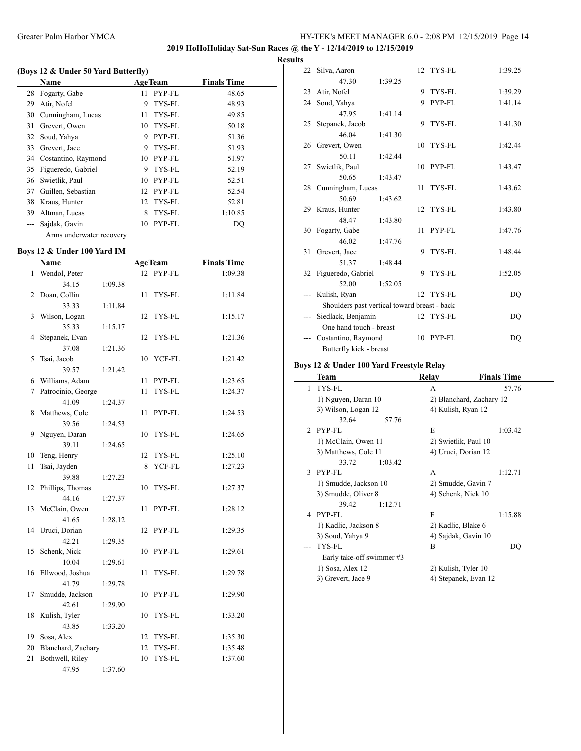**2019 HoHoHoliday Sat-Sun Races @ the Y - 12/14/2019 to 12/15/2019**

#### **Results**

| (Boys 12 & Under 50 Yard Butterfly) |                          |    |                |                    |  |  |  |  |
|-------------------------------------|--------------------------|----|----------------|--------------------|--|--|--|--|
|                                     | Name                     |    | <b>AgeTeam</b> | <b>Finals Time</b> |  |  |  |  |
| 28                                  | Fogarty, Gabe            | 11 | PYP-FL         | 48.65              |  |  |  |  |
| 29                                  | Atir, Nofel              | 9  | TYS-FL         | 48.93              |  |  |  |  |
| 30                                  | Cunningham, Lucas        | 11 | TYS-FL         | 49.85              |  |  |  |  |
| 31                                  | Grevert, Owen            | 10 | TYS-FL         | 50.18              |  |  |  |  |
| 32                                  | Soud, Yahya              | 9  | PYP-FL         | 51.36              |  |  |  |  |
| 33                                  | Grevert, Jace            | 9  | TYS-FL         | 51.93              |  |  |  |  |
|                                     | 34 Costantino, Raymond   | 10 | PYP-FL         | 51.97              |  |  |  |  |
| 35                                  | Figueredo, Gabriel       | 9  | TYS-FL         | 52.19              |  |  |  |  |
| 36                                  | Swietlik, Paul           | 10 | PYP-FL         | 52.51              |  |  |  |  |
| 37                                  | Guillen, Sebastian       | 12 | PYP-FL         | 52.54              |  |  |  |  |
| 38                                  | Kraus, Hunter            |    | 12 TYS-FL      | 52.81              |  |  |  |  |
| 39                                  | Altman, Lucas            | 8  | TYS-FL         | 1:10.85            |  |  |  |  |
|                                     | Sajdak, Gavin            | 10 | PYP-FL         | DO                 |  |  |  |  |
|                                     | Arms underwater recovery |    |                |                    |  |  |  |  |

## **Boys 12 & Under 100 Yard IM**

|    | <b>Name</b>        |         |    | <b>AgeTeam</b> | <b>Finals Time</b> |  |
|----|--------------------|---------|----|----------------|--------------------|--|
| 1  | Wendol, Peter      |         |    | 12 PYP-FL      | 1:09.38            |  |
|    | 34.15              | 1:09.38 |    |                |                    |  |
| 2  | Doan, Collin       |         | 11 | TYS-FL         | 1:11.84            |  |
|    | 33.33              | 1:11.84 |    |                |                    |  |
| 3  | Wilson, Logan      |         | 12 | TYS-FL         | 1:15.17            |  |
|    | 35.33              | 1:15.17 |    |                |                    |  |
| 4  | Stepanek, Evan     |         | 12 | TYS-FL         | 1:21.36            |  |
|    | 37.08              | 1:21.36 |    |                |                    |  |
| 5  | Tsai, Jacob        |         | 10 | YCF-FL         | 1:21.42            |  |
|    | 39.57              | 1:21.42 |    |                |                    |  |
| 6  | Williams, Adam     |         | 11 | PYP-FL         | 1:23.65            |  |
| 7  | Patrocinio, George |         | 11 | TYS-FL         | 1:24.37            |  |
|    | 41.09              | 1:24.37 |    |                |                    |  |
| 8  | Matthews, Cole     |         | 11 | PYP-FL         | 1:24.53            |  |
|    | 39.56              | 1:24.53 |    |                |                    |  |
| 9  | Nguyen, Daran      |         | 10 | TYS-FL         | 1:24.65            |  |
|    | 39.11              | 1:24.65 |    |                |                    |  |
| 10 | Teng, Henry        |         | 12 | TYS-FL         | 1:25.10            |  |
| 11 | Tsai, Jayden       |         | 8  | YCF-FL         | 1:27.23            |  |
|    | 39.88              | 1:27.23 |    |                |                    |  |
| 12 | Phillips, Thomas   |         | 10 | TYS-FL         | 1:27.37            |  |
|    | 44.16              | 1:27.37 |    |                |                    |  |
| 13 | McClain, Owen      |         | 11 | PYP-FL         | 1:28.12            |  |
|    | 41.65              | 1:28.12 |    |                |                    |  |
| 14 | Uruci, Dorian      |         | 12 | PYP-FL         | 1:29.35            |  |
|    | 42.21              | 1:29.35 |    |                |                    |  |
| 15 | Schenk, Nick       |         | 10 | PYP-FL         | 1:29.61            |  |
|    | 10.04              | 1:29.61 |    |                |                    |  |
| 16 | Ellwood, Joshua    |         | 11 | TYS-FL         | 1:29.78            |  |
|    | 41.79              | 1:29.78 |    |                |                    |  |
| 17 | Smudde, Jackson    |         | 10 | PYP-FL         | 1:29.90            |  |
|    | 42.61              | 1:29.90 |    |                |                    |  |
| 18 | Kulish, Tyler      |         | 10 | TYS-FL         | 1:33.20            |  |
|    | 43.85              | 1:33.20 |    |                |                    |  |
| 19 | Sosa, Alex         |         | 12 | TYS-FL         | 1:35.30            |  |
| 20 | Blanchard, Zachary |         | 12 | TYS-FL         | 1:35.48            |  |
| 21 | Bothwell, Riley    |         | 10 | TYS-FL         | 1:37.60            |  |
|    | 47.95              | 1:37.60 |    |                |                    |  |

| ιэ    |                                              |         |    |           |         |
|-------|----------------------------------------------|---------|----|-----------|---------|
| 22    | Silva, Aaron                                 |         |    | 12 TYS-FL | 1:39.25 |
|       | 47.30                                        | 1:39.25 |    |           |         |
| 23    | Atir, Nofel                                  |         | 9  | TYS-FL    | 1:39.29 |
| 24    | Soud, Yahya                                  |         | 9  | PYP-FL    | 1:41.14 |
|       | 47.95                                        | 1:41.14 |    |           |         |
|       | 25 Stepanek, Jacob                           |         | 9  | TYS-FL    | 1:41.30 |
|       | 46.04                                        | 1:41.30 |    |           |         |
|       | 26 Grevert, Owen                             |         |    | 10 TYS-FL | 1:42.44 |
|       | 50.11                                        | 1:42.44 |    |           |         |
|       | 27 Swietlik, Paul                            |         |    | 10 PYP-FL | 1:43.47 |
|       | 50.65                                        | 1:43.47 |    |           |         |
|       | 28 Cunningham, Lucas                         |         | 11 | TYS-FL    | 1:43.62 |
|       | 50.69                                        | 1:43.62 |    |           |         |
|       | 29 Kraus, Hunter                             |         |    | 12 TYS-FL | 1:43.80 |
|       | 48.47                                        | 1:43.80 |    |           |         |
|       | 30 Fogarty, Gabe                             |         |    | 11 PYP-FL | 1:47.76 |
|       | 46.02                                        | 1:47.76 |    |           |         |
|       | 31 Grevert, Jace                             |         | 9  | TYS-FL    | 1:48.44 |
|       | 51.37                                        | 1:48.44 |    |           |         |
|       | 32 Figueredo, Gabriel                        |         | 9  | TYS-FL    | 1:52.05 |
|       | 52.00                                        | 1:52.05 |    |           |         |
| ---   | Kulish, Ryan                                 |         |    | 12 TYS-FL | DQ      |
|       | Shoulders past vertical toward breast - back |         |    |           |         |
|       | Siedlack, Benjamin                           |         |    | 12 TYS-FL | DQ      |
|       | One hand touch - breast                      |         |    |           |         |
| $---$ | Costantino, Raymond                          |         |    | 10 PYP-FL | DQ      |
|       | Butterfly kick - breast                      |         |    |           |         |

## **Boys 12 & Under 100 Yard Freestyle Relay**

|                | Team                      | Relay                    | <b>Finals Time</b> |
|----------------|---------------------------|--------------------------|--------------------|
| 1              | TYS-FL                    | A                        | 57.76              |
|                | 1) Nguyen, Daran 10       | 2) Blanchard, Zachary 12 |                    |
|                | 3) Wilson, Logan 12       | 4) Kulish, Ryan 12       |                    |
|                | 32.64<br>57.76            |                          |                    |
| $\mathfrak{D}$ | PYP-FL                    | E                        | 1:03.42            |
|                | 1) McClain, Owen 11       | 2) Swietlik, Paul 10     |                    |
|                | 3) Matthews, Cole 11      | 4) Uruci, Dorian 12      |                    |
|                | 1:03.42<br>33.72          |                          |                    |
| 3              | PYP-FL                    | A                        | 1:12.71            |
|                | 1) Smudde, Jackson 10     | 2) Smudde, Gavin 7       |                    |
|                | 3) Smudde, Oliver 8       | 4) Schenk, Nick 10       |                    |
|                | 39.42<br>1:12.71          |                          |                    |
|                | 4 PYP-FL                  | F                        | 1:15.88            |
|                | 1) Kadlic, Jackson 8      | 2) Kadlic, Blake 6       |                    |
|                | 3) Soud, Yahya 9          | 4) Sajdak, Gavin 10      |                    |
|                | TYS-FL                    | B                        | DQ                 |
|                | Early take-off swimmer #3 |                          |                    |
|                | 1) Sosa, Alex 12          | 2) Kulish, Tyler 10      |                    |
|                | 3) Grevert, Jace 9        | 4) Stepanek, Evan 12     |                    |
|                |                           |                          |                    |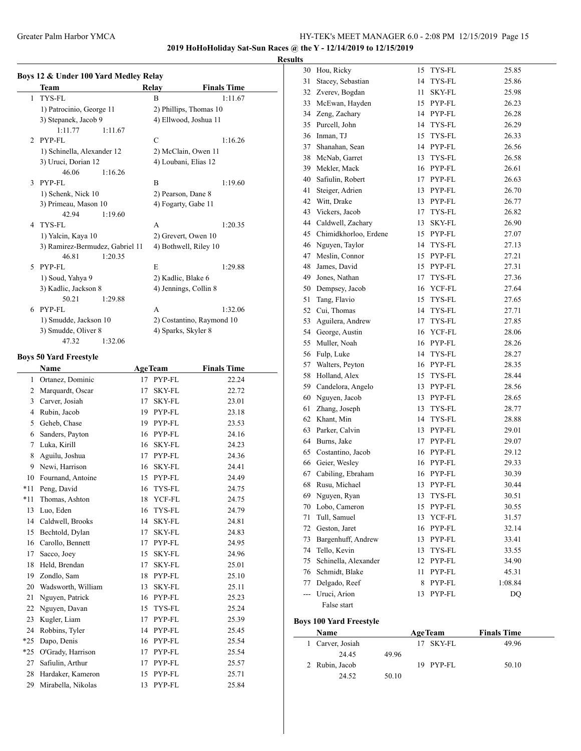**2019 HoHoHoliday Sat-Sun Races @ the Y - 12/14/2019 to 12/15/2019**

## **Results**

|   | <b>Team</b>                     |         | <b>Relay</b>        | <b>Finals Time</b>        |
|---|---------------------------------|---------|---------------------|---------------------------|
| 1 | TYS-FL                          |         | B                   | 1:11.67                   |
|   | 1) Patrocinio, George 11        |         |                     | 2) Phillips, Thomas 10    |
|   | 3) Stepanek, Jacob 9            |         |                     | 4) Ellwood, Joshua 11     |
|   | 1:11.77                         | 1:11.67 |                     |                           |
| 2 | PYP-FL                          |         | $\mathcal{C}$       | 1:16.26                   |
|   | 1) Schinella, Alexander 12      |         |                     | 2) McClain, Owen 11       |
|   | 3) Uruci, Dorian 12             |         |                     | 4) Loubani, Elias 12      |
|   | 46.06                           | 1:16.26 |                     |                           |
| 3 | PYP-FL                          |         | B                   | 1:19.60                   |
|   | 1) Schenk, Nick 10              |         |                     | 2) Pearson, Dane 8        |
|   | 3) Primeau, Mason 10            |         |                     | 4) Fogarty, Gabe 11       |
|   | 42.94                           | 1:19.60 |                     |                           |
| 4 | TYS-FL                          |         | A                   | 1:20.35                   |
|   | 1) Yalcin, Kaya 10              |         |                     | 2) Grevert, Owen 10       |
|   | 3) Ramirez-Bermudez, Gabriel 11 |         |                     | 4) Bothwell, Riley 10     |
|   | 46.81                           | 1:20.35 |                     |                           |
| 5 | PYP-FL                          |         | E                   | 1:29.88                   |
|   | 1) Soud, Yahya 9                |         |                     | 2) Kadlic, Blake 6        |
|   | 3) Kadlic, Jackson 8            |         |                     | 4) Jennings, Collin 8     |
|   | 50.21                           | 1:29.88 |                     |                           |
| 6 | PYP-FL                          |         | $\mathbf{A}$        | 1:32.06                   |
|   | 1) Smudde, Jackson 10           |         |                     | 2) Costantino, Raymond 10 |
|   | 3) Smudde, Oliver 8             |         |                     | 4) Sparks, Skyler 8       |
|   | 47.32                           | 1:32.06 |                     |                           |
|   | <b>Boys 50 Yard Freestyle</b>   |         |                     |                           |
|   | Name                            |         | <b>AgeTeam</b>      | <b>Finals Time</b>        |
|   | 1 Ortanez, Dominic              |         | 17 PYP-FL           | 22.24                     |
|   | 2 Marquardt, Oscar              |         | 17<br><b>SKY-FL</b> | 22.72                     |
|   | 3 Carver, Josiah                |         | 17<br><b>SKY-FL</b> | 23.01                     |
|   | 4 Rubin, Jacob                  |         | 19 PYP-FL           | 23.18                     |
|   | 5 Geheb, Chase                  |         | 19 PYP-FL           | 23.53                     |
|   | 6 Sanders, Payton               |         | 16 PYP-FL           | 24.16                     |
| 7 | Luka, Kirill                    |         | 16 SKY-FL           | 24.23                     |
|   | 8 Aguilu, Joshua                |         | PYP-FL<br>17        | 24.36                     |
| 9 | Newi, Harrison                  |         | <b>SKY-FL</b><br>16 | 24.41                     |

|       | <b>Name</b>        | <b>AgeTeam</b>      | <b>Finals Time</b> |
|-------|--------------------|---------------------|--------------------|
| 1     | Ortanez, Dominic   | PYP-FL<br>17        | 22.24              |
| 2     | Marquardt, Oscar   | <b>SKY-FL</b><br>17 | 22.72              |
| 3     | Carver, Josiah     | <b>SKY-FL</b><br>17 | 23.01              |
| 4     | Rubin, Jacob       | PYP-FL<br>19        | 23.18              |
| 5     | Geheb, Chase       | PYP-FL<br>19        | 23.53              |
| 6     | Sanders, Payton    | PYP-FL<br>16        | 24.16              |
| 7     | Luka, Kirill       | <b>SKY-FL</b><br>16 | 24.23              |
| 8     | Aguilu, Joshua     | PYP-FL<br>17        | 24.36              |
| 9     | Newi, Harrison     | <b>SKY-FL</b><br>16 | 24.41              |
| 10    | Fournand, Antoine  | PYP-FL<br>15        | 24.49              |
| $*11$ | Peng, David        | TYS-FL<br>16        | 24.75              |
| $*11$ | Thomas, Ashton     | YCF-FL<br>18        | 24.75              |
| 13    | Luo, Eden          | TYS-FL<br>16        | 24.79              |
| 14    | Caldwell, Brooks   | <b>SKY-FL</b><br>14 | 24.81              |
| 15    | Bechtold, Dylan    | <b>SKY-FL</b><br>17 | 24.83              |
| 16    | Carollo, Bennett   | PYP-FL<br>17        | 24.95              |
| 17    | Sacco, Joey        | <b>SKY-FL</b><br>15 | 24.96              |
| 18    | Held, Brendan      | <b>SKY-FL</b><br>17 | 25.01              |
| 19    | Zondlo, Sam        | PYP-FL<br>18        | 25.10              |
| 20    | Wadsworth, William | <b>SKY-FL</b><br>13 | 25.11              |
| 21    | Nguyen, Patrick    | PYP-FL<br>16        | 25.23              |
| 22    | Nguyen, Davan      | 15<br>TYS-FL        | 25.24              |
| 23    | Kugler, Liam       | PYP-FL<br>17        | 25.39              |
| 24    | Robbins, Tyler     | PYP-FL<br>14        | 25.45              |
| $*25$ | Dapo, Denis        | PYP-FL<br>16        | 25.54              |
| $*25$ | O'Grady, Harrison  | PYP-FL<br>17        | 25.54              |
| 27    | Safiulin, Arthur   | PYP-FL<br>17        | 25.57              |
| 28    | Hardaker, Kameron  | PYP-FL<br>15        | 25.71              |
| 29    | Mirabella, Nikolas | PYP-FL<br>13        | 25.84              |
|       |                    |                     |                    |

| 30             | Hou, Ricky            | 15 | TYS-FL    | 25.85   |  |
|----------------|-----------------------|----|-----------|---------|--|
| 31             | Stacey, Sebastian     | 14 | TYS-FL    | 25.86   |  |
| 32             | Zverev, Bogdan        | 11 | SKY-FL    | 25.98   |  |
| 33             | McEwan, Hayden        |    | 15 PYP-FL | 26.23   |  |
| 34             | Zeng, Zachary         |    | 14 PYP-FL | 26.28   |  |
| 35             | Purcell, John         |    | 14 TYS-FL | 26.29   |  |
| 36             | Inman, TJ             |    | 15 TYS-FL | 26.33   |  |
| 37             | Shanahan, Sean        |    | 14 PYP-FL | 26.56   |  |
| 38             | McNab, Garret         |    | 13 TYS-FL | 26.58   |  |
| 39             | Mekler, Mack          |    | 16 PYP-FL | 26.61   |  |
| 40             | Safiulin, Robert      |    | 17 PYP-FL | 26.63   |  |
| 41             | Steiger, Adrien       |    | 13 PYP-FL | 26.70   |  |
| 42             | Witt, Drake           |    | 13 PYP-FL | 26.77   |  |
| 43             | Vickers, Jacob        | 17 | TYS-FL    | 26.82   |  |
| 44             | Caldwell, Zachary     |    | 13 SKY-FL | 26.90   |  |
| 45             | Chimidkhorloo, Erdene |    | 15 PYP-FL | 27.07   |  |
| 46             | Nguyen, Taylor        |    | 14 TYS-FL | 27.13   |  |
| 47             | Meslin, Connor        |    | 15 PYP-FL | 27.21   |  |
| 48             | James, David          |    | 15 PYP-FL | 27.31   |  |
| 49             | Jones, Nathan         |    | 17 TYS-FL | 27.36   |  |
| 50             | Dempsey, Jacob        | 16 | YCF-FL    | 27.64   |  |
| 51             | Tang, Flavio          | 15 | TYS-FL    | 27.65   |  |
| 52             | Cui, Thomas           | 14 | TYS-FL    | 27.71   |  |
| 53             | Aguilera, Andrew      | 17 | TYS-FL    | 27.85   |  |
| 54             | George, Austin        | 16 | YCF-FL    | 28.06   |  |
| 55             | Muller, Noah          |    | 16 PYP-FL | 28.26   |  |
| 56             | Fulp, Luke            |    | 14 TYS-FL | 28.27   |  |
| 57             | Walters, Peyton       |    | 16 PYP-FL | 28.35   |  |
| 58             | Holland, Alex         |    | 15 TYS-FL | 28.44   |  |
| 59             | Candelora, Angelo     |    | 13 PYP-FL | 28.56   |  |
| 60             | Nguyen, Jacob         |    | 13 PYP-FL | 28.65   |  |
| 61             | Zhang, Joseph         |    | 13 TYS-FL | 28.77   |  |
| 62             | Khant, Min            |    | 14 TYS-FL | 28.88   |  |
| 63             | Parker, Calvin        |    | 13 PYP-FL | 29.01   |  |
| 64             | Burns, Jake           |    | 17 PYP-FL | 29.07   |  |
| 65             | Costantino, Jacob     |    | 16 PYP-FL | 29.12   |  |
| 66             | Geier, Wesley         |    | 16 PYP-FL | 29.33   |  |
| 67             | Cabiling, Ebraham     |    | 16 PYP-FL | 30.39   |  |
| 68             | Rusu, Michael         | 13 | PYP-FL    | 30.44   |  |
| 69             | Nguyen, Ryan          | 13 | TYS-FL    | 30.51   |  |
| 70             | Lobo, Cameron         | 15 | PYP-FL    | 30.55   |  |
| 71             | Tull, Samuel          | 13 | YCF-FL    | 31.57   |  |
| 72             | Geston, Jaret         |    | 16 PYP-FL | 32.14   |  |
| 73             | Bargenhuff, Andrew    |    | 13 PYP-FL | 33.41   |  |
| 74             | Tello, Kevin          | 13 | TYS-FL    | 33.55   |  |
| 75             | Schinella, Alexander  | 12 | PYP-FL    | 34.90   |  |
| 76             | Schmidt, Blake        | 11 | PYP-FL    | 45.31   |  |
| 77             | Delgado, Reef         | 8  | PYP-FL    | 1:08.84 |  |
| $\overline{a}$ | Uruci, Arion          | 13 | PYP-FL    | DQ      |  |
|                | False start           |    |           |         |  |

# **Boys 100 Yard Freestyle**

| Name             |       | <b>AgeTeam</b> | <b>Finals Time</b> |
|------------------|-------|----------------|--------------------|
| 1 Carver, Josiah |       | 17 SKY-FL      | 49.96              |
| 24.45            | 49.96 |                |                    |
| 2 Rubin, Jacob   |       | 19 PYP-FL      | 50.10              |
| 24.52            | 50.10 |                |                    |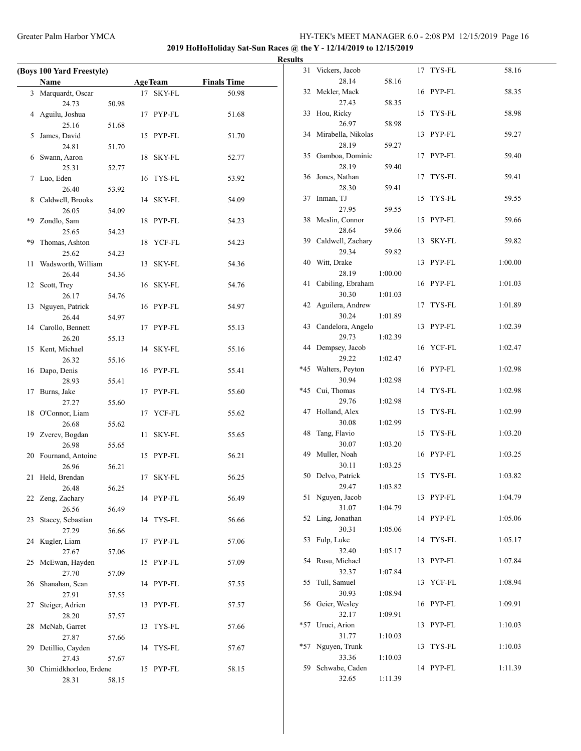**2019 HoHoHoliday Sat-Sun Races @ the Y - 12/14/2019 to 12/15/2019**

|    | (Boys 100 Yard Freestyle)<br>Name |       |    | <b>AgeTeam</b> | <b>Finals Time</b> |       |  |
|----|-----------------------------------|-------|----|----------------|--------------------|-------|--|
|    | 3 Marquardt, Oscar                |       |    | 17 SKY-FL      |                    | 50.98 |  |
|    | 24.73                             | 50.98 |    |                |                    |       |  |
| 4  | Aguilu, Joshua                    |       |    | 17 PYP-FL      |                    | 51.68 |  |
|    | 25.16                             | 51.68 |    |                |                    |       |  |
| 5  | James, David                      |       |    | 15 PYP-FL      |                    | 51.70 |  |
|    | 24.81                             | 51.70 |    |                |                    |       |  |
| 6  | Swann, Aaron                      |       | 18 | <b>SKY-FL</b>  |                    | 52.77 |  |
|    |                                   |       |    |                |                    |       |  |
|    | 25.31                             | 52.77 |    |                |                    |       |  |
| 7  | Luo, Eden                         |       | 16 | TYS-FL         |                    | 53.92 |  |
|    | 26.40                             | 53.92 |    |                |                    |       |  |
| 8  | Caldwell, Brooks                  |       |    | 14 SKY-FL      |                    | 54.09 |  |
|    | 26.05                             | 54.09 |    |                |                    |       |  |
| *9 | Zondlo, Sam                       |       | 18 | PYP-FL         |                    | 54.23 |  |
|    | 25.65                             | 54.23 |    |                |                    |       |  |
| *9 | Thomas, Ashton                    |       |    | 18 YCF-FL      |                    | 54.23 |  |
|    | 25.62                             | 54.23 |    |                |                    |       |  |
| 11 | Wadsworth, William                |       | 13 | <b>SKY-FL</b>  |                    | 54.36 |  |
|    | 26.44                             | 54.36 |    |                |                    |       |  |
| 12 | Scott, Trey                       |       | 16 | <b>SKY-FL</b>  |                    | 54.76 |  |
|    | 26.17                             | 54.76 |    |                |                    |       |  |
| 13 | Nguyen, Patrick                   |       |    | 16 PYP-FL      |                    | 54.97 |  |
|    | 26.44                             | 54.97 |    |                |                    |       |  |
|    | 14 Carollo, Bennett               |       |    | 17 PYP-FL      |                    | 55.13 |  |
|    | 26.20                             | 55.13 |    |                |                    |       |  |
| 15 | Kent, Michael                     |       | 14 | SKY-FL         |                    | 55.16 |  |
|    | 26.32                             | 55.16 |    |                |                    |       |  |
| 16 | Dapo, Denis                       |       | 16 | PYP-FL         |                    | 55.41 |  |
|    | 28.93                             | 55.41 |    |                |                    |       |  |
| 17 | Burns, Jake                       |       |    | 17 PYP-FL      |                    | 55.60 |  |
|    | 27.27                             | 55.60 |    |                |                    |       |  |
|    | 18 O'Connor, Liam                 |       |    | 17 YCF-FL      |                    | 55.62 |  |
|    | 26.68                             | 55.62 |    |                |                    |       |  |
|    | 19 Zverev, Bogdan                 |       | 11 | SKY-FL         |                    | 55.65 |  |
|    | 26.98                             | 55.65 |    |                |                    |       |  |
| 20 | Fournand, Antoine                 |       | 15 | PYP-FL         |                    | 56.21 |  |
|    | 26.96                             | 56.21 |    |                |                    |       |  |
| 21 | Held, Brendan                     |       | 17 | <b>SKY-FL</b>  |                    | 56.25 |  |
|    | 26.48                             | 56.25 |    |                |                    |       |  |
|    | 22 Zeng, Zachary                  |       |    | 14 PYP-FL      |                    | 56.49 |  |
|    | 26.56                             | 56.49 |    |                |                    |       |  |
| 23 | Stacey, Sebastian                 |       |    | 14 TYS-FL      |                    | 56.66 |  |
|    | 27.29                             | 56.66 |    |                |                    |       |  |
| 24 | Kugler, Liam                      |       |    | 17 PYP-FL      |                    | 57.06 |  |
|    | 27.67                             |       |    |                |                    |       |  |
|    |                                   | 57.06 |    |                |                    |       |  |
| 25 | McEwan, Hayden                    |       |    | 15 PYP-FL      |                    | 57.09 |  |
|    | 27.70                             | 57.09 |    |                |                    |       |  |
| 26 | Shanahan, Sean                    |       |    | 14 PYP-FL      |                    | 57.55 |  |
|    | 27.91                             | 57.55 |    |                |                    |       |  |
| 27 | Steiger, Adrien                   |       | 13 | PYP-FL         |                    | 57.57 |  |
|    | 28.20                             | 57.57 |    |                |                    |       |  |
| 28 | McNab, Garret                     |       | 13 | TYS-FL         |                    | 57.66 |  |
|    | 27.87                             | 57.66 |    |                |                    |       |  |
| 29 | Detillio, Cayden                  |       | 14 | TYS-FL         |                    | 57.67 |  |
|    | 27.43                             | 57.67 |    |                |                    |       |  |
|    | 30 Chimidkhorloo, Erdene          |       |    | 15 PYP-FL      |                    | 58.15 |  |
|    | 28.31                             | 58.15 |    |                |                    |       |  |

| <b>Results</b> |                                |         |    |           |         |  |
|----------------|--------------------------------|---------|----|-----------|---------|--|
|                | 31 Vickers, Jacob<br>28.14     | 58.16   |    | 17 TYS-FL | 58.16   |  |
|                | 32 Mekler, Mack                |         |    | 16 PYP-FL | 58.35   |  |
|                | 27.43<br>33 Hou, Ricky         | 58.35   |    | 15 TYS-FL | 58.98   |  |
|                | 26.97<br>34 Mirabella, Nikolas | 58.98   |    | 13 PYP-FL | 59.27   |  |
|                | 28.19<br>35 Gamboa, Dominic    | 59.27   |    | 17 PYP-FL | 59.40   |  |
|                | 28.19<br>36 Jones, Nathan      | 59.40   |    | 17 TYS-FL | 59.41   |  |
|                | 28.30<br>37 Inman, TJ          | 59.41   |    | 15 TYS-FL | 59.55   |  |
|                | 27.95<br>38 Meslin, Connor     | 59.55   |    | 15 PYP-FL | 59.66   |  |
|                | 28.64<br>39 Caldwell, Zachary  | 59.66   |    | 13 SKY-FL | 59.82   |  |
|                | 29.34<br>40 Witt, Drake        | 59.82   |    | 13 PYP-FL | 1:00.00 |  |
|                | 28.19<br>41 Cabiling, Ebraham  | 1:00.00 |    | 16 PYP-FL | 1:01.03 |  |
|                | 30.30<br>42 Aguilera, Andrew   | 1:01.03 |    | 17 TYS-FL | 1:01.89 |  |
|                | 30.24<br>43 Candelora, Angelo  | 1:01.89 |    | 13 PYP-FL | 1:02.39 |  |
|                | 29.73<br>44 Dempsey, Jacob     | 1:02.39 |    | 16 YCF-FL | 1:02.47 |  |
|                | 29.22<br>*45 Walters, Peyton   | 1:02.47 |    | 16 PYP-FL | 1:02.98 |  |
|                | 30.94                          | 1:02.98 |    |           |         |  |
|                | *45 Cui, Thomas<br>29.76       | 1:02.98 |    | 14 TYS-FL | 1:02.98 |  |
|                | 47 Holland, Alex<br>30.08      | 1:02.99 |    | 15 TYS-FL | 1:02.99 |  |
|                | 48 Tang, Flavio<br>30.07       | 1:03.20 |    | 15 TYS-FL | 1:03.20 |  |
|                | 49 Muller, Noah<br>30.11       | 1:03.25 |    | 16 PYP-FL | 1:03.25 |  |
|                | 50 Delvo, Patrick<br>29.47     | 1:03.82 |    | 15 TYS-FL | 1:03.82 |  |
|                | 51 Nguyen, Jacob<br>31.07      | 1:04.79 |    | 13 PYP-FL | 1:04.79 |  |
|                | 52 Ling, Jonathan<br>30.31     | 1:05.06 |    | 14 PYP-FL | 1:05.06 |  |
|                | 53 Fulp, Luke<br>32.40         | 1:05.17 | 14 | TYS-FL    | 1:05.17 |  |
|                | 54 Rusu, Michael<br>32.37      | 1:07.84 | 13 | PYP-FL    | 1:07.84 |  |
|                | 55 Tull, Samuel<br>30.93       | 1:08.94 |    | 13 YCF-FL | 1:08.94 |  |
|                | 56 Geier, Wesley<br>32.17      |         |    | 16 PYP-FL | 1:09.91 |  |
|                | *57 Uruci, Arion               | 1:09.91 |    | 13 PYP-FL | 1:10.03 |  |
| *57            | 31.77<br>Nguyen, Trunk         | 1:10.03 |    | 13 TYS-FL | 1:10.03 |  |
| 59             | 33.36<br>Schwabe, Caden        | 1:10.03 |    | 14 PYP-FL | 1:11.39 |  |
|                | 32.65                          | 1:11.39 |    |           |         |  |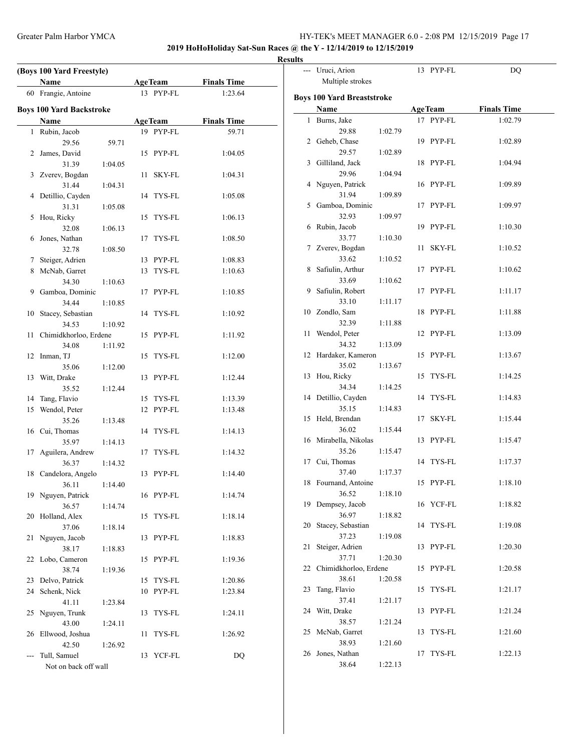**2019 HoHoHoliday Sat-Sun Races @ the Y - 12/14/2019 to 12/15/2019**

**Results**

|    | (Boys 100 Yard Freestyle)<br>Name |         |      | <b>AgeTeam</b> | <b>Finals Time</b> |
|----|-----------------------------------|---------|------|----------------|--------------------|
|    | 60 Frangie, Antoine               |         |      | 13 PYP-FL      | 1:23.64            |
|    | <b>Boys 100 Yard Backstroke</b>   |         |      |                |                    |
|    | Name                              |         |      | <b>AgeTeam</b> | <b>Finals Time</b> |
|    | 1 Rubin, Jacob                    |         |      | 19 PYP-FL      | 59.71              |
|    | 29.56                             | 59.71   |      |                |                    |
|    | 2 James, David                    |         |      | 15 PYP-FL      | 1:04.05            |
|    | 31.39                             | 1:04.05 |      |                |                    |
|    | 3 Zverev, Bogdan                  |         | 11 - | SKY-FL         | 1:04.31            |
|    | 31.44                             | 1:04.31 |      |                |                    |
|    | 4 Detillio, Cayden                |         |      | 14 TYS-FL      | 1:05.08            |
|    | 31.31                             | 1:05.08 |      |                |                    |
| 5  | Hou, Ricky                        |         |      | 15 TYS-FL      | 1:06.13            |
|    | 32.08                             | 1:06.13 |      |                |                    |
| 6  | Jones, Nathan                     |         |      | 17 TYS-FL      | 1:08.50            |
|    | 32.78                             | 1:08.50 |      |                |                    |
| 7  | Steiger, Adrien                   |         |      | 13 PYP-FL      | 1:08.83            |
|    | 8 McNab, Garret                   |         |      | 13 TYS-FL      | 1:10.63            |
|    | 34.30                             | 1:10.63 |      |                |                    |
|    | 9 Gamboa, Dominic                 |         |      | 17 PYP-FL      | 1:10.85            |
|    | 34.44                             | 1:10.85 |      |                |                    |
|    | 10 Stacey, Sebastian              |         |      | 14 TYS-FL      | 1:10.92            |
|    | 34.53                             | 1:10.92 |      |                |                    |
|    | 11 Chimidkhorloo, Erdene          |         |      | 15 PYP-FL      | 1:11.92            |
|    | 34.08                             | 1:11.92 |      |                |                    |
|    | 12 Inman, TJ                      |         |      | 15 TYS-FL      | 1:12.00            |
|    | 35.06                             | 1:12.00 |      |                |                    |
|    | 13 Witt, Drake                    |         |      | 13 PYP-FL      | 1:12.44            |
|    | 35.52                             | 1:12.44 |      |                |                    |
|    | 14 Tang, Flavio                   |         |      | 15 TYS-FL      | 1:13.39            |
|    | 15 Wendol, Peter                  |         |      | 12 PYP-FL      | 1:13.48            |
|    | 35.26                             | 1:13.48 |      |                |                    |
|    | 16 Cui, Thomas                    |         |      | 14 TYS-FL      | 1:14.13            |
|    | 35.97                             | 1:14.13 |      |                |                    |
| 17 | Aguilera, Andrew                  |         |      | 17 TYS-FL      | 1:14.32            |
|    | 36.37                             | 1:14.32 |      |                |                    |
|    | 18 Candelora, Angelo              |         |      | 13 PYP-FL      | 1:14.40            |
|    | 36.11 1:14.40                     |         |      |                |                    |
|    | 19 Nguyen, Patrick                |         |      | 16 PYP-FL      | 1:14.74            |
|    | 36.57                             | 1:14.74 |      |                |                    |
| 20 | Holland, Alex                     |         | 15   | TYS-FL         | 1:18.14            |
|    | 37.06                             | 1:18.14 |      |                |                    |
| 21 | Nguyen, Jacob                     |         |      | 13 PYP-FL      | 1:18.83            |
|    | 38.17                             | 1:18.83 |      |                |                    |
|    | 22 Lobo, Cameron                  |         | 15   | PYP-FL         | 1:19.36            |
|    | 38.74                             | 1:19.36 |      |                |                    |
| 23 | Delvo, Patrick                    |         |      | 15 TYS-FL      | 1:20.86            |
| 24 | Schenk, Nick                      |         | 10   | PYP-FL         | 1:23.84            |
|    | 41.11                             | 1:23.84 |      |                |                    |
| 25 | Nguyen, Trunk                     |         | 13   | TYS-FL         | 1:24.11            |
|    | 43.00                             | 1:24.11 |      |                |                    |
| 26 | Ellwood, Joshua                   |         | 11   | TYS-FL         | 1:26.92            |
|    | 42.50                             | 1:26.92 |      |                |                    |
|    | Tull, Samuel                      |         | 13   | YCF-FL         | <b>DQ</b>          |
|    | Not on back off wall              |         |      |                |                    |

|    | --- Uruci, Arion                  |         |    | 13 PYP-FL      | DQ                 |  |
|----|-----------------------------------|---------|----|----------------|--------------------|--|
|    | Multiple strokes                  |         |    |                |                    |  |
|    |                                   |         |    |                |                    |  |
|    | <b>Boys 100 Yard Breaststroke</b> |         |    |                |                    |  |
|    | Name                              |         |    | <b>AgeTeam</b> | <b>Finals Time</b> |  |
|    | 1 Burns, Jake                     |         |    | 17 PYP-FL      | 1:02.79            |  |
|    | 29.88                             | 1:02.79 |    |                |                    |  |
|    | 2 Geheb, Chase                    |         |    | 19 PYP-FL      | 1:02.89            |  |
|    | 29.57                             | 1:02.89 |    |                |                    |  |
|    | 3 Gilliland, Jack                 |         |    | 18 PYP-FL      | 1:04.94            |  |
|    | 29.96                             | 1:04.94 |    |                |                    |  |
|    | 4 Nguyen, Patrick                 |         |    | 16 PYP-FL      | 1:09.89            |  |
|    | 31.94                             | 1:09.89 |    |                |                    |  |
| 5  | Gamboa, Dominic                   |         |    | 17 PYP-FL      | 1:09.97            |  |
|    | 32.93                             | 1:09.97 |    |                |                    |  |
|    | 6 Rubin, Jacob                    |         |    | 19 PYP-FL      | 1:10.30            |  |
|    | 33.77                             | 1:10.30 |    |                |                    |  |
|    | 7 Zverev, Bogdan                  |         | 11 | SKY-FL         | 1:10.52            |  |
|    | 33.62                             | 1:10.52 |    |                |                    |  |
| 8  | Safiulin, Arthur                  |         |    | 17 PYP-FL      | 1:10.62            |  |
|    | 33.69                             | 1:10.62 |    |                |                    |  |
| 9  | Safiulin, Robert                  |         |    | 17 PYP-FL      | 1:11.17            |  |
|    | 33.10                             | 1:11.17 |    |                |                    |  |
|    | 10 Zondlo, Sam                    |         |    | 18 PYP-FL      | 1:11.88            |  |
|    | 32.39                             | 1:11.88 |    |                |                    |  |
| 11 | Wendol, Peter                     |         |    | 12 PYP-FL      | 1:13.09            |  |
|    | 34.32                             | 1:13.09 |    |                |                    |  |
| 12 | Hardaker, Kameron                 |         |    | 15 PYP-FL      | 1:13.67            |  |
|    |                                   |         |    |                |                    |  |
| 13 | 35.02<br>Hou, Ricky               | 1:13.67 | 15 | TYS-FL         | 1:14.25            |  |
|    |                                   |         |    |                |                    |  |
|    | 34.34                             | 1:14.25 |    |                |                    |  |
| 14 | Detillio, Cayden                  |         |    | 14 TYS-FL      | 1:14.83            |  |
|    | 35.15                             | 1:14.83 |    |                |                    |  |
| 15 | Held, Brendan                     |         | 17 | SKY-FL         | 1:15.44            |  |
|    | 36.02                             | 1:15.44 |    |                |                    |  |
|    | 16 Mirabella, Nikolas             |         | 13 | PYP-FL         | 1:15.47            |  |
|    | 35.26                             | 1:15.47 |    |                |                    |  |
| 17 | Cui, Thomas                       |         |    | 14 TYS-FL      | 1:17.37            |  |
|    | 37.40                             | 1:17.37 |    |                |                    |  |
|    | 18 Fournand, Antoine              |         |    | 15 PYP-FL      | 1:18.10            |  |
|    | 36.52                             | 1:18.10 |    |                |                    |  |
|    | 19 Dempsey, Jacob                 |         |    | 16 YCF-FL      | 1:18.82            |  |
|    | 36.97                             | 1:18.82 |    |                |                    |  |
| 20 | Stacey, Sebastian                 |         |    | 14 TYS-FL      | 1:19.08            |  |
|    | 37.23                             | 1:19.08 |    |                |                    |  |
| 21 | Steiger, Adrien                   |         |    | 13 PYP-FL      | 1:20.30            |  |
|    | 37.71                             | 1:20.30 |    |                |                    |  |
| 22 | Chimidkhorloo, Erdene             |         |    | 15 PYP-FL      | 1:20.58            |  |
|    | 38.61                             | 1:20.58 |    |                |                    |  |
| 23 | Tang, Flavio                      |         |    | 15 TYS-FL      | 1:21.17            |  |
|    | 37.41                             | 1:21.17 |    |                |                    |  |
| 24 | Witt, Drake                       |         | 13 | PYP-FL         | 1:21.24            |  |
|    | 38.57                             | 1:21.24 |    |                |                    |  |
| 25 | McNab, Garret                     |         | 13 | TYS-FL         | 1:21.60            |  |
|    | 38.93                             | 1:21.60 |    |                |                    |  |
| 26 | Jones, Nathan                     |         |    | 17 TYS-FL      | 1:22.13            |  |
|    | 38.64                             | 1:22.13 |    |                |                    |  |
|    |                                   |         |    |                |                    |  |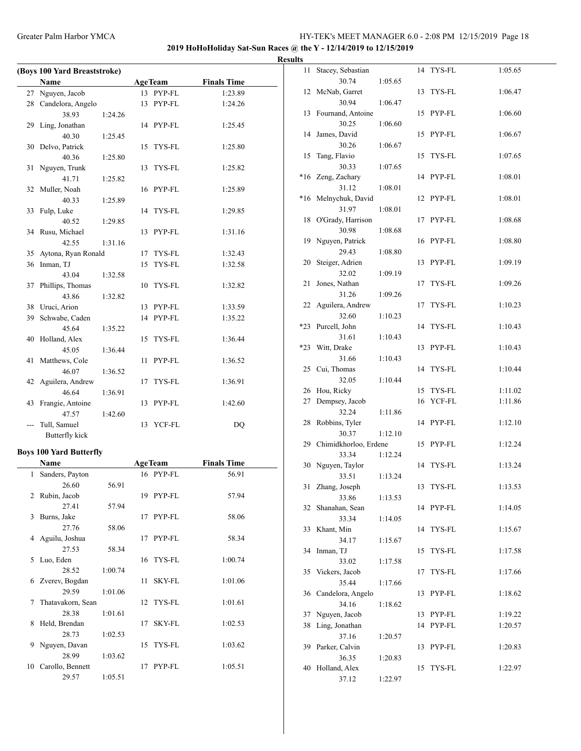**2019 HoHoHoliday Sat-Sun Races @ the Y - 12/14/2019 to 12/15/2019**

#### **Results**

|    | (Boys 100 Yard Breaststroke) |         |    |                |                    |  |
|----|------------------------------|---------|----|----------------|--------------------|--|
|    | <b>Name</b>                  |         |    | <b>AgeTeam</b> | <b>Finals Time</b> |  |
| 27 | Nguyen, Jacob                |         |    | 13 PYP-FL      | 1:23.89            |  |
| 28 | Candelora, Angelo            |         |    | 13 PYP-FL      | 1:24.26            |  |
|    | 38.93                        | 1:24.26 |    |                |                    |  |
| 29 | Ling, Jonathan               |         |    | 14 PYP-FL      | 1:25.45            |  |
|    | 40.30                        | 1:25.45 |    |                |                    |  |
| 30 | Delvo, Patrick               |         |    | 15 TYS-FL      | 1:25.80            |  |
|    | 40.36                        | 1:25.80 |    |                |                    |  |
| 31 | Nguyen, Trunk                |         |    | 13 TYS-FL      | 1:25.82            |  |
|    | 41.71                        | 1:25.82 |    |                |                    |  |
| 32 | Muller, Noah                 |         |    | 16 PYP-FL      | 1:25.89            |  |
|    | 40.33                        | 1:25.89 |    |                |                    |  |
| 33 | Fulp, Luke                   |         |    | 14 TYS-FL      | 1:29.85            |  |
|    | 40.52                        | 1:29.85 |    |                |                    |  |
| 34 | Rusu, Michael                |         |    | 13 PYP-FL      | 1:31.16            |  |
|    | 42.55                        | 1:31.16 |    |                |                    |  |
| 35 | Aytona, Ryan Ronald          |         |    | 17 TYS-FL      | 1:32.43            |  |
| 36 | Inman, TJ                    |         | 15 | TYS-FL         | 1:32.58            |  |
|    | 43.04                        | 1:32.58 |    |                |                    |  |
| 37 | Phillips, Thomas             |         |    | 10 TYS-FL      | 1:32.82            |  |
|    | 43.86                        | 1:32.82 |    |                |                    |  |
| 38 | Uruci, Arion                 |         |    | 13 PYP-FL      | 1:33.59            |  |
| 39 | Schwabe, Caden               |         |    | 14 PYP-FL      | 1:35.22            |  |
|    | 45.64                        | 1:35.22 |    |                |                    |  |
| 40 | Holland, Alex                |         |    | 15 TYS-FL      | 1:36.44            |  |
|    | 45.05                        | 1:36.44 |    |                |                    |  |
| 41 | Matthews, Cole               |         |    | 11 PYP-FL      | 1:36.52            |  |
|    | 46.07                        | 1:36.52 |    |                |                    |  |
| 42 | Aguilera, Andrew             |         | 17 | TYS-FL         | 1:36.91            |  |
|    | 46.64                        | 1:36.91 |    |                |                    |  |
| 43 | Frangie, Antoine             |         | 13 | PYP-FL         | 1:42.60            |  |
|    | 47.57                        | 1:42.60 |    |                |                    |  |
|    | Tull, Samuel                 |         |    | 13 YCF-FL      | DQ                 |  |
|    | Butterfly kick               |         |    |                |                    |  |

# **Boys 100 Yard Butterfly**

|              | Name              |         |    | <b>AgeTeam</b> | <b>Finals Time</b> |  |
|--------------|-------------------|---------|----|----------------|--------------------|--|
| $\mathbf{1}$ | Sanders, Payton   |         |    | 16 PYP-FL      | 56.91              |  |
|              | 26.60             | 56.91   |    |                |                    |  |
| 2            | Rubin, Jacob      |         |    | 19 PYP-FL      | 57.94              |  |
|              | 27.41             | 57.94   |    |                |                    |  |
| 3            | Burns, Jake       |         |    | 17 PYP-FL      | 58.06              |  |
|              | 27.76             | 58.06   |    |                |                    |  |
|              | 4 Aguilu, Joshua  |         | 17 | PYP-FL         | 58.34              |  |
|              | 27.53             | 58.34   |    |                |                    |  |
| 5            | Luo, Eden         |         |    | 16 TYS-FL      | 1:00.74            |  |
|              | 28.52             | 1:00.74 |    |                |                    |  |
| 6            | Zverev, Bogdan    |         | 11 | <b>SKY-FL</b>  | 1:01.06            |  |
|              | 29.59             | 1:01.06 |    |                |                    |  |
| 7            | Thatavakorn, Sean |         |    | 12 TYS-FL      | 1:01.61            |  |
|              | 28.38             | 1:01.61 |    |                |                    |  |
| 8            | Held, Brendan     |         | 17 | <b>SKY-FL</b>  | 1:02.53            |  |
|              | 28.73             | 1:02.53 |    |                |                    |  |
| 9            | Nguyen, Davan     |         |    | 15 TYS-FL      | 1:03.62            |  |
|              | 28.99             | 1:03.62 |    |                |                    |  |
| 10           | Carollo, Bennett  |         | 17 | PYP-FL         | 1:05.51            |  |
|              | 29.57             | 1:05.51 |    |                |                    |  |

| 11 -  | Stacey, Sebastian     |         | 14 | TYS-FL    | 1:05.65 |
|-------|-----------------------|---------|----|-----------|---------|
|       | 30.74                 | 1:05.65 |    |           |         |
| 12    | McNab, Garret         |         | 13 | TYS-FL    | 1:06.47 |
|       | 30.94                 | 1:06.47 |    |           |         |
|       | 13 Fournand, Antoine  |         |    | 15 PYP-FL | 1:06.60 |
|       | 30.25                 | 1:06.60 |    |           |         |
| 14    | James, David          |         |    | 15 PYP-FL | 1:06.67 |
|       |                       |         |    |           |         |
|       | 30.26                 | 1:06.67 |    |           |         |
| 15    | Tang, Flavio          |         | 15 | TYS-FL    | 1:07.65 |
|       | 30.33                 | 1:07.65 |    |           |         |
| $*16$ | Zeng, Zachary         |         |    | 14 PYP-FL | 1:08.01 |
|       | 31.12                 | 1:08.01 |    |           |         |
| $*16$ | Melnychuk, David      |         |    | 12 PYP-FL | 1:08.01 |
|       | 31.97                 | 1:08.01 |    |           |         |
| 18    | O'Grady, Harrison     |         | 17 | PYP-FL    | 1:08.68 |
|       | 30.98                 | 1:08.68 |    |           |         |
|       |                       |         |    |           |         |
| 19    | Nguyen, Patrick       |         |    | 16 PYP-FL | 1:08.80 |
|       | 29.43                 | 1:08.80 |    |           |         |
| 20    | Steiger, Adrien       |         |    | 13 PYP-FL | 1:09.19 |
|       | 32.02                 | 1:09.19 |    |           |         |
| 21    | Jones, Nathan         |         | 17 | TYS-FL    | 1:09.26 |
|       | 31.26                 | 1:09.26 |    |           |         |
| 22    | Aguilera, Andrew      |         |    | 17 TYS-FL | 1:10.23 |
|       | 32.60                 | 1:10.23 |    |           |         |
| *23   | Purcell, John         |         |    | 14 TYS-FL | 1:10.43 |
|       |                       |         |    |           |         |
|       | 31.61                 | 1:10.43 |    |           |         |
| *23   | Witt, Drake           |         |    | 13 PYP-FL | 1:10.43 |
|       | 31.66                 | 1:10.43 |    |           |         |
| 25    | Cui, Thomas           |         |    | 14 TYS-FL | 1:10.44 |
|       | 32.05                 | 1:10.44 |    |           |         |
|       | 26 Hou, Ricky         |         |    | 15 TYS-FL | 1:11.02 |
| 27    | Dempsey, Jacob        |         |    | 16 YCF-FL | 1:11.86 |
|       | 32.24                 | 1:11.86 |    |           |         |
| 28    | Robbins, Tyler        |         |    | 14 PYP-FL | 1:12.10 |
|       |                       |         |    |           |         |
|       | 30.37                 | 1:12.10 |    |           |         |
| 29    | Chimidkhorloo, Erdene |         |    | 15 PYP-FL | 1:12.24 |
|       | 33.34                 | 1:12.24 |    |           |         |
| 30    | Nguyen, Taylor        |         |    | 14 TYS-FL | 1:13.24 |
|       | 33.51                 | 1:13.24 |    |           |         |
| 31    | Zhang, Joseph         |         |    | 13 TYS-FL | 1:13.53 |
|       | 33.86                 | 1:13.53 |    |           |         |
| 32    | Shanahan, Sean        |         |    | 14 PYP-FL | 1:14.05 |
|       | 33.34                 | 1:14.05 |    |           |         |
| 33    | Khant, Min            |         | 14 | TYS-FL    | 1:15.67 |
|       |                       |         |    |           |         |
|       | 34.17                 | 1:15.67 |    |           |         |
| 34    | Inman, TJ             |         | 15 | TYS-FL    | 1:17.58 |
|       | 33.02                 | 1:17.58 |    |           |         |
| 35    | Vickers, Jacob        |         | 17 | TYS-FL    | 1:17.66 |
|       | 35.44                 | 1:17.66 |    |           |         |
| 36    | Candelora, Angelo     |         | 13 | PYP-FL    | 1:18.62 |
|       | 34.16                 | 1:18.62 |    |           |         |
| 37    | Nguyen, Jacob         |         |    | 13 PYP-FL | 1:19.22 |
| 38    | Ling, Jonathan        |         |    | 14 PYP-FL | 1:20.57 |
|       | 37.16                 |         |    |           |         |
|       |                       | 1:20.57 |    |           |         |
| 39    | Parker, Calvin        |         | 13 | PYP-FL    | 1:20.83 |
|       | 36.35                 | 1:20.83 |    |           |         |
| 40    | Holland, Alex         |         | 15 | TYS-FL    | 1:22.97 |
|       | 37.12                 | 1:22.97 |    |           |         |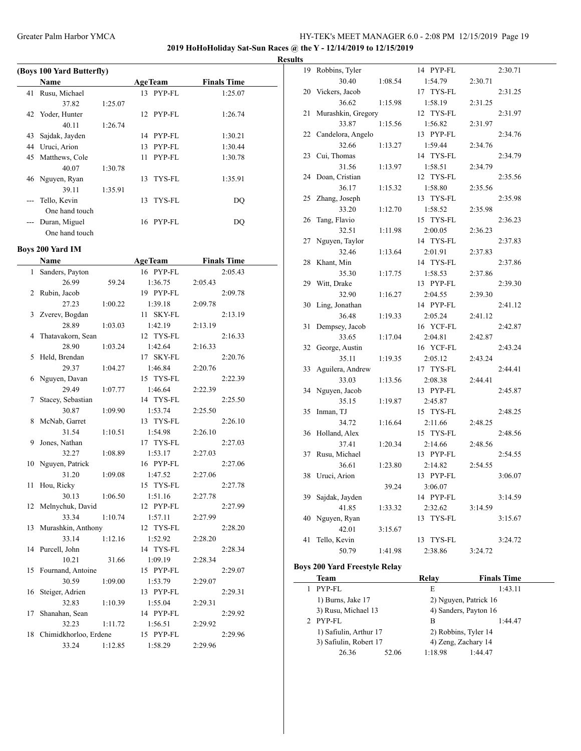**2019 HoHoHoliday Sat-Sun Races @ the Y - 12/14/2019 to 12/15/2019**

#### **Results**

| (Boys 100 Yard Butterfly) |                  |         |                |        |                    |  |  |
|---------------------------|------------------|---------|----------------|--------|--------------------|--|--|
|                           | <b>Name</b>      |         | <b>AgeTeam</b> |        | <b>Finals Time</b> |  |  |
| 41                        | Rusu, Michael    |         | 13 PYP-FL      |        | 1:25.07            |  |  |
|                           | 37.82            | 1:25.07 |                |        |                    |  |  |
|                           | 42 Yoder, Hunter |         | 12 PYP-FL      |        | 1:26.74            |  |  |
|                           | 40.11            | 1:26.74 |                |        |                    |  |  |
| 43                        | Sajdak, Jayden   |         | 14             | PYP-FL | 1:30.21            |  |  |
| 44                        | Uruci, Arion     |         | 13             | PYP-FL | 1:30.44            |  |  |
| 45                        | Matthews, Cole   |         | 11             | PYP-FL | 1:30.78            |  |  |
|                           | 40.07            | 1:30.78 |                |        |                    |  |  |
|                           | 46 Nguyen, Ryan  |         | 13.            | TYS-FL | 1:35.91            |  |  |
|                           | 39.11            | 1:35.91 |                |        |                    |  |  |
|                           | Tello, Kevin     |         | 13             | TYS-FL | DO                 |  |  |
|                           | One hand touch   |         |                |        |                    |  |  |
|                           | Duran, Miguel    |         | 16             | PYP-FL | DO                 |  |  |
|                           | One hand touch   |         |                |        |                    |  |  |

## **Boys 200 Yard IM**

|    | Name                  |         | <b>AgeTeam</b>      |         | <b>Finals Time</b> |
|----|-----------------------|---------|---------------------|---------|--------------------|
| 1  | Sanders, Payton       |         | 16 PYP-FL           |         | 2:05.43            |
|    | 26.99                 | 59.24   | 1:36.75             | 2:05.43 |                    |
| 2  | Rubin, Jacob          |         | 19 PYP-FL           |         | 2:09.78            |
|    | 27.23                 | 1:00.22 | 1:39.18             | 2:09.78 |                    |
| 3  | Zverev, Bogdan        |         | <b>SKY-FL</b><br>11 |         | 2:13.19            |
|    | 28.89                 | 1:03.03 | 1:42.19             | 2:13.19 |                    |
| 4  | Thatavakorn, Sean     |         | 12 TYS-FL           |         | 2:16.33            |
|    | 28.90                 | 1:03.24 | 1:42.64             | 2:16.33 |                    |
| 5  | Held, Brendan         |         | 17 SKY-FL           |         | 2:20.76            |
|    | 29.37                 | 1:04.27 | 1:46.84             | 2:20.76 |                    |
| 6  | Nguyen, Davan         |         | 15 TYS-FL           |         | 2:22.39            |
|    | 29.49                 | 1:07.77 | 1:46.64             | 2:22.39 |                    |
| 7  | Stacey, Sebastian     |         | 14 TYS-FL           |         | 2:25.50            |
|    | 30.87                 | 1:09.90 | 1:53.74             | 2:25.50 |                    |
| 8  | McNab, Garret         |         | 13 TYS-FL           |         | 2:26.10            |
|    | 31.54                 | 1:10.51 | 1:54.98             | 2:26.10 |                    |
| 9  | Jones, Nathan         |         | 17 TYS-FL           |         | 2:27.03            |
|    | 32.27                 | 1:08.89 | 1:53.17             | 2:27.03 |                    |
| 10 | Nguyen, Patrick       |         | 16 PYP-FL           |         | 2:27.06            |
|    | 31.20                 | 1:09.08 | 1:47.52             | 2:27.06 |                    |
| 11 | Hou, Ricky            |         | 15 TYS-FL           |         | 2:27.78            |
|    | 30.13                 | 1:06.50 | 1:51.16             | 2:27.78 |                    |
| 12 | Melnychuk, David      |         | 12 PYP-FL           |         | 2:27.99            |
|    | 33.34                 | 1:10.74 | 1:57.11             | 2:27.99 |                    |
| 13 | Murashkin, Anthony    |         | 12 TYS-FL           |         | 2:28.20            |
|    | 33.14                 | 1:12.16 | 1:52.92             | 2:28.20 |                    |
|    | 14 Purcell, John      |         | 14 TYS-FL           |         | 2:28.34            |
|    | 10.21                 | 31.66   | 1:09.19             | 2:28.34 |                    |
| 15 | Fournand, Antoine     |         | 15 PYP-FL           |         | 2:29.07            |
|    | 30.59                 | 1:09.00 | 1:53.79             | 2:29.07 |                    |
| 16 | Steiger, Adrien       |         | 13 PYP-FL           |         | 2:29.31            |
|    | 32.83                 | 1:10.39 | 1:55.04             | 2:29.31 |                    |
| 17 | Shanahan, Sean        |         | 14 PYP-FL           |         | 2:29.92            |
|    | 32.23                 | 1:11.72 | 1:56.51             | 2:29.92 |                    |
| 18 | Chimidkhorloo, Erdene |         | 15 PYP-FL           |         | 2:29.96            |
|    | 33.24                 | 1:12.85 | 1:58.29             | 2:29.96 |                    |

| 19 | Robbins, Tyler     |         | 14 PYP-FL    |         | 2:30.71 |
|----|--------------------|---------|--------------|---------|---------|
|    | 30.40              | 1:08.54 | 1:54.79      | 2:30.71 |         |
| 20 | Vickers, Jacob     |         | 17 TYS-FL    |         | 2:31.25 |
|    | 36.62              | 1:15.98 | 1:58.19      | 2:31.25 |         |
| 21 | Murashkin, Gregory |         | 12 TYS-FL    |         | 2:31.97 |
|    | 33.87              | 1:15.56 | 1:56.82      | 2:31.97 |         |
| 22 | Candelora, Angelo  |         | 13 PYP-FL    |         | 2:34.76 |
|    | 32.66              | 1:13.27 | 1:59.44      | 2:34.76 |         |
| 23 | Cui, Thomas        |         | 14 TYS-FL    |         | 2:34.79 |
|    | 31.56              | 1:13.97 | 1:58.51      | 2:34.79 |         |
| 24 | Doan, Cristian     |         | 12 TYS-FL    |         | 2:35.56 |
|    | 36.17              | 1:15.32 | 1:58.80      | 2:35.56 |         |
| 25 | Zhang, Joseph      |         | 13 TYS-FL    |         | 2:35.98 |
|    | 33.20              | 1:12.70 | 1:58.52      | 2:35.98 |         |
| 26 | Tang, Flavio       |         | 15 TYS-FL    |         | 2:36.23 |
|    | 32.51              | 1:11.98 | 2:00.05      | 2:36.23 |         |
| 27 | Nguyen, Taylor     |         | 14 TYS-FL    |         | 2:37.83 |
|    | 32.46              | 1:13.64 | 2:01.91      | 2:37.83 |         |
| 28 | Khant, Min         |         | 14 TYS-FL    |         | 2:37.86 |
|    | 35.30              | 1:17.75 | 1:58.53      | 2:37.86 |         |
| 29 | Witt, Drake        |         | 13 PYP-FL    |         | 2:39.30 |
|    | 32.90              | 1:16.27 | 2:04.55      | 2:39.30 |         |
| 30 | Ling, Jonathan     |         | 14 PYP-FL    |         | 2:41.12 |
|    | 36.48              | 1:19.33 | 2:05.24      | 2:41.12 |         |
| 31 | Dempsey, Jacob     |         | 16 YCF-FL    |         | 2:42.87 |
|    | 33.65              | 1:17.04 | 2:04.81      | 2:42.87 |         |
| 32 | George, Austin     |         | 16 YCF-FL    |         | 2:43.24 |
|    | 35.11              | 1:19.35 | 2:05.12      | 2:43.24 |         |
| 33 | Aguilera, Andrew   |         | 17 TYS-FL    |         | 2:44.41 |
|    | 33.03              | 1:13.56 | 2:08.38      | 2:44.41 |         |
| 34 | Nguyen, Jacob      |         | 13 PYP-FL    |         | 2:45.87 |
|    | 35.15              | 1:19.87 | 2:45.87      |         |         |
| 35 | Inman, TJ          |         | 15 TYS-FL    |         | 2:48.25 |
|    | 34.72              | 1:16.64 | 2:11.66      | 2:48.25 |         |
| 36 | Holland, Alex      |         | 15 TYS-FL    |         | 2:48.56 |
|    | 37.41              | 1:20.34 | 2:14.66      | 2:48.56 |         |
| 37 | Rusu, Michael      |         | 13 PYP-FL    |         | 2:54.55 |
|    | 36.61              | 1:23.80 | 2:14.82      | 2:54.55 |         |
| 38 | Uruci, Arion       |         | 13 PYP-FL    |         | 3:06.07 |
|    |                    | 39.24   | 3:06.07      |         |         |
| 39 | Sajdak, Jayden     |         | 14 PYP-FL    |         | 3:14.59 |
|    | 41.85              | 1:33.32 | 2:32.62      | 3:14.59 |         |
| 40 | Nguyen, Ryan       |         | 13<br>TYS-FL |         | 3:15.67 |
|    | 42.01              | 3:15.67 |              |         |         |
| 41 | Tello, Kevin       |         | 13<br>TYS-FL |         | 3:24.72 |
|    | 50.79              | 1:41.98 | 2:38.86      | 3:24.72 |         |
|    |                    |         |              |         |         |

# **Boys 200 Yard Freestyle Relay**

|    | Team                                             |       | Relay                 | <b>Finals Time</b> |  |
|----|--------------------------------------------------|-------|-----------------------|--------------------|--|
| 1. | PYP-FL                                           |       | E                     | 1:43.11            |  |
|    | 1) Burns, Jake 17<br>3) Rusu, Michael 13         |       | 2) Nguyen, Patrick 16 |                    |  |
|    |                                                  |       | 4) Sanders, Payton 16 |                    |  |
|    | 2 PYP-FL                                         |       | B                     | 1:44.47            |  |
|    | 1) Safiulin, Arthur 17<br>3) Safiulin, Robert 17 |       | 2) Robbins, Tyler 14  |                    |  |
|    |                                                  |       | 4) Zeng, Zachary 14   |                    |  |
|    | 26.36                                            | 52.06 | 1:18.98               | 1:44.47            |  |